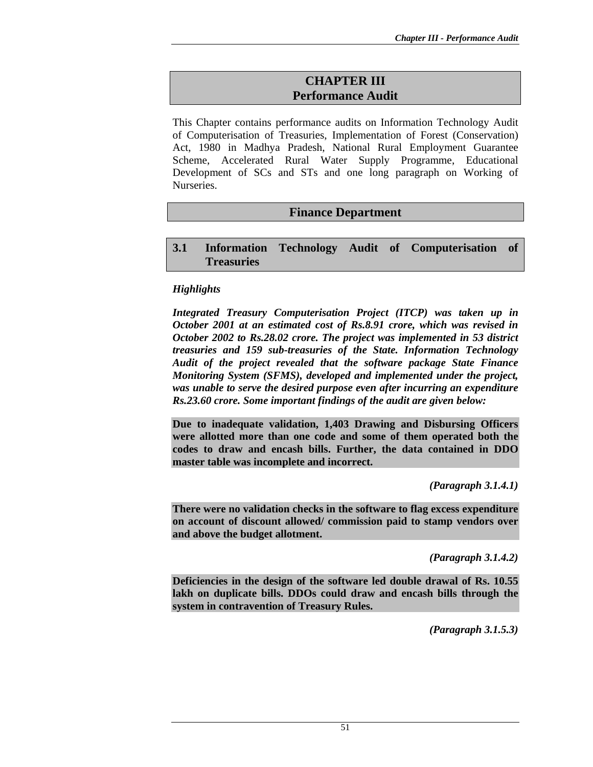# **CHAPTER III Performance Audit**

This Chapter contains performance audits on Information Technology Audit of Computerisation of Treasuries, Implementation of Forest (Conservation) Act, 1980 in Madhya Pradesh, National Rural Employment Guarantee Scheme, Accelerated Rural Water Supply Programme, Educational Development of SCs and STs and one long paragraph on Working of Nurseries.

# **Finance Department**

### **3.1 Information Technology Audit of Computerisation of Treasuries**

#### *Highlights*

*Integrated Treasury Computerisation Project (ITCP) was taken up in October 2001 at an estimated cost of Rs.8.91 crore, which was revised in October 2002 to Rs.28.02 crore. The project was implemented in 53 district treasuries and 159 sub-treasuries of the State. Information Technology Audit of the project revealed that the software package State Finance Monitoring System (SFMS), developed and implemented under the project, was unable to serve the desired purpose even after incurring an expenditure Rs.23.60 crore. Some important findings of the audit are given below:* 

**Due to inadequate validation, 1,403 Drawing and Disbursing Officers were allotted more than one code and some of them operated both the codes to draw and encash bills. Further, the data contained in DDO master table was incomplete and incorrect.**

*(Paragraph 3.1.4.1)* 

**There were no validation checks in the software to flag excess expenditure on account of discount allowed/ commission paid to stamp vendors over and above the budget allotment.** 

*(Paragraph 3.1.4.2)* 

**Deficiencies in the design of the software led double drawal of Rs. 10.55 lakh on duplicate bills. DDOs could draw and encash bills through the system in contravention of Treasury Rules.** 

*(Paragraph 3.1.5.3)*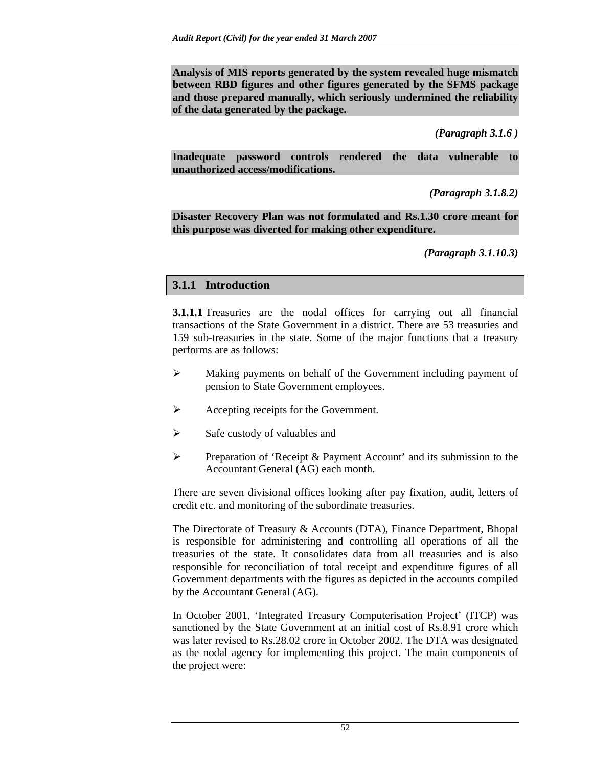**Analysis of MIS reports generated by the system revealed huge mismatch between RBD figures and other figures generated by the SFMS package and those prepared manually, which seriously undermined the reliability of the data generated by the package.** 

*(Paragraph 3.1.6 )* 

**Inadequate password controls rendered the data vulnerable to unauthorized access/modifications.** 

*(Paragraph 3.1.8.2)* 

**Disaster Recovery Plan was not formulated and Rs.1.30 crore meant for this purpose was diverted for making other expenditure.** 

*(Paragraph 3.1.10.3)* 

# **3.1.1 Introduction**

**3.1.1.1** Treasuries are the nodal offices for carrying out all financial transactions of the State Government in a district. There are 53 treasuries and 159 sub-treasuries in the state. Some of the major functions that a treasury performs are as follows:

- ¾ Making payments on behalf of the Government including payment of pension to State Government employees.
- ¾ Accepting receipts for the Government.
- $\triangleright$  Safe custody of valuables and
- ¾ Preparation of 'Receipt & Payment Account' and its submission to the Accountant General (AG) each month.

There are seven divisional offices looking after pay fixation, audit, letters of credit etc. and monitoring of the subordinate treasuries.

The Directorate of Treasury & Accounts (DTA), Finance Department, Bhopal is responsible for administering and controlling all operations of all the treasuries of the state. It consolidates data from all treasuries and is also responsible for reconciliation of total receipt and expenditure figures of all Government departments with the figures as depicted in the accounts compiled by the Accountant General (AG).

In October 2001, 'Integrated Treasury Computerisation Project' (ITCP) was sanctioned by the State Government at an initial cost of Rs.8.91 crore which was later revised to Rs.28.02 crore in October 2002. The DTA was designated as the nodal agency for implementing this project. The main components of the project were: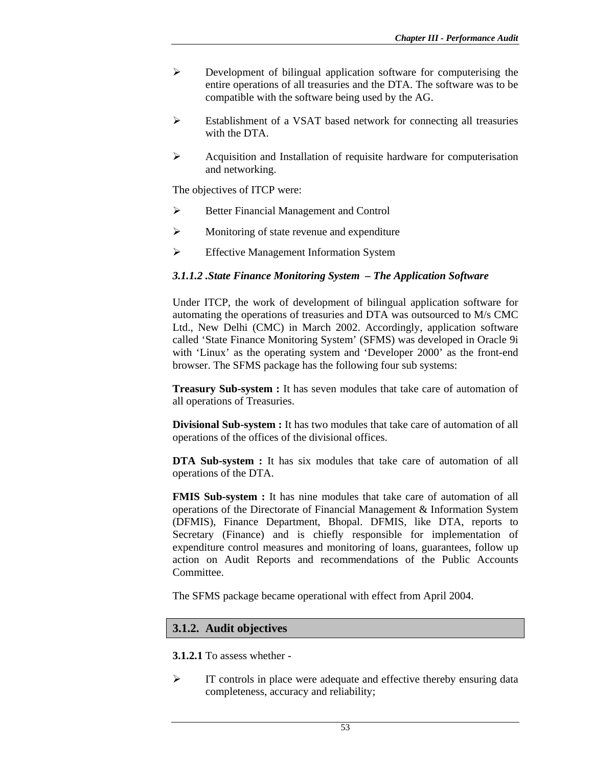- ¾ Development of bilingual application software for computerising the entire operations of all treasuries and the DTA. The software was to be compatible with the software being used by the AG.
- ¾ Establishment of a VSAT based network for connecting all treasuries with the DTA.
- $\triangleright$  Acquisition and Installation of requisite hardware for computerisation and networking.

The objectives of ITCP were:

- ¾ Better Financial Management and Control
- $\triangleright$  Monitoring of state revenue and expenditure
- ¾ Effective Management Information System

#### *3.1.1.2 .State Finance Monitoring System – The Application Software*

Under ITCP, the work of development of bilingual application software for automating the operations of treasuries and DTA was outsourced to M/s CMC Ltd., New Delhi (CMC) in March 2002. Accordingly, application software called 'State Finance Monitoring System' (SFMS) was developed in Oracle 9i with 'Linux' as the operating system and 'Developer 2000' as the front-end browser. The SFMS package has the following four sub systems:

**Treasury Sub-system :** It has seven modules that take care of automation of all operations of Treasuries.

**Divisional Sub-system :** It has two modules that take care of automation of all operations of the offices of the divisional offices.

**DTA Sub-system :** It has six modules that take care of automation of all operations of the DTA.

**FMIS Sub-system :** It has nine modules that take care of automation of all operations of the Directorate of Financial Management & Information System (DFMIS), Finance Department, Bhopal. DFMIS, like DTA, reports to Secretary (Finance) and is chiefly responsible for implementation of expenditure control measures and monitoring of loans, guarantees, follow up action on Audit Reports and recommendations of the Public Accounts Committee.

The SFMS package became operational with effect from April 2004.

#### **3.1.2. Audit objectives**

**3.1.2.1** To assess whether -

 $\triangleright$  IT controls in place were adequate and effective thereby ensuring data completeness, accuracy and reliability;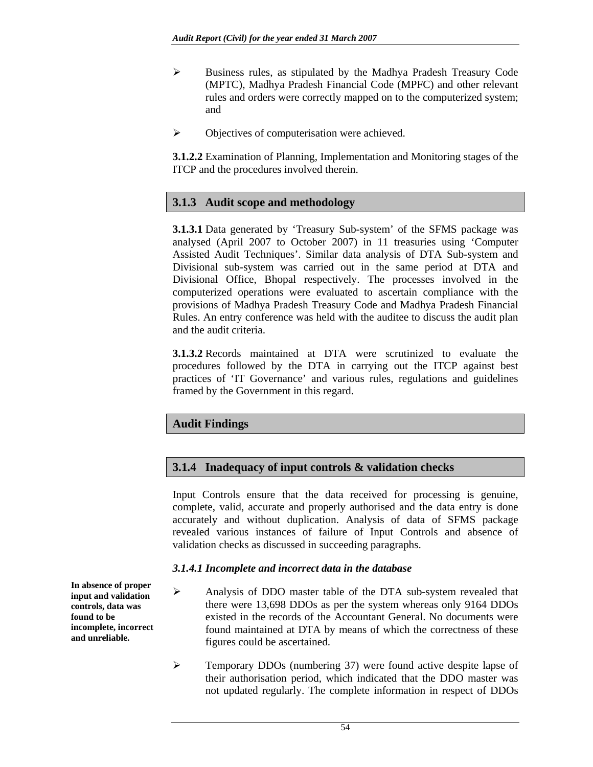- ¾ Business rules, as stipulated by the Madhya Pradesh Treasury Code (MPTC), Madhya Pradesh Financial Code (MPFC) and other relevant rules and orders were correctly mapped on to the computerized system; and
- $\triangleright$  Objectives of computerisation were achieved.

**3.1.2.2** Examination of Planning, Implementation and Monitoring stages of the ITCP and the procedures involved therein.

### **3.1.3 Audit scope and methodology**

**3.1.3.1** Data generated by 'Treasury Sub-system' of the SFMS package was analysed (April 2007 to October 2007) in 11 treasuries using 'Computer Assisted Audit Techniques'. Similar data analysis of DTA Sub-system and Divisional sub-system was carried out in the same period at DTA and Divisional Office, Bhopal respectively. The processes involved in the computerized operations were evaluated to ascertain compliance with the provisions of Madhya Pradesh Treasury Code and Madhya Pradesh Financial Rules. An entry conference was held with the auditee to discuss the audit plan and the audit criteria.

**3.1.3.2** Records maintained at DTA were scrutinized to evaluate the procedures followed by the DTA in carrying out the ITCP against best practices of 'IT Governance' and various rules, regulations and guidelines framed by the Government in this regard.

#### **Audit Findings**

#### **3.1.4 Inadequacy of input controls & validation checks**

Input Controls ensure that the data received for processing is genuine, complete, valid, accurate and properly authorised and the data entry is done accurately and without duplication. Analysis of data of SFMS package revealed various instances of failure of Input Controls and absence of validation checks as discussed in succeeding paragraphs.

#### *3.1.4.1 Incomplete and incorrect data in the database*

- ¾ Analysis of DDO master table of the DTA sub-system revealed that there were 13,698 DDOs as per the system whereas only 9164 DDOs existed in the records of the Accountant General. No documents were found maintained at DTA by means of which the correctness of these figures could be ascertained.
- ¾ Temporary DDOs (numbering 37) were found active despite lapse of their authorisation period, which indicated that the DDO master was not updated regularly. The complete information in respect of DDOs

**In absence of proper input and validation controls, data was found to be incomplete, incorrect and unreliable.**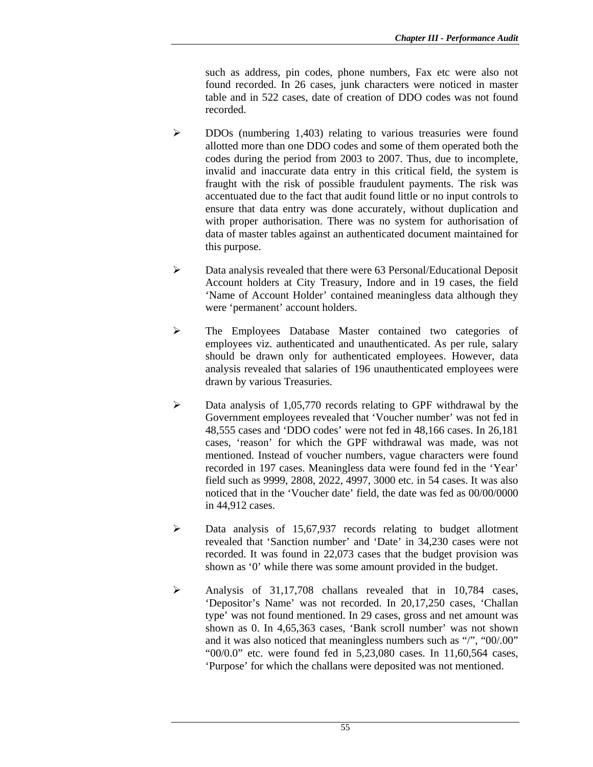such as address, pin codes, phone numbers, Fax etc were also not found recorded. In 26 cases, junk characters were noticed in master table and in 522 cases, date of creation of DDO codes was not found recorded.

- ¾ DDOs (numbering 1,403) relating to various treasuries were found allotted more than one DDO codes and some of them operated both the codes during the period from 2003 to 2007. Thus, due to incomplete, invalid and inaccurate data entry in this critical field, the system is fraught with the risk of possible fraudulent payments. The risk was accentuated due to the fact that audit found little or no input controls to ensure that data entry was done accurately, without duplication and with proper authorisation. There was no system for authorisation of data of master tables against an authenticated document maintained for this purpose.
- $\triangleright$  Data analysis revealed that there were 63 Personal/Educational Deposit Account holders at City Treasury, Indore and in 19 cases, the field 'Name of Account Holder' contained meaningless data although they were 'permanent' account holders.
- ¾ The Employees Database Master contained two categories of employees viz. authenticated and unauthenticated. As per rule, salary should be drawn only for authenticated employees. However, data analysis revealed that salaries of 196 unauthenticated employees were drawn by various Treasuries.
- $\triangleright$  Data analysis of 1,05,770 records relating to GPF withdrawal by the Government employees revealed that 'Voucher number' was not fed in 48,555 cases and 'DDO codes' were not fed in 48,166 cases. In 26,181 cases, 'reason' for which the GPF withdrawal was made, was not mentioned. Instead of voucher numbers, vague characters were found recorded in 197 cases. Meaningless data were found fed in the 'Year' field such as 9999, 2808, 2022, 4997, 3000 etc. in 54 cases. It was also noticed that in the 'Voucher date' field, the date was fed as 00/00/0000 in 44,912 cases.
- ¾ Data analysis of 15,67,937 records relating to budget allotment revealed that 'Sanction number' and 'Date' in 34,230 cases were not recorded. It was found in 22,073 cases that the budget provision was shown as '0' while there was some amount provided in the budget.
- ¾ Analysis of 31,17,708 challans revealed that in 10,784 cases, 'Depositor's Name' was not recorded. In 20,17,250 cases, 'Challan type' was not found mentioned. In 29 cases, gross and net amount was shown as 0. In 4,65,363 cases, 'Bank scroll number' was not shown and it was also noticed that meaningless numbers such as "/", "00/.00" "00/0.0" etc. were found fed in 5,23,080 cases. In 11,60,564 cases, 'Purpose' for which the challans were deposited was not mentioned.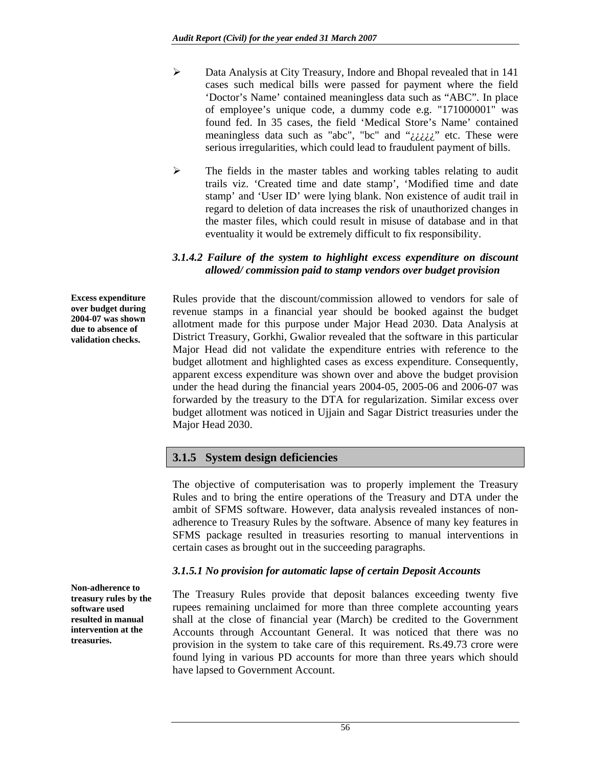- ¾ Data Analysis at City Treasury, Indore and Bhopal revealed that in 141 cases such medical bills were passed for payment where the field 'Doctor's Name' contained meaningless data such as "ABC". In place of employee's unique code, a dummy code e.g. "171000001" was found fed. In 35 cases, the field 'Medical Store's Name' contained meaningless data such as "abc", "bc" and " $\ddot{c}\dot{c}\dot{c}\dot{c}$ " etc. These were serious irregularities, which could lead to fraudulent payment of bills.
- ¾ The fields in the master tables and working tables relating to audit trails viz. 'Created time and date stamp', 'Modified time and date stamp' and 'User ID' were lying blank. Non existence of audit trail in regard to deletion of data increases the risk of unauthorized changes in the master files, which could result in misuse of database and in that eventuality it would be extremely difficult to fix responsibility.

#### *3.1.4.2 Failure of the system to highlight excess expenditure on discount allowed/ commission paid to stamp vendors over budget provision*

Rules provide that the discount/commission allowed to vendors for sale of revenue stamps in a financial year should be booked against the budget allotment made for this purpose under Major Head 2030. Data Analysis at District Treasury, Gorkhi, Gwalior revealed that the software in this particular Major Head did not validate the expenditure entries with reference to the budget allotment and highlighted cases as excess expenditure. Consequently, apparent excess expenditure was shown over and above the budget provision under the head during the financial years 2004-05, 2005-06 and 2006-07 was forwarded by the treasury to the DTA for regularization. Similar excess over budget allotment was noticed in Ujjain and Sagar District treasuries under the Major Head 2030.

# **3.1.5 System design deficiencies**

The objective of computerisation was to properly implement the Treasury Rules and to bring the entire operations of the Treasury and DTA under the ambit of SFMS software. However, data analysis revealed instances of nonadherence to Treasury Rules by the software. Absence of many key features in SFMS package resulted in treasuries resorting to manual interventions in certain cases as brought out in the succeeding paragraphs.

#### *3.1.5.1 No provision for automatic lapse of certain Deposit Accounts*

The Treasury Rules provide that deposit balances exceeding twenty five rupees remaining unclaimed for more than three complete accounting years shall at the close of financial year (March) be credited to the Government Accounts through Accountant General. It was noticed that there was no provision in the system to take care of this requirement. Rs.49.73 crore were found lying in various PD accounts for more than three years which should have lapsed to Government Account.

**Excess expenditure over budget during 2004-07 was shown due to absence of validation checks.** 

**Non-adherence to treasury rules by the software used resulted in manual intervention at the treasuries.**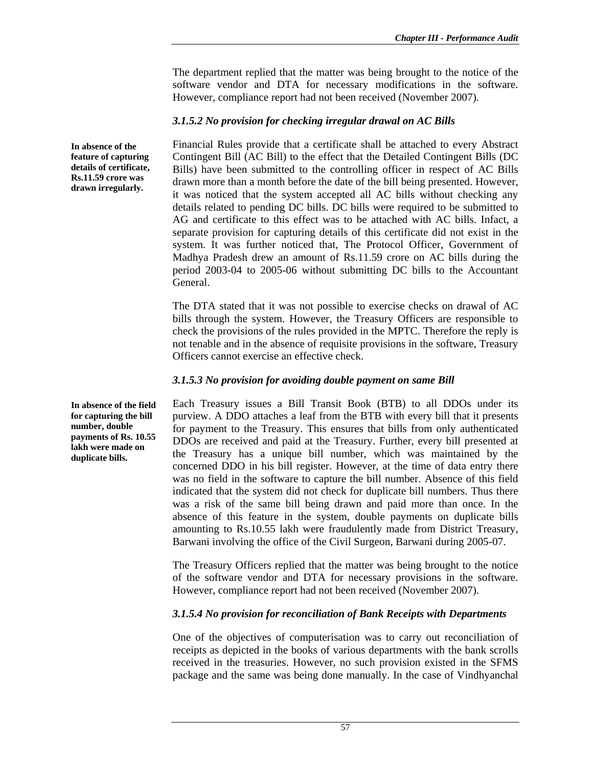The department replied that the matter was being brought to the notice of the software vendor and DTA for necessary modifications in the software. However, compliance report had not been received (November 2007).

### *3.1.5.2 No provision for checking irregular drawal on AC Bills*

Financial Rules provide that a certificate shall be attached to every Abstract Contingent Bill (AC Bill) to the effect that the Detailed Contingent Bills (DC Bills) have been submitted to the controlling officer in respect of AC Bills drawn more than a month before the date of the bill being presented. However, it was noticed that the system accepted all AC bills without checking any details related to pending DC bills. DC bills were required to be submitted to AG and certificate to this effect was to be attached with AC bills. Infact, a separate provision for capturing details of this certificate did not exist in the system. It was further noticed that, The Protocol Officer, Government of Madhya Pradesh drew an amount of Rs.11.59 crore on AC bills during the period 2003-04 to 2005-06 without submitting DC bills to the Accountant General.

The DTA stated that it was not possible to exercise checks on drawal of AC bills through the system. However, the Treasury Officers are responsible to check the provisions of the rules provided in the MPTC. Therefore the reply is not tenable and in the absence of requisite provisions in the software, Treasury Officers cannot exercise an effective check.

### *3.1.5.3 No provision for avoiding double payment on same Bill*

Each Treasury issues a Bill Transit Book (BTB) to all DDOs under its purview. A DDO attaches a leaf from the BTB with every bill that it presents for payment to the Treasury. This ensures that bills from only authenticated DDOs are received and paid at the Treasury. Further, every bill presented at the Treasury has a unique bill number, which was maintained by the concerned DDO in his bill register. However, at the time of data entry there was no field in the software to capture the bill number. Absence of this field indicated that the system did not check for duplicate bill numbers. Thus there was a risk of the same bill being drawn and paid more than once. In the absence of this feature in the system, double payments on duplicate bills amounting to Rs.10.55 lakh were fraudulently made from District Treasury, Barwani involving the office of the Civil Surgeon, Barwani during 2005-07.

The Treasury Officers replied that the matter was being brought to the notice of the software vendor and DTA for necessary provisions in the software. However, compliance report had not been received (November 2007).

# *3.1.5.4 No provision for reconciliation of Bank Receipts with Departments*

One of the objectives of computerisation was to carry out reconciliation of receipts as depicted in the books of various departments with the bank scrolls received in the treasuries. However, no such provision existed in the SFMS package and the same was being done manually. In the case of Vindhyanchal

**feature of capturing details of certificate, Rs.11.59 crore was drawn irregularly.** 

**In absence of the** 

**In absence of the field for capturing the bill number, double payments of Rs. 10.55 lakh were made on duplicate bills.**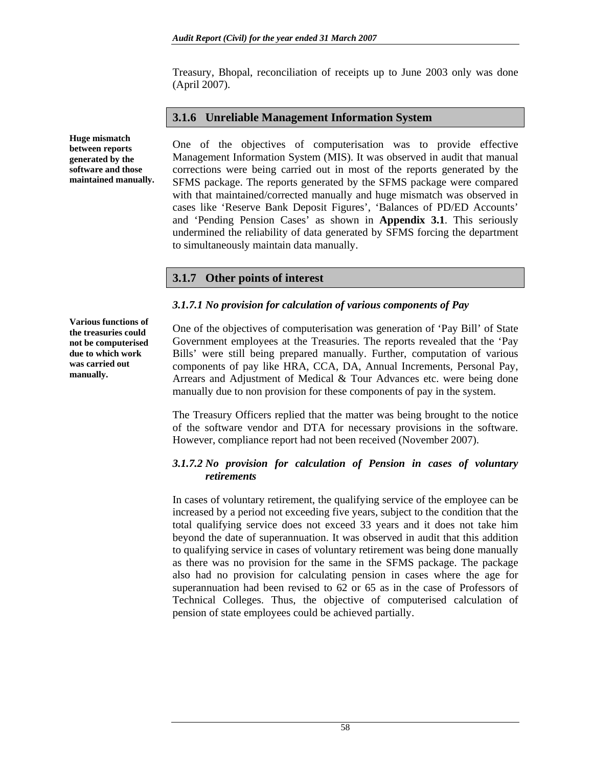Treasury, Bhopal, reconciliation of receipts up to June 2003 only was done (April 2007).

### **3.1.6 Unreliable Management Information System**

One of the objectives of computerisation was to provide effective Management Information System (MIS). It was observed in audit that manual corrections were being carried out in most of the reports generated by the SFMS package. The reports generated by the SFMS package were compared with that maintained/corrected manually and huge mismatch was observed in cases like 'Reserve Bank Deposit Figures', 'Balances of PD/ED Accounts' and 'Pending Pension Cases' as shown in **Appendix 3.1**. This seriously undermined the reliability of data generated by SFMS forcing the department to simultaneously maintain data manually.

# **3.1.7 Other points of interest**

#### *3.1.7.1 No provision for calculation of various components of Pay*

**Various functions of the treasuries could not be computerised due to which work was carried out manually.** 

**Huge mismatch between reports generated by the software and those maintained manually.** 

> One of the objectives of computerisation was generation of 'Pay Bill' of State Government employees at the Treasuries. The reports revealed that the 'Pay Bills' were still being prepared manually. Further, computation of various components of pay like HRA, CCA, DA, Annual Increments, Personal Pay, Arrears and Adjustment of Medical & Tour Advances etc. were being done manually due to non provision for these components of pay in the system.

> The Treasury Officers replied that the matter was being brought to the notice of the software vendor and DTA for necessary provisions in the software. However, compliance report had not been received (November 2007).

### *3.1.7.2 No provision for calculation of Pension in cases of voluntary retirements*

In cases of voluntary retirement, the qualifying service of the employee can be increased by a period not exceeding five years, subject to the condition that the total qualifying service does not exceed 33 years and it does not take him beyond the date of superannuation. It was observed in audit that this addition to qualifying service in cases of voluntary retirement was being done manually as there was no provision for the same in the SFMS package. The package also had no provision for calculating pension in cases where the age for superannuation had been revised to 62 or 65 as in the case of Professors of Technical Colleges. Thus, the objective of computerised calculation of pension of state employees could be achieved partially.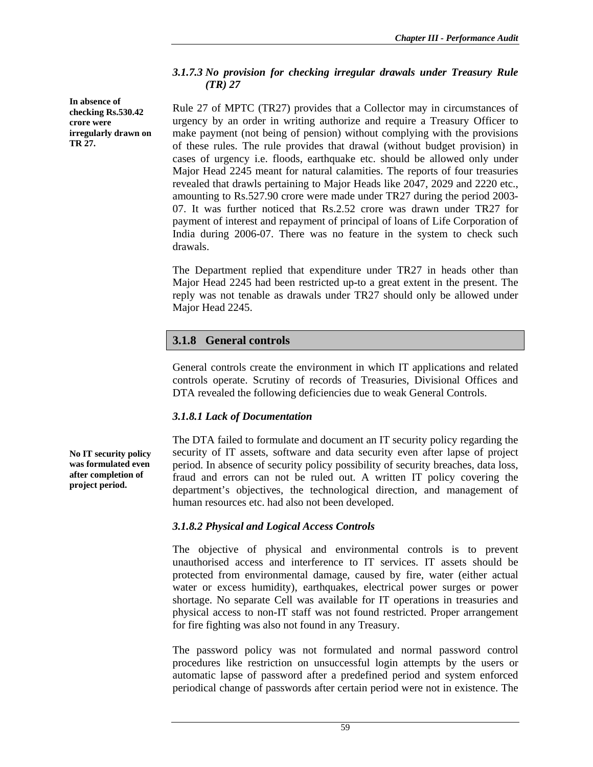### *3.1.7.3 No provision for checking irregular drawals under Treasury Rule (TR) 27*

**In absence of checking Rs.530.42 crore were irregularly drawn on TR 27.** 

Rule 27 of MPTC (TR27) provides that a Collector may in circumstances of urgency by an order in writing authorize and require a Treasury Officer to make payment (not being of pension) without complying with the provisions of these rules. The rule provides that drawal (without budget provision) in cases of urgency i.e. floods, earthquake etc. should be allowed only under Major Head 2245 meant for natural calamities. The reports of four treasuries revealed that drawls pertaining to Major Heads like 2047, 2029 and 2220 etc., amounting to Rs.527.90 crore were made under TR27 during the period 2003- 07. It was further noticed that Rs.2.52 crore was drawn under TR27 for payment of interest and repayment of principal of loans of Life Corporation of India during 2006-07. There was no feature in the system to check such drawals.

The Department replied that expenditure under TR27 in heads other than Major Head 2245 had been restricted up-to a great extent in the present. The reply was not tenable as drawals under TR27 should only be allowed under Major Head 2245.

# **3.1.8 General controls**

General controls create the environment in which IT applications and related controls operate. Scrutiny of records of Treasuries, Divisional Offices and DTA revealed the following deficiencies due to weak General Controls.

# *3.1.8.1 Lack of Documentation*

The DTA failed to formulate and document an IT security policy regarding the security of IT assets, software and data security even after lapse of project period. In absence of security policy possibility of security breaches, data loss, fraud and errors can not be ruled out. A written IT policy covering the department's objectives, the technological direction, and management of human resources etc. had also not been developed.

# *3.1.8.2 Physical and Logical Access Controls*

The objective of physical and environmental controls is to prevent unauthorised access and interference to IT services. IT assets should be protected from environmental damage, caused by fire, water (either actual water or excess humidity), earthquakes, electrical power surges or power shortage. No separate Cell was available for IT operations in treasuries and physical access to non-IT staff was not found restricted. Proper arrangement for fire fighting was also not found in any Treasury.

The password policy was not formulated and normal password control procedures like restriction on unsuccessful login attempts by the users or automatic lapse of password after a predefined period and system enforced periodical change of passwords after certain period were not in existence. The

**No IT security policy was formulated even after completion of project period.**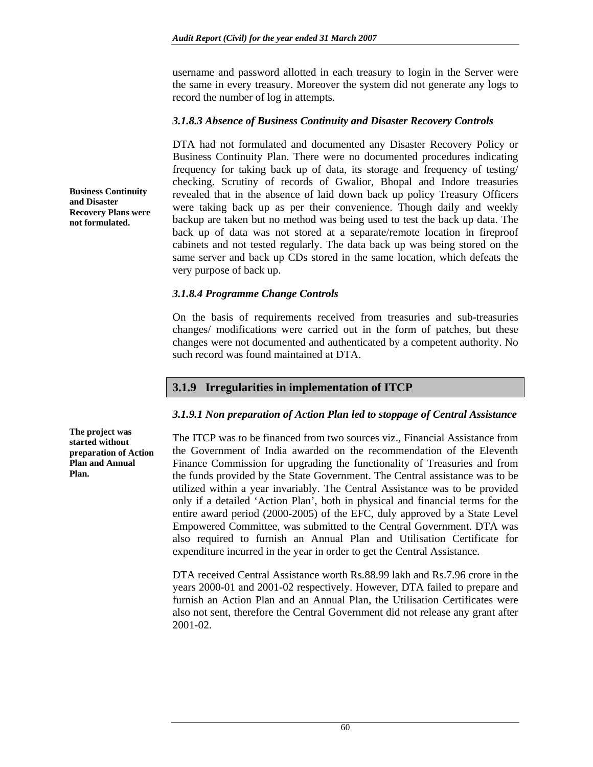username and password allotted in each treasury to login in the Server were the same in every treasury. Moreover the system did not generate any logs to record the number of log in attempts.

#### *3.1.8.3 Absence of Business Continuity and Disaster Recovery Controls*

DTA had not formulated and documented any Disaster Recovery Policy or Business Continuity Plan. There were no documented procedures indicating frequency for taking back up of data, its storage and frequency of testing/ checking. Scrutiny of records of Gwalior, Bhopal and Indore treasuries revealed that in the absence of laid down back up policy Treasury Officers were taking back up as per their convenience. Though daily and weekly backup are taken but no method was being used to test the back up data. The back up of data was not stored at a separate/remote location in fireproof cabinets and not tested regularly. The data back up was being stored on the same server and back up CDs stored in the same location, which defeats the very purpose of back up.

#### *3.1.8.4 Programme Change Controls*

On the basis of requirements received from treasuries and sub-treasuries changes/ modifications were carried out in the form of patches, but these changes were not documented and authenticated by a competent authority. No such record was found maintained at DTA.

# **3.1.9 Irregularities in implementation of ITCP**

#### *3.1.9.1 Non preparation of Action Plan led to stoppage of Central Assistance*

The ITCP was to be financed from two sources viz., Financial Assistance from the Government of India awarded on the recommendation of the Eleventh Finance Commission for upgrading the functionality of Treasuries and from the funds provided by the State Government. The Central assistance was to be utilized within a year invariably. The Central Assistance was to be provided only if a detailed 'Action Plan', both in physical and financial terms for the entire award period (2000-2005) of the EFC, duly approved by a State Level Empowered Committee, was submitted to the Central Government. DTA was also required to furnish an Annual Plan and Utilisation Certificate for expenditure incurred in the year in order to get the Central Assistance.

DTA received Central Assistance worth Rs.88.99 lakh and Rs.7.96 crore in the years 2000-01 and 2001-02 respectively. However, DTA failed to prepare and furnish an Action Plan and an Annual Plan, the Utilisation Certificates were also not sent, therefore the Central Government did not release any grant after 2001-02.

**Business Continuity and Disaster Recovery Plans were not formulated.** 

**The project was started without preparation of Action Plan and Annual Plan.**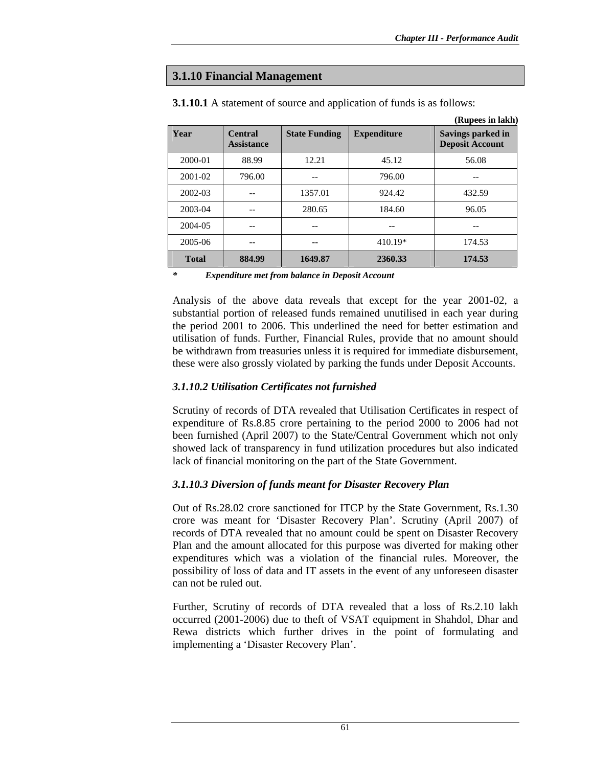### **3.1.10 Financial Management**

|              |                                     |                      |                    | (Rupees in lakh)                            |
|--------------|-------------------------------------|----------------------|--------------------|---------------------------------------------|
| Year         | <b>Central</b><br><b>Assistance</b> | <b>State Funding</b> | <b>Expenditure</b> | Savings parked in<br><b>Deposit Account</b> |
| 2000-01      | 88.99                               | 12.21                | 45.12              | 56.08                                       |
| 2001-02      | 796.00                              |                      | 796.00             |                                             |
| 2002-03      |                                     | 1357.01              | 924.42             | 432.59                                      |
| 2003-04      |                                     | 280.65               | 184.60             | 96.05                                       |
| 2004-05      | --                                  |                      |                    | --                                          |
| 2005-06      | --                                  |                      | $410.19*$          | 174.53                                      |
| <b>Total</b> | 884.99                              | 1649.87              | 2360.33            | 174.53                                      |

**3.1.10.1** A statement of source and application of funds is as follows:

*\* Expenditure met from balance in Deposit Account* 

Analysis of the above data reveals that except for the year 2001-02, a substantial portion of released funds remained unutilised in each year during the period 2001 to 2006. This underlined the need for better estimation and utilisation of funds. Further, Financial Rules, provide that no amount should be withdrawn from treasuries unless it is required for immediate disbursement, these were also grossly violated by parking the funds under Deposit Accounts.

#### *3.1.10.2 Utilisation Certificates not furnished*

Scrutiny of records of DTA revealed that Utilisation Certificates in respect of expenditure of Rs.8.85 crore pertaining to the period 2000 to 2006 had not been furnished (April 2007) to the State/Central Government which not only showed lack of transparency in fund utilization procedures but also indicated lack of financial monitoring on the part of the State Government.

#### *3.1.10.3 Diversion of funds meant for Disaster Recovery Plan*

Out of Rs.28.02 crore sanctioned for ITCP by the State Government, Rs.1.30 crore was meant for 'Disaster Recovery Plan'. Scrutiny (April 2007) of records of DTA revealed that no amount could be spent on Disaster Recovery Plan and the amount allocated for this purpose was diverted for making other expenditures which was a violation of the financial rules. Moreover, the possibility of loss of data and IT assets in the event of any unforeseen disaster can not be ruled out.

Further, Scrutiny of records of DTA revealed that a loss of Rs.2.10 lakh occurred (2001-2006) due to theft of VSAT equipment in Shahdol, Dhar and Rewa districts which further drives in the point of formulating and implementing a 'Disaster Recovery Plan'.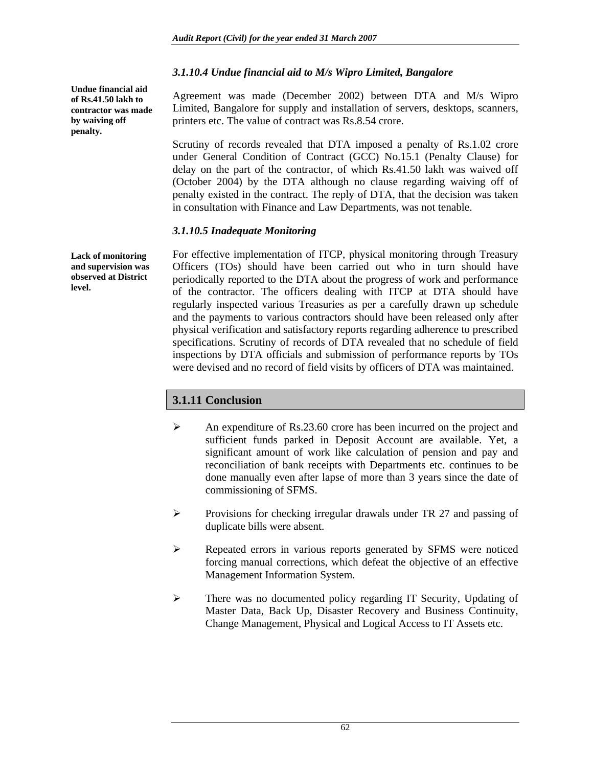### *3.1.10.4 Undue financial aid to M/s Wipro Limited, Bangalore*

**Undue financial aid penalty.** 

**of Rs.41.50 lakh to contractor was made by waiving off** 

**Lack of monitoring and supervision was observed at District level.** 

Agreement was made (December 2002) between DTA and M/s Wipro Limited, Bangalore for supply and installation of servers, desktops, scanners, printers etc. The value of contract was Rs.8.54 crore.

Scrutiny of records revealed that DTA imposed a penalty of Rs.1.02 crore under General Condition of Contract (GCC) No.15.1 (Penalty Clause) for delay on the part of the contractor, of which Rs.41.50 lakh was waived off (October 2004) by the DTA although no clause regarding waiving off of penalty existed in the contract. The reply of DTA, that the decision was taken in consultation with Finance and Law Departments, was not tenable.

### *3.1.10.5 Inadequate Monitoring*

For effective implementation of ITCP, physical monitoring through Treasury Officers (TOs) should have been carried out who in turn should have periodically reported to the DTA about the progress of work and performance of the contractor. The officers dealing with ITCP at DTA should have regularly inspected various Treasuries as per a carefully drawn up schedule and the payments to various contractors should have been released only after physical verification and satisfactory reports regarding adherence to prescribed specifications. Scrutiny of records of DTA revealed that no schedule of field inspections by DTA officials and submission of performance reports by TOs were devised and no record of field visits by officers of DTA was maintained.

# **3.1.11 Conclusion**

- ¾ An expenditure of Rs.23.60 crore has been incurred on the project and sufficient funds parked in Deposit Account are available. Yet, a significant amount of work like calculation of pension and pay and reconciliation of bank receipts with Departments etc. continues to be done manually even after lapse of more than 3 years since the date of commissioning of SFMS.
- $\triangleright$  Provisions for checking irregular drawals under TR 27 and passing of duplicate bills were absent.
- ¾ Repeated errors in various reports generated by SFMS were noticed forcing manual corrections, which defeat the objective of an effective Management Information System.
- $\triangleright$  There was no documented policy regarding IT Security, Updating of Master Data, Back Up, Disaster Recovery and Business Continuity, Change Management, Physical and Logical Access to IT Assets etc.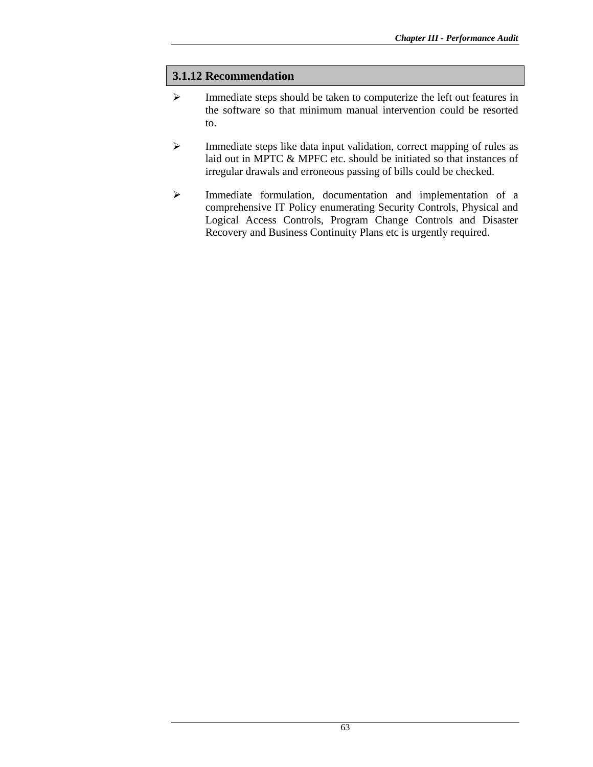### **3.1.12 Recommendation**

- ¾ Immediate steps should be taken to computerize the left out features in the software so that minimum manual intervention could be resorted to.
- ¾ Immediate steps like data input validation, correct mapping of rules as laid out in MPTC & MPFC etc. should be initiated so that instances of irregular drawals and erroneous passing of bills could be checked.
- ¾ Immediate formulation, documentation and implementation of a comprehensive IT Policy enumerating Security Controls, Physical and Logical Access Controls, Program Change Controls and Disaster Recovery and Business Continuity Plans etc is urgently required.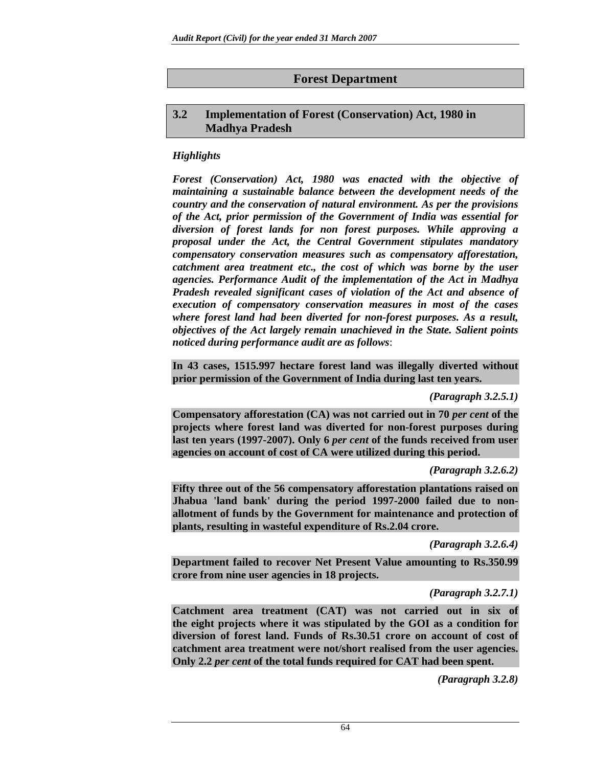# **Forest Department**

# **3.2 Implementation of Forest (Conservation) Act, 1980 in Madhya Pradesh**

# *Highlights*

*Forest (Conservation) Act, 1980 was enacted with the objective of maintaining a sustainable balance between the development needs of the country and the conservation of natural environment. As per the provisions of the Act, prior permission of the Government of India was essential for diversion of forest lands for non forest purposes. While approving a proposal under the Act, the Central Government stipulates mandatory compensatory conservation measures such as compensatory afforestation, catchment area treatment etc., the cost of which was borne by the user agencies. Performance Audit of the implementation of the Act in Madhya Pradesh revealed significant cases of violation of the Act and absence of execution of compensatory conservation measures in most of the cases where forest land had been diverted for non-forest purposes. As a result, objectives of the Act largely remain unachieved in the State. Salient points noticed during performance audit are as follows*:

**In 43 cases, 1515.997 hectare forest land was illegally diverted without prior permission of the Government of India during last ten years.** 

*(Paragraph 3.2.5.1)* 

**Compensatory afforestation (CA) was not carried out in 70** *per cent* **of the projects where forest land was diverted for non-forest purposes during last ten years (1997-2007). Only 6** *per cent* **of the funds received from user agencies on account of cost of CA were utilized during this period.** 

*(Paragraph 3.2.6.2)* 

**Fifty three out of the 56 compensatory afforestation plantations raised on Jhabua 'land bank' during the period 1997-2000 failed due to nonallotment of funds by the Government for maintenance and protection of plants, resulting in wasteful expenditure of Rs.2.04 crore.** 

*(Paragraph 3.2.6.4)* 

**Department failed to recover Net Present Value amounting to Rs.350.99 crore from nine user agencies in 18 projects.** 

*(Paragraph 3.2.7.1)* 

**Catchment area treatment (CAT) was not carried out in six of the eight projects where it was stipulated by the GOI as a condition for diversion of forest land. Funds of Rs.30.51 crore on account of cost of catchment area treatment were not/short realised from the user agencies. Only 2.2** *per cent* **of the total funds required for CAT had been spent.** 

*(Paragraph 3.2.8)*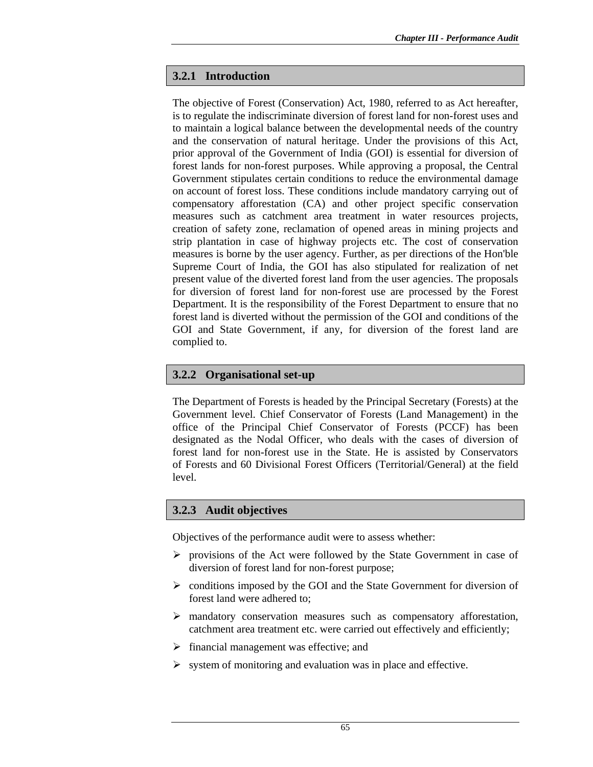### **3.2.1 Introduction**

The objective of Forest (Conservation) Act, 1980, referred to as Act hereafter, is to regulate the indiscriminate diversion of forest land for non-forest uses and to maintain a logical balance between the developmental needs of the country and the conservation of natural heritage. Under the provisions of this Act, prior approval of the Government of India (GOI) is essential for diversion of forest lands for non-forest purposes. While approving a proposal, the Central Government stipulates certain conditions to reduce the environmental damage on account of forest loss. These conditions include mandatory carrying out of compensatory afforestation (CA) and other project specific conservation measures such as catchment area treatment in water resources projects, creation of safety zone, reclamation of opened areas in mining projects and strip plantation in case of highway projects etc. The cost of conservation measures is borne by the user agency. Further, as per directions of the Hon'ble Supreme Court of India, the GOI has also stipulated for realization of net present value of the diverted forest land from the user agencies. The proposals for diversion of forest land for non-forest use are processed by the Forest Department. It is the responsibility of the Forest Department to ensure that no forest land is diverted without the permission of the GOI and conditions of the GOI and State Government, if any, for diversion of the forest land are complied to.

### **3.2.2 Organisational set-up**

The Department of Forests is headed by the Principal Secretary (Forests) at the Government level. Chief Conservator of Forests (Land Management) in the office of the Principal Chief Conservator of Forests (PCCF) has been designated as the Nodal Officer, who deals with the cases of diversion of forest land for non-forest use in the State. He is assisted by Conservators of Forests and 60 Divisional Forest Officers (Territorial/General) at the field level.

# **3.2.3 Audit objectives**

Objectives of the performance audit were to assess whether:

- $\triangleright$  provisions of the Act were followed by the State Government in case of diversion of forest land for non-forest purpose;
- $\triangleright$  conditions imposed by the GOI and the State Government for diversion of forest land were adhered to;
- $\triangleright$  mandatory conservation measures such as compensatory afforestation, catchment area treatment etc. were carried out effectively and efficiently;
- $\triangleright$  financial management was effective; and
- $\triangleright$  system of monitoring and evaluation was in place and effective.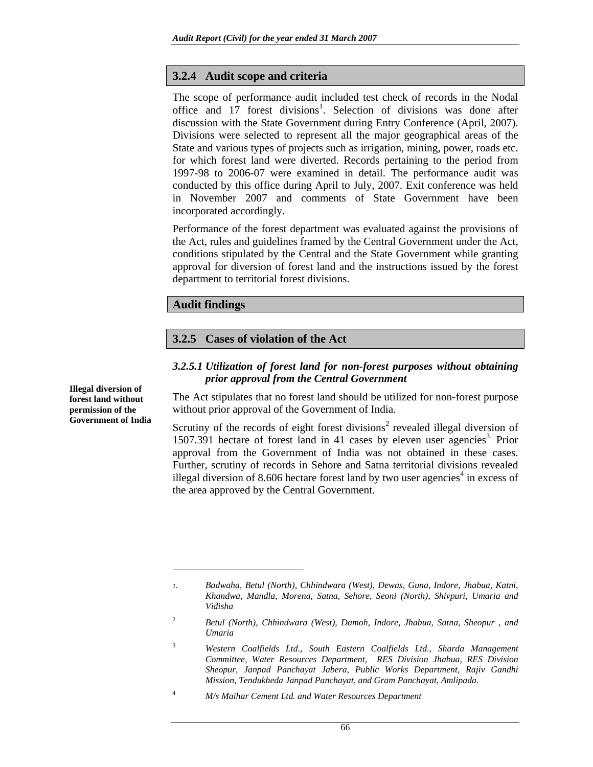### **3.2.4 Audit scope and criteria**

The scope of performance audit included test check of records in the Nodal office and  $17$  forest divisions<sup>1</sup>. Selection of divisions was done after discussion with the State Government during Entry Conference (April, 2007). Divisions were selected to represent all the major geographical areas of the State and various types of projects such as irrigation, mining, power, roads etc. for which forest land were diverted. Records pertaining to the period from 1997-98 to 2006-07 were examined in detail. The performance audit was conducted by this office during April to July, 2007. Exit conference was held in November 2007 and comments of State Government have been incorporated accordingly.

Performance of the forest department was evaluated against the provisions of the Act, rules and guidelines framed by the Central Government under the Act, conditions stipulated by the Central and the State Government while granting approval for diversion of forest land and the instructions issued by the forest department to territorial forest divisions.

### **Audit findings**

 $\overline{\phantom{a}}$ 

### **3.2.5 Cases of violation of the Act**

#### *3.2.5.1 Utilization of forest land for non-forest purposes without obtaining prior approval from the Central Government*

The Act stipulates that no forest land should be utilized for non-forest purpose without prior approval of the Government of India.

Scrutiny of the records of eight forest divisions<sup>2</sup> revealed illegal diversion of 1507.391 hectare of forest land in 41 cases by eleven user agencies<sup>3.</sup> Prior approval from the Government of India was not obtained in these cases. Further, scrutiny of records in Sehore and Satna territorial divisions revealed illegal diversion of 8.606 hectare forest land by two user agencies<sup>4</sup> in excess of the area approved by the Central Government.

4  *M/s Maihar Cement Ltd. and Water Resources Department* 

**Illegal diversion of forest land without permission of the Government of India** 

*<sup>1.</sup> Badwaha, Betul (North), Chhindwara (West), Dewas, Guna, Indore, Jhabua, Katni, Khandwa, Mandla, Morena, Satna, Sehore, Seoni (North), Shivpuri, Umaria and Vidisha* 

<sup>2</sup>  *Betul (North), Chhindwara (West), Damoh, Indore, Jhabua, Satna, Sheopur , and Umaria* 

<sup>3</sup>  *Western Coalfields Ltd., South Eastern Coalfields Ltd., Sharda Management Committee, Water Resources Department, RES Division Jhabua, RES Division Sheopur, Janpad Panchayat Jabera, Public Works Department, Rajiv Gandhi Mission, Tendukheda Janpad Panchayat, and Gram Panchayat, Amlipada.*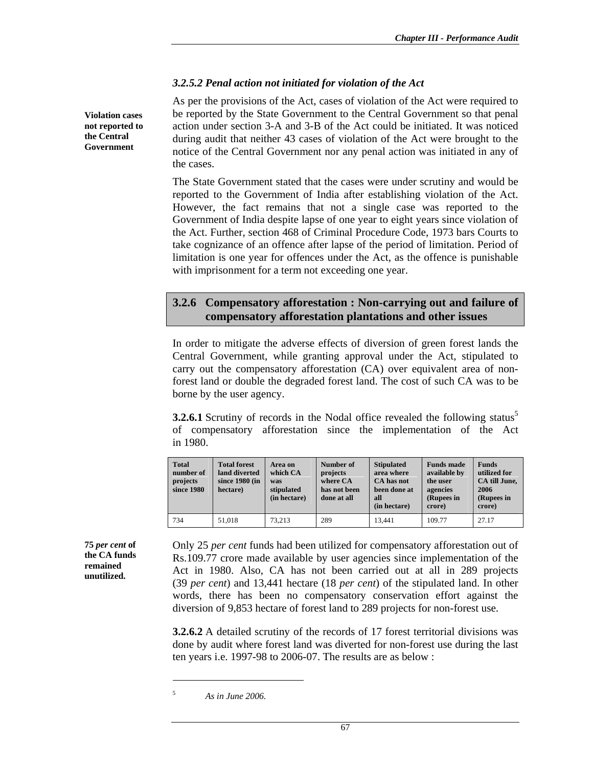### *3.2.5.2 Penal action not initiated for violation of the Act*

As per the provisions of the Act, cases of violation of the Act were required to be reported by the State Government to the Central Government so that penal action under section 3-A and 3-B of the Act could be initiated. It was noticed during audit that neither 43 cases of violation of the Act were brought to the notice of the Central Government nor any penal action was initiated in any of the cases.

The State Government stated that the cases were under scrutiny and would be reported to the Government of India after establishing violation of the Act. However, the fact remains that not a single case was reported to the Government of India despite lapse of one year to eight years since violation of the Act. Further, section 468 of Criminal Procedure Code, 1973 bars Courts to take cognizance of an offence after lapse of the period of limitation. Period of limitation is one year for offences under the Act, as the offence is punishable with imprisonment for a term not exceeding one year.

# **3.2.6 Compensatory afforestation : Non-carrying out and failure of compensatory afforestation plantations and other issues**

In order to mitigate the adverse effects of diversion of green forest lands the Central Government, while granting approval under the Act, stipulated to carry out the compensatory afforestation (CA) over equivalent area of nonforest land or double the degraded forest land. The cost of such CA was to be borne by the user agency.

**3.2.6.1** Scrutiny of records in the Nodal office revealed the following status<sup>5</sup> of compensatory afforestation since the implementation of the Act in 1980.

| <b>Total</b><br>number of<br>projects<br>since 1980 | <b>Total forest</b><br>land diverted<br>since $1980$ (in<br>hectare) | Area on<br>which CA<br>was<br>stipulated<br>(in hectare) | Number of<br>projects<br>where CA<br>has not been<br>done at all | <b>Stipulated</b><br>area where<br>CA has not<br>been done at<br>all<br>(in hectare) | <b>Funds</b> made<br>available by<br>the user<br>agencies<br>(Rupees in<br>crore) | <b>Funds</b><br>utilized for<br>CA till June,<br>2006<br>(Rupees in<br>crore) |
|-----------------------------------------------------|----------------------------------------------------------------------|----------------------------------------------------------|------------------------------------------------------------------|--------------------------------------------------------------------------------------|-----------------------------------------------------------------------------------|-------------------------------------------------------------------------------|
| 734                                                 | 51,018                                                               | 73.213                                                   | 289                                                              | 13.441                                                                               | 109.77                                                                            | 27.17                                                                         |

**75** *per cent* **of the CA funds remained unutilized.** 

**Violation cases not reported to the Central Government** 

> Only 25 *per cent* funds had been utilized for compensatory afforestation out of Rs.109.77 crore made available by user agencies since implementation of the Act in 1980. Also, CA has not been carried out at all in 289 projects (39 *per cent*) and 13,441 hectare (18 *per cent*) of the stipulated land. In other words, there has been no compensatory conservation effort against the diversion of 9,853 hectare of forest land to 289 projects for non-forest use.

> **3.2.6.2** A detailed scrutiny of the records of 17 forest territorial divisions was done by audit where forest land was diverted for non-forest use during the last ten years i.e. 1997-98 to 2006-07. The results are as below :

 $\overline{a}$ 

<sup>5</sup>  *As in June 2006.*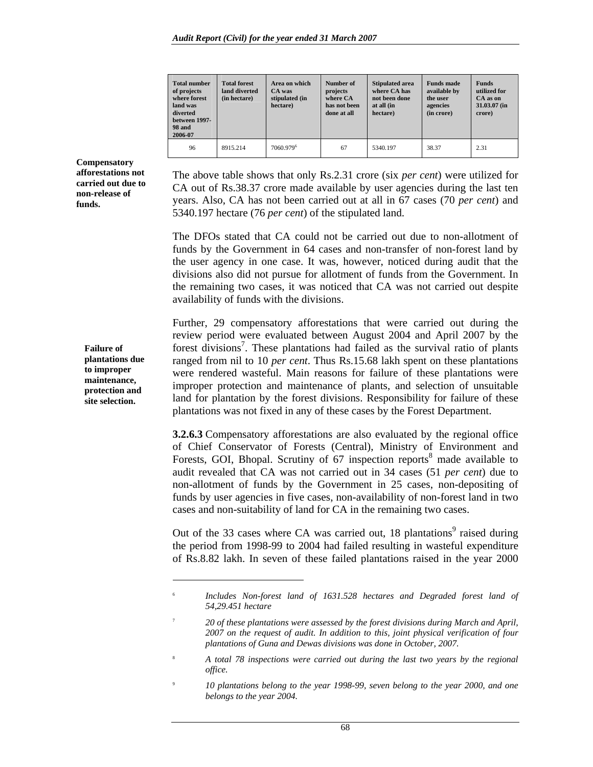| <b>Total number</b><br>of projects<br>where forest<br>land was<br>diverted<br>between 1997-<br><b>98 and</b><br>2006-07 | <b>Total forest</b><br>land diverted<br>(in hectare) | Area on which<br>CA was<br>stipulated (in<br>hectare) | Number of<br>projects<br>where CA<br>has not been<br>done at all | <b>Stipulated area</b><br>where CA has<br>not been done<br>at all (in<br>hectare) | <b>Funds made</b><br>available by<br>the user<br>agencies<br>(in crore) | <b>Funds</b><br>utilized for<br>CA as on<br>31.03.07 (in<br>crore) |
|-------------------------------------------------------------------------------------------------------------------------|------------------------------------------------------|-------------------------------------------------------|------------------------------------------------------------------|-----------------------------------------------------------------------------------|-------------------------------------------------------------------------|--------------------------------------------------------------------|
| 96                                                                                                                      | 8915.214                                             | 7060.979 <sup>6</sup>                                 | 67                                                               | 5340.197                                                                          | 38.37                                                                   | 2.31                                                               |

The above table shows that only Rs.2.31 crore (six *per cent*) were utilized for CA out of Rs.38.37 crore made available by user agencies during the last ten years. Also, CA has not been carried out at all in 67 cases (70 *per cent*) and 5340.197 hectare (76 *per cent*) of the stipulated land.

The DFOs stated that CA could not be carried out due to non-allotment of funds by the Government in 64 cases and non-transfer of non-forest land by the user agency in one case. It was, however, noticed during audit that the divisions also did not pursue for allotment of funds from the Government. In the remaining two cases, it was noticed that CA was not carried out despite availability of funds with the divisions.

Further, 29 compensatory afforestations that were carried out during the review period were evaluated between August 2004 and April 2007 by the forest divisions<sup>7</sup>. These plantations had failed as the survival ratio of plants ranged from nil to 10 *per cent*. Thus Rs.15.68 lakh spent on these plantations were rendered wasteful. Main reasons for failure of these plantations were improper protection and maintenance of plants, and selection of unsuitable land for plantation by the forest divisions. Responsibility for failure of these plantations was not fixed in any of these cases by the Forest Department.

**3.2.6.3** Compensatory afforestations are also evaluated by the regional office of Chief Conservator of Forests (Central), Ministry of Environment and Forests, GOI, Bhopal. Scrutiny of 67 inspection reports<sup>8</sup> made available to audit revealed that CA was not carried out in 34 cases (51 *per cent*) due to non-allotment of funds by the Government in 25 cases, non-depositing of funds by user agencies in five cases, non-availability of non-forest land in two cases and non-suitability of land for CA in the remaining two cases.

Out of the 33 cases where CA was carried out,  $18$  plantations<sup>9</sup> raised during the period from 1998-99 to 2004 had failed resulting in wasteful expenditure of Rs.8.82 lakh. In seven of these failed plantations raised in the year 2000

9  *10 plantations belong to the year 1998-99, seven belong to the year 2000, and one belongs to the year 2004.* 

**Compensatory afforestations not carried out due to non-release of funds.** 

> **Failure of plantations due to improper maintenance, protection and site selection.**

> > $\overline{a}$

<sup>6</sup>  *Includes Non-forest land of 1631.528 hectares and Degraded forest land of 54,29.451 hectare* 

<sup>7</sup>  *20 of these plantations were assessed by the forest divisions during March and April, 2007 on the request of audit. In addition to this, joint physical verification of four plantations of Guna and Dewas divisions was done in October, 2007.* 

<sup>8</sup>  *A total 78 inspections were carried out during the last two years by the regional office.*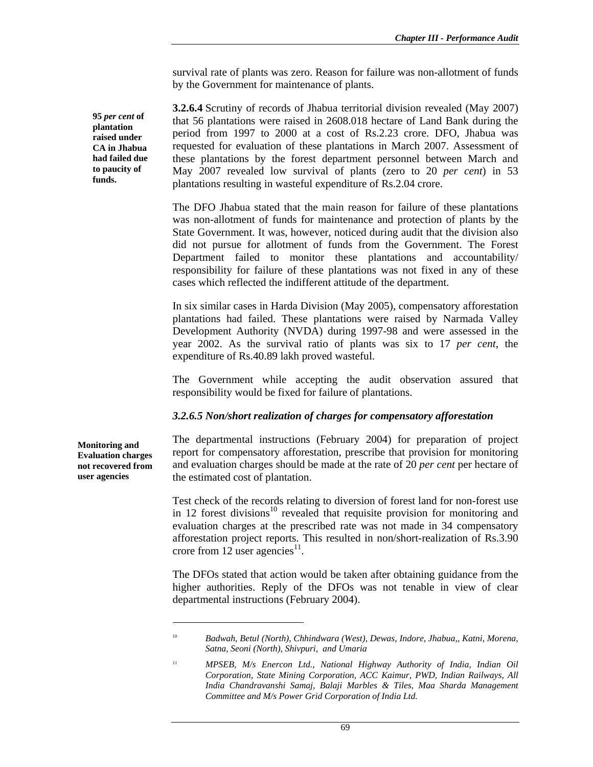survival rate of plants was zero. Reason for failure was non-allotment of funds by the Government for maintenance of plants.

**3.2.6.4** Scrutiny of records of Jhabua territorial division revealed (May 2007) that 56 plantations were raised in 2608.018 hectare of Land Bank during the period from 1997 to 2000 at a cost of Rs.2.23 crore. DFO, Jhabua was requested for evaluation of these plantations in March 2007. Assessment of these plantations by the forest department personnel between March and May 2007 revealed low survival of plants (zero to 20 *per cent*) in 53 plantations resulting in wasteful expenditure of Rs.2.04 crore.

The DFO Jhabua stated that the main reason for failure of these plantations was non-allotment of funds for maintenance and protection of plants by the State Government. It was, however, noticed during audit that the division also did not pursue for allotment of funds from the Government. The Forest Department failed to monitor these plantations and accountability/ responsibility for failure of these plantations was not fixed in any of these cases which reflected the indifferent attitude of the department.

In six similar cases in Harda Division (May 2005), compensatory afforestation plantations had failed. These plantations were raised by Narmada Valley Development Authority (NVDA) during 1997-98 and were assessed in the year 2002. As the survival ratio of plants was six to 17 *per cent*, the expenditure of Rs.40.89 lakh proved wasteful.

The Government while accepting the audit observation assured that responsibility would be fixed for failure of plantations.

#### *3.2.6.5 Non/short realization of charges for compensatory afforestation*

The departmental instructions (February 2004) for preparation of project report for compensatory afforestation, prescribe that provision for monitoring and evaluation charges should be made at the rate of 20 *per cent* per hectare of the estimated cost of plantation.

Test check of the records relating to diversion of forest land for non-forest use in 12 forest divisions<sup>10</sup> revealed that requisite provision for monitoring and evaluation charges at the prescribed rate was not made in 34 compensatory afforestation project reports. This resulted in non/short-realization of Rs.3.90 crore from 12 user agencies<sup>11</sup>.

The DFOs stated that action would be taken after obtaining guidance from the higher authorities. Reply of the DFOs was not tenable in view of clear departmental instructions (February 2004).

**95** *per cent* **of plantation raised under CA in Jhabua had failed due to paucity of funds.** 

**Monitoring and Evaluation charges not recovered from user agencies** 

 $\overline{\phantom{a}}$ 

<sup>10</sup> *Badwah, Betul (North), Chhindwara (West), Dewas, Indore, Jhabua,, Katni, Morena, Satna, Seoni (North), Shivpuri, and Umaria* 

*<sup>11</sup> MPSEB, M/s Enercon Ltd., National Highway Authority of India, Indian Oil Corporation, State Mining Corporation, ACC Kaimur, PWD, Indian Railways, All India Chandravanshi Samaj, Balaji Marbles & Tiles, Maa Sharda Management Committee and M/s Power Grid Corporation of India Ltd.*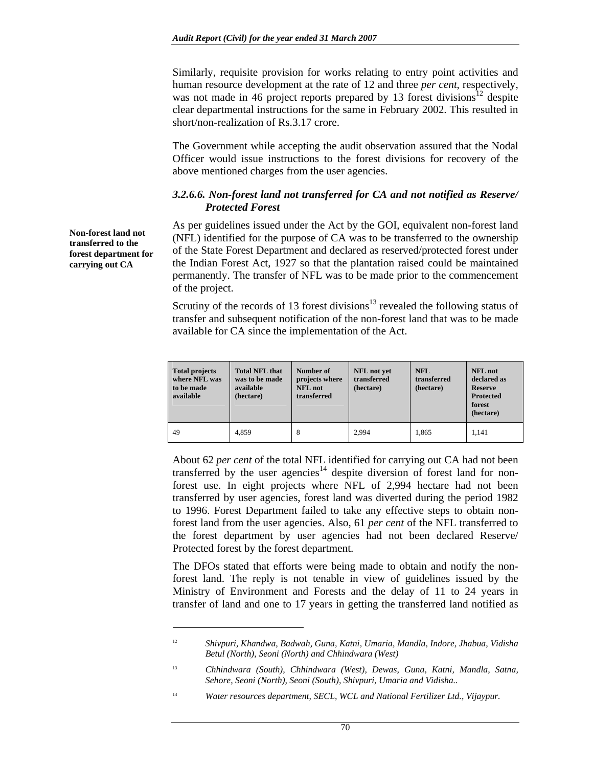Similarly, requisite provision for works relating to entry point activities and human resource development at the rate of 12 and three *per cent*, respectively, was not made in 46 project reports prepared by 13 forest divisions<sup>12</sup> despite clear departmental instructions for the same in February 2002. This resulted in short/non-realization of Rs.3.17 crore.

The Government while accepting the audit observation assured that the Nodal Officer would issue instructions to the forest divisions for recovery of the above mentioned charges from the user agencies.

#### *3.2.6.6. Non-forest land not transferred for CA and not notified as Reserve/ Protected Forest*

As per guidelines issued under the Act by the GOI, equivalent non-forest land (NFL) identified for the purpose of CA was to be transferred to the ownership of the State Forest Department and declared as reserved/protected forest under the Indian Forest Act, 1927 so that the plantation raised could be maintained permanently. The transfer of NFL was to be made prior to the commencement of the project.

Scrutiny of the records of 13 forest divisions<sup>13</sup> revealed the following status of transfer and subsequent notification of the non-forest land that was to be made available for CA since the implementation of the Act.

| <b>Total projects</b><br>where NFL was<br>to be made<br>available | <b>Total NFL that</b><br>was to be made<br>available<br>(hectare) | Number of<br>projects where<br><b>NFL</b> not<br>transferred | NFL not yet<br>transferred<br>(hectare) | <b>NFL</b><br>transferred<br>(hectare) | <b>NFL</b> not<br>declared as<br><b>Reserve</b><br><b>Protected</b><br>forest<br>(hectare) |
|-------------------------------------------------------------------|-------------------------------------------------------------------|--------------------------------------------------------------|-----------------------------------------|----------------------------------------|--------------------------------------------------------------------------------------------|
| 49                                                                | 4.859                                                             | 8                                                            | 2.994                                   | 1,865                                  | 1.141                                                                                      |

About 62 *per cent* of the total NFL identified for carrying out CA had not been transferred by the user agencies<sup>14</sup> despite diversion of forest land for nonforest use. In eight projects where NFL of 2,994 hectare had not been transferred by user agencies, forest land was diverted during the period 1982 to 1996. Forest Department failed to take any effective steps to obtain nonforest land from the user agencies. Also, 61 *per cent* of the NFL transferred to the forest department by user agencies had not been declared Reserve/ Protected forest by the forest department.

The DFOs stated that efforts were being made to obtain and notify the nonforest land. The reply is not tenable in view of guidelines issued by the Ministry of Environment and Forests and the delay of 11 to 24 years in transfer of land and one to 17 years in getting the transferred land notified as

**Non-forest land not transferred to the forest department for carrying out CA** 

 $\overline{\phantom{a}}$ 

<sup>12</sup> *Shivpuri, Khandwa, Badwah, Guna, Katni, Umaria, Mandla, Indore, Jhabua, Vidisha Betul (North), Seoni (North) and Chhindwara (West)* 

<sup>13</sup> *Chhindwara (South), Chhindwara (West), Dewas, Guna, Katni, Mandla, Satna, Sehore, Seoni (North), Seoni (South), Shivpuri, Umaria and Vidisha..* 

<sup>&</sup>lt;sup>14</sup> Water resources department, SECL, WCL and National Fertilizer Ltd., Vijaypur.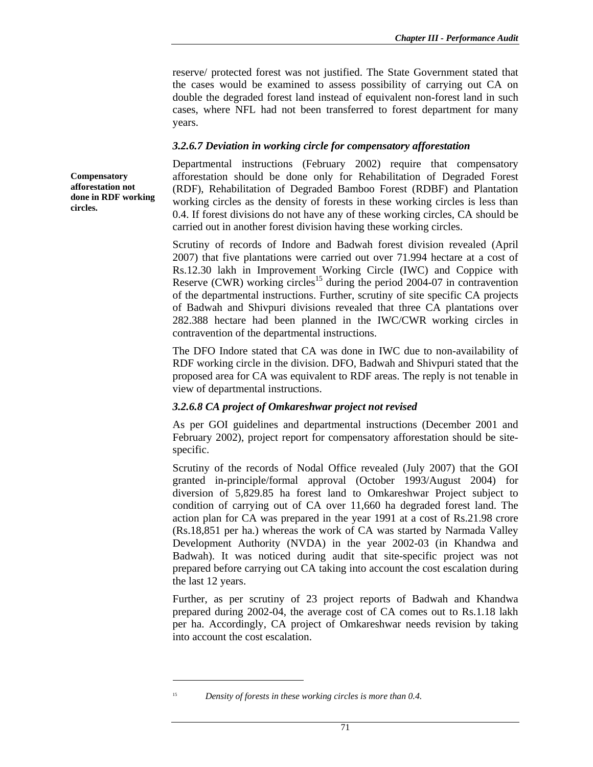reserve/ protected forest was not justified. The State Government stated that the cases would be examined to assess possibility of carrying out CA on double the degraded forest land instead of equivalent non-forest land in such cases, where NFL had not been transferred to forest department for many years.

#### *3.2.6.7 Deviation in working circle for compensatory afforestation*

Departmental instructions (February 2002) require that compensatory afforestation should be done only for Rehabilitation of Degraded Forest (RDF), Rehabilitation of Degraded Bamboo Forest (RDBF) and Plantation working circles as the density of forests in these working circles is less than 0.4. If forest divisions do not have any of these working circles, CA should be carried out in another forest division having these working circles.

Scrutiny of records of Indore and Badwah forest division revealed (April 2007) that five plantations were carried out over 71.994 hectare at a cost of Rs.12.30 lakh in Improvement Working Circle (IWC) and Coppice with Reserve (CWR) working circles<sup>15</sup> during the period 2004-07 in contravention of the departmental instructions. Further, scrutiny of site specific CA projects of Badwah and Shivpuri divisions revealed that three CA plantations over 282.388 hectare had been planned in the IWC/CWR working circles in contravention of the departmental instructions.

The DFO Indore stated that CA was done in IWC due to non-availability of RDF working circle in the division. DFO, Badwah and Shivpuri stated that the proposed area for CA was equivalent to RDF areas. The reply is not tenable in view of departmental instructions.

#### *3.2.6.8 CA project of Omkareshwar project not revised*

As per GOI guidelines and departmental instructions (December 2001 and February 2002), project report for compensatory afforestation should be sitespecific.

Scrutiny of the records of Nodal Office revealed (July 2007) that the GOI granted in-principle/formal approval (October 1993/August 2004) for diversion of 5,829.85 ha forest land to Omkareshwar Project subject to condition of carrying out of CA over 11,660 ha degraded forest land. The action plan for CA was prepared in the year 1991 at a cost of Rs.21.98 crore (Rs.18,851 per ha.) whereas the work of CA was started by Narmada Valley Development Authority (NVDA) in the year 2002-03 (in Khandwa and Badwah). It was noticed during audit that site-specific project was not prepared before carrying out CA taking into account the cost escalation during the last 12 years.

Further, as per scrutiny of 23 project reports of Badwah and Khandwa prepared during 2002-04, the average cost of CA comes out to Rs.1.18 lakh per ha. Accordingly, CA project of Omkareshwar needs revision by taking into account the cost escalation.

 $\overline{a}$ 

**Compensatory afforestation not done in RDF working circles.** 

<sup>&</sup>lt;sup>15</sup> Density of forests in these working circles is more than 0.4.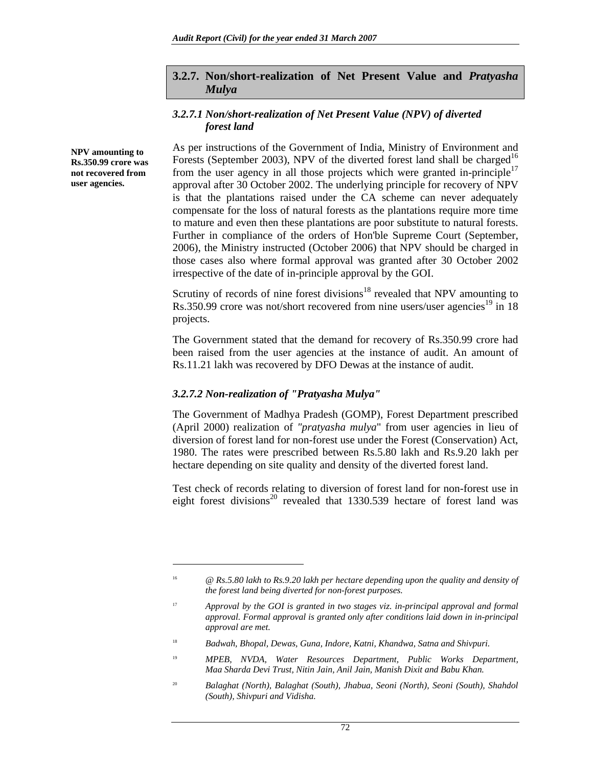### **3.2.7. Non/short-realization of Net Present Value and** *Pratyasha Mulya*

#### *3.2.7.1 Non/short-realization of Net Present Value (NPV) of diverted forest land*

**NPV amounting to Rs.350.99 crore was not recovered from user agencies.** 

 $\overline{\phantom{a}}$ 

As per instructions of the Government of India, Ministry of Environment and Forests (September 2003), NPV of the diverted forest land shall be charged<sup>16</sup> from the user agency in all those projects which were granted in-principle<sup>17</sup> approval after 30 October 2002. The underlying principle for recovery of NPV is that the plantations raised under the CA scheme can never adequately compensate for the loss of natural forests as the plantations require more time to mature and even then these plantations are poor substitute to natural forests. Further in compliance of the orders of Hon'ble Supreme Court (September, 2006), the Ministry instructed (October 2006) that NPV should be charged in those cases also where formal approval was granted after 30 October 2002 irrespective of the date of in-principle approval by the GOI.

Scrutiny of records of nine forest divisions<sup>18</sup> revealed that NPV amounting to Rs.350.99 crore was not/short recovered from nine users/user agencies<sup>19</sup> in 18 projects.

The Government stated that the demand for recovery of Rs.350.99 crore had been raised from the user agencies at the instance of audit. An amount of Rs.11.21 lakh was recovered by DFO Dewas at the instance of audit.

#### *3.2.7.2 Non-realization of "Pratyasha Mulya"*

The Government of Madhya Pradesh (GOMP), Forest Department prescribed (April 2000) realization of *"pratyasha mulya*" from user agencies in lieu of diversion of forest land for non-forest use under the Forest (Conservation) Act, 1980. The rates were prescribed between Rs.5.80 lakh and Rs.9.20 lakh per hectare depending on site quality and density of the diverted forest land.

Test check of records relating to diversion of forest land for non-forest use in eight forest divisions<sup>20</sup> revealed that  $1330.539$  hectare of forest land was

<sup>16</sup> *@ Rs.5.80 lakh to Rs.9.20 lakh per hectare depending upon the quality and density of the forest land being diverted for non-forest purposes.* 

<sup>&</sup>lt;sup>17</sup> Approval by the GOI is granted in two stages viz. in-principal approval and formal *approval. Formal approval is granted only after conditions laid down in in-principal approval are met.* 

<sup>&</sup>lt;sup>18</sup> Badwah, Bhopal, Dewas, Guna, Indore, Katni, Khandwa, Satna and Shivpuri.

<sup>19</sup> *MPEB, NVDA, Water Resources Department, Public Works Department, Maa Sharda Devi Trust, Nitin Jain, Anil Jain, Manish Dixit and Babu Khan.* 

<sup>20</sup> *Balaghat (North), Balaghat (South), Jhabua, Seoni (North), Seoni (South), Shahdol (South), Shivpuri and Vidisha.*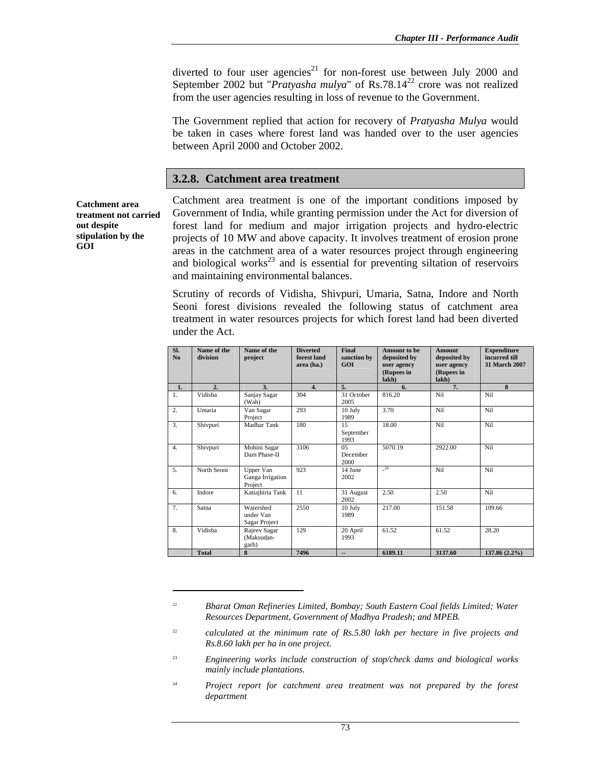diverted to four user agencies<sup>21</sup> for non-forest use between July 2000 and September 2002 but "*Pratyasha mulya*" of Rs.78.14<sup>22</sup> crore was not realized from the user agencies resulting in loss of revenue to the Government.

The Government replied that action for recovery of *Pratyasha Mulya* would be taken in cases where forest land was handed over to the user agencies between April 2000 and October 2002.

### **3.2.8. Catchment area treatment**

**Catchment area treatment not carried out despite stipulation by the GOI** 

 $\overline{a}$ 

Catchment area treatment is one of the important conditions imposed by Government of India, while granting permission under the Act for diversion of forest land for medium and major irrigation projects and hydro-electric projects of 10 MW and above capacity. It involves treatment of erosion prone areas in the catchment area of a water resources project through engineering and biological works $^{23}$  and is essential for preventing siltation of reservoirs and maintaining environmental balances.

Scrutiny of records of Vidisha, Shivpuri, Umaria, Satna, Indore and North Seoni forest divisions revealed the following status of catchment area treatment in water resources projects for which forest land had been diverted under the Act.

| SI.<br>No        | Name of the<br>division | Name of the<br>project                   | <b>Diverted</b><br>forest land<br>area (ha.) | Final<br>sanction by<br>GOI | <b>Amount to be</b><br>deposited by<br>user agency<br>(Rupees in<br>lakh) | <b>Amount</b><br>deposited by<br>user agency<br>(Rupees in<br>lakh) | <b>Expenditure</b><br>incurred till<br>31 March 2007 |
|------------------|-------------------------|------------------------------------------|----------------------------------------------|-----------------------------|---------------------------------------------------------------------------|---------------------------------------------------------------------|------------------------------------------------------|
| 1.               | 2.                      | 3.                                       | $\overline{4}$ .                             | 5.                          | 6.                                                                        | 7.                                                                  | 8                                                    |
| 1.               | Vidisha                 | Sanjay Sagar<br>(Wah)                    | 304                                          | 31 October<br>2005          | 816.20                                                                    | Nil                                                                 | Nil                                                  |
| $\overline{2}$ . | Umaria                  | Van Sagar<br>Project                     | 293                                          | 10 July<br>1989             | 3.70                                                                      | Nil                                                                 | Nil                                                  |
| 3.               | Shivpuri                | Madhar Tank                              | 180                                          | 15<br>September<br>1993     | 18.00                                                                     | Nil                                                                 | Nil                                                  |
| $\overline{4}$ . | Shivpuri                | Mohini Sagar<br>Dam Phase-II             | 3106                                         | 0.5<br>December<br>2000     | 5070.19                                                                   | 2922.00                                                             | Nil                                                  |
| $\overline{5}$ . | North Seoni             | Upper Van<br>Ganga Irrigation<br>Project | 923                                          | 14 June<br>2002             | $^{24}$                                                                   | Nil                                                                 | Nil                                                  |
| 6.               | Indore                  | Katiajhiria Tank                         | 11                                           | 31 August<br>2002           | 2.50                                                                      | 2.50                                                                | Nil                                                  |
| 7 <sub>1</sub>   | Satna                   | Watershed<br>under Van<br>Sagar Project  | 2550                                         | 10 July<br>1989             | 217.00                                                                    | 151.58                                                              | 109.66                                               |
| 8.               | Vidisha                 | Rajeev Sagar<br>(Maksudan-<br>garh)      | 129                                          | 20 April<br>1993            | 61.52                                                                     | 61.52                                                               | 28.20                                                |
|                  | <b>Total</b>            | 8                                        | 7496                                         | --                          | 6189.11                                                                   | 3137.60                                                             | $137.86(2.2\%)$                                      |

*<sup>21</sup> Bharat Oman Refineries Limited, Bombay; South Eastern Coal fields Limited; Water Resources Department, Government of Madhya Pradesh; and MPEB.* 

<sup>22</sup> *calculated at the minimum rate of Rs.5.80 lakh per hectare in five projects and Rs.8.60 lakh per ha in one project.* 

<sup>23</sup> *Engineering works include construction of stop/check dams and biological works mainly include plantations.* 

<sup>24</sup> *Project report for catchment area treatment was not prepared by the forest department*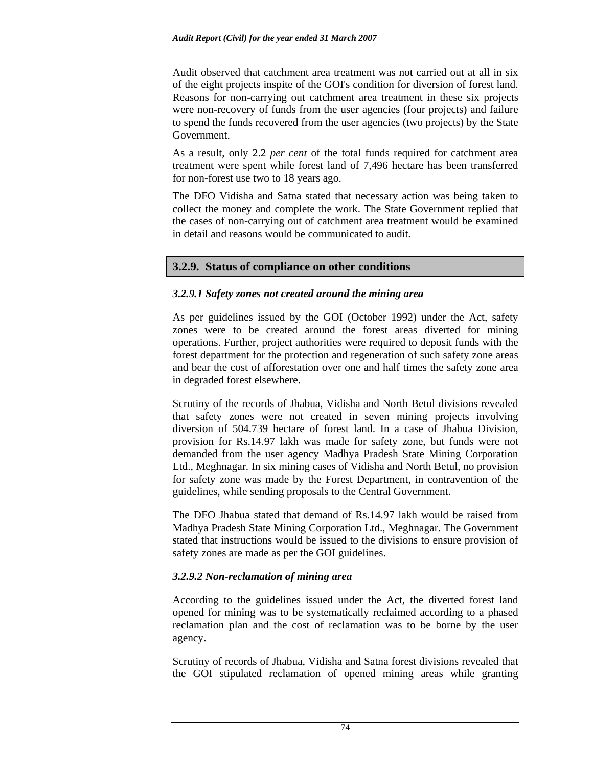Audit observed that catchment area treatment was not carried out at all in six of the eight projects inspite of the GOI's condition for diversion of forest land. Reasons for non-carrying out catchment area treatment in these six projects were non-recovery of funds from the user agencies (four projects) and failure to spend the funds recovered from the user agencies (two projects) by the State Government.

As a result, only 2.2 *per cent* of the total funds required for catchment area treatment were spent while forest land of 7,496 hectare has been transferred for non-forest use two to 18 years ago.

The DFO Vidisha and Satna stated that necessary action was being taken to collect the money and complete the work. The State Government replied that the cases of non-carrying out of catchment area treatment would be examined in detail and reasons would be communicated to audit.

# **3.2.9. Status of compliance on other conditions**

# *3.2.9.1 Safety zones not created around the mining area*

As per guidelines issued by the GOI (October 1992) under the Act, safety zones were to be created around the forest areas diverted for mining operations. Further, project authorities were required to deposit funds with the forest department for the protection and regeneration of such safety zone areas and bear the cost of afforestation over one and half times the safety zone area in degraded forest elsewhere.

Scrutiny of the records of Jhabua, Vidisha and North Betul divisions revealed that safety zones were not created in seven mining projects involving diversion of 504.739 hectare of forest land. In a case of Jhabua Division, provision for Rs.14.97 lakh was made for safety zone, but funds were not demanded from the user agency Madhya Pradesh State Mining Corporation Ltd., Meghnagar. In six mining cases of Vidisha and North Betul, no provision for safety zone was made by the Forest Department, in contravention of the guidelines, while sending proposals to the Central Government.

The DFO Jhabua stated that demand of Rs.14.97 lakh would be raised from Madhya Pradesh State Mining Corporation Ltd., Meghnagar. The Government stated that instructions would be issued to the divisions to ensure provision of safety zones are made as per the GOI guidelines.

# *3.2.9.2 Non-reclamation of mining area*

According to the guidelines issued under the Act, the diverted forest land opened for mining was to be systematically reclaimed according to a phased reclamation plan and the cost of reclamation was to be borne by the user agency.

Scrutiny of records of Jhabua, Vidisha and Satna forest divisions revealed that the GOI stipulated reclamation of opened mining areas while granting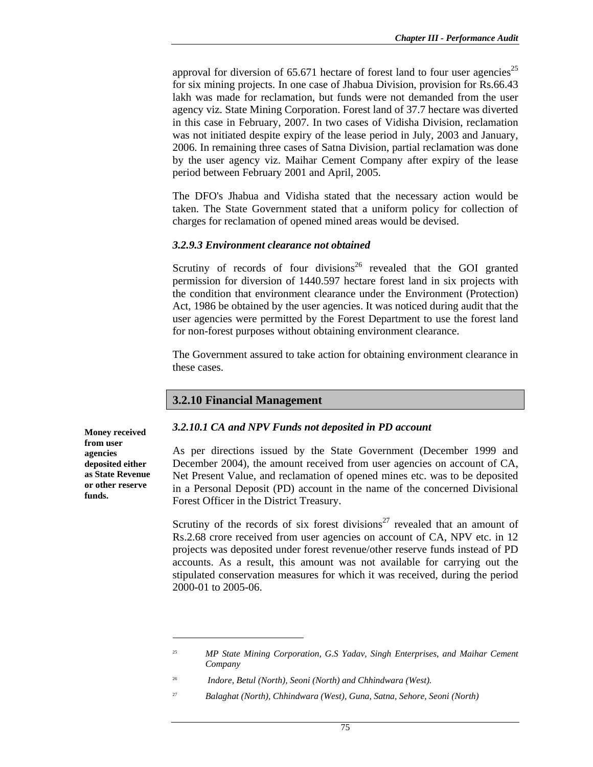approval for diversion of  $65.671$  hectare of forest land to four user agencies<sup>25</sup> for six mining projects. In one case of Jhabua Division, provision for Rs.66.43 lakh was made for reclamation, but funds were not demanded from the user agency viz. State Mining Corporation. Forest land of 37.7 hectare was diverted in this case in February, 2007. In two cases of Vidisha Division, reclamation was not initiated despite expiry of the lease period in July, 2003 and January, 2006. In remaining three cases of Satna Division, partial reclamation was done by the user agency viz. Maihar Cement Company after expiry of the lease period between February 2001 and April, 2005.

The DFO's Jhabua and Vidisha stated that the necessary action would be taken. The State Government stated that a uniform policy for collection of charges for reclamation of opened mined areas would be devised.

### *3.2.9.3 Environment clearance not obtained*

Scrutiny of records of four divisions<sup>26</sup> revealed that the GOI granted permission for diversion of 1440.597 hectare forest land in six projects with the condition that environment clearance under the Environment (Protection) Act, 1986 be obtained by the user agencies. It was noticed during audit that the user agencies were permitted by the Forest Department to use the forest land for non-forest purposes without obtaining environment clearance.

The Government assured to take action for obtaining environment clearance in these cases.

# **3.2.10 Financial Management**

# *3.2.10.1 CA and NPV Funds not deposited in PD account*

As per directions issued by the State Government (December 1999 and December 2004), the amount received from user agencies on account of CA, Net Present Value, and reclamation of opened mines etc. was to be deposited in a Personal Deposit (PD) account in the name of the concerned Divisional Forest Officer in the District Treasury.

Scrutiny of the records of six forest divisions<sup>27</sup> revealed that an amount of Rs.2.68 crore received from user agencies on account of CA, NPV etc. in 12 projects was deposited under forest revenue/other reserve funds instead of PD accounts. As a result, this amount was not available for carrying out the stipulated conservation measures for which it was received, during the period 2000-01 to 2005-06.

<sup>27</sup> *Balaghat (North), Chhindwara (West), Guna, Satna, Sehore, Seoni (North)* 

**Money received from user agencies deposited either as State Revenue or other reserve funds.** 

 $\overline{a}$ 

<sup>25</sup> *MP State Mining Corporation, G.S Yadav, Singh Enterprises, and Maihar Cement Company* 

<sup>26</sup> *Indore, Betul (North), Seoni (North) and Chhindwara (West).*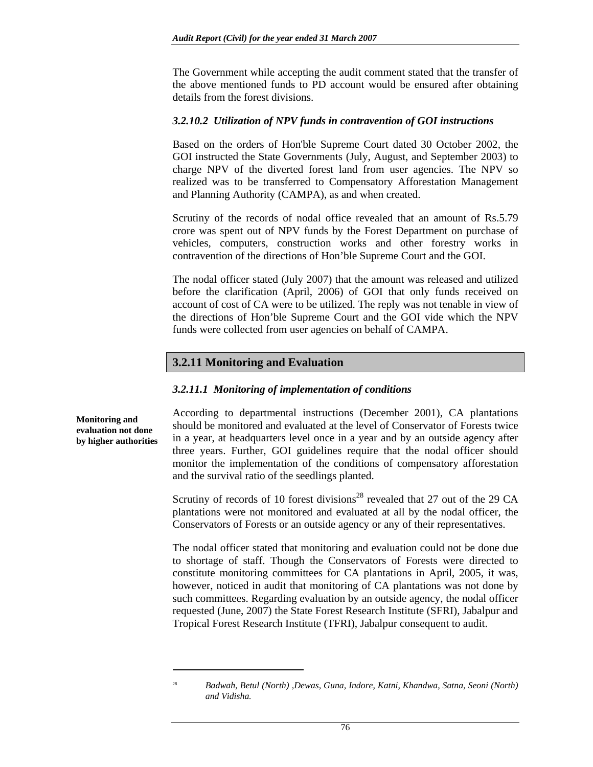The Government while accepting the audit comment stated that the transfer of the above mentioned funds to PD account would be ensured after obtaining details from the forest divisions.

#### *3.2.10.2 Utilization of NPV funds in contravention of GOI instructions*

Based on the orders of Hon'ble Supreme Court dated 30 October 2002, the GOI instructed the State Governments (July, August, and September 2003) to charge NPV of the diverted forest land from user agencies. The NPV so realized was to be transferred to Compensatory Afforestation Management and Planning Authority (CAMPA), as and when created.

Scrutiny of the records of nodal office revealed that an amount of Rs.5.79 crore was spent out of NPV funds by the Forest Department on purchase of vehicles, computers, construction works and other forestry works in contravention of the directions of Hon'ble Supreme Court and the GOI.

The nodal officer stated (July 2007) that the amount was released and utilized before the clarification (April, 2006) of GOI that only funds received on account of cost of CA were to be utilized. The reply was not tenable in view of the directions of Hon'ble Supreme Court and the GOI vide which the NPV funds were collected from user agencies on behalf of CAMPA.

### **3.2.11 Monitoring and Evaluation**

#### *3.2.11.1 Monitoring of implementation of conditions*

**Monitoring and evaluation not done by higher authorities** 

 $\overline{a}$ 

According to departmental instructions (December 2001), CA plantations should be monitored and evaluated at the level of Conservator of Forests twice in a year, at headquarters level once in a year and by an outside agency after three years. Further, GOI guidelines require that the nodal officer should monitor the implementation of the conditions of compensatory afforestation and the survival ratio of the seedlings planted.

Scrutiny of records of 10 forest divisions<sup>28</sup> revealed that 27 out of the 29 CA plantations were not monitored and evaluated at all by the nodal officer, the Conservators of Forests or an outside agency or any of their representatives.

The nodal officer stated that monitoring and evaluation could not be done due to shortage of staff. Though the Conservators of Forests were directed to constitute monitoring committees for CA plantations in April, 2005, it was, however, noticed in audit that monitoring of CA plantations was not done by such committees. Regarding evaluation by an outside agency, the nodal officer requested (June, 2007) the State Forest Research Institute (SFRI), Jabalpur and Tropical Forest Research Institute (TFRI), Jabalpur consequent to audit.

<sup>28</sup> *Badwah, Betul (North) ,Dewas, Guna, Indore, Katni, Khandwa, Satna, Seoni (North) and Vidisha.*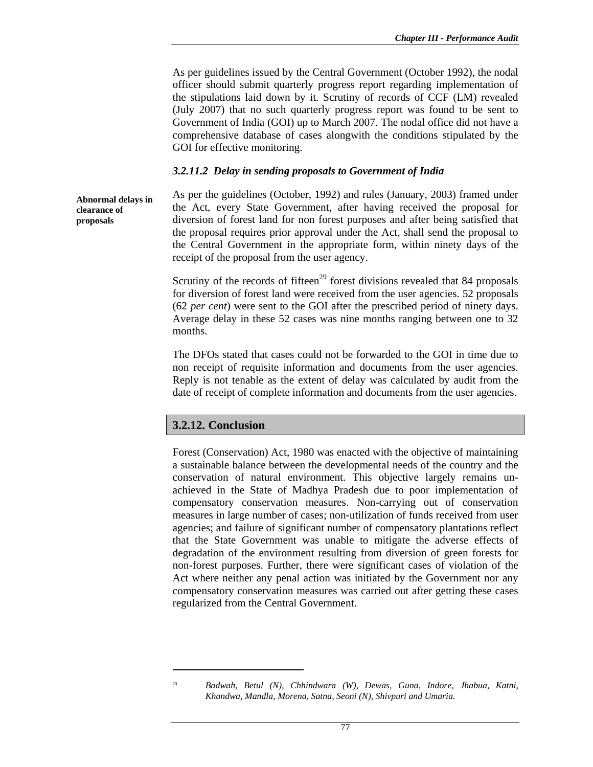As per guidelines issued by the Central Government (October 1992), the nodal officer should submit quarterly progress report regarding implementation of the stipulations laid down by it. Scrutiny of records of CCF (LM) revealed (July 2007) that no such quarterly progress report was found to be sent to Government of India (GOI) up to March 2007. The nodal office did not have a comprehensive database of cases alongwith the conditions stipulated by the GOI for effective monitoring.

#### *3.2.11.2 Delay in sending proposals to Government of India*

**Abnormal delays in clearance of proposals** 

As per the guidelines (October, 1992) and rules (January, 2003) framed under the Act, every State Government, after having received the proposal for diversion of forest land for non forest purposes and after being satisfied that the proposal requires prior approval under the Act, shall send the proposal to the Central Government in the appropriate form, within ninety days of the receipt of the proposal from the user agency.

Scrutiny of the records of fifteen<sup>29</sup> forest divisions revealed that 84 proposals for diversion of forest land were received from the user agencies. 52 proposals (62 *per cent*) were sent to the GOI after the prescribed period of ninety days. Average delay in these 52 cases was nine months ranging between one to 32 months.

The DFOs stated that cases could not be forwarded to the GOI in time due to non receipt of requisite information and documents from the user agencies. Reply is not tenable as the extent of delay was calculated by audit from the date of receipt of complete information and documents from the user agencies.

# **3.2.12. Conclusion**

 $\overline{a}$ 

Forest (Conservation) Act, 1980 was enacted with the objective of maintaining a sustainable balance between the developmental needs of the country and the conservation of natural environment. This objective largely remains unachieved in the State of Madhya Pradesh due to poor implementation of compensatory conservation measures. Non-carrying out of conservation measures in large number of cases; non-utilization of funds received from user agencies; and failure of significant number of compensatory plantations reflect that the State Government was unable to mitigate the adverse effects of degradation of the environment resulting from diversion of green forests for non-forest purposes. Further, there were significant cases of violation of the Act where neither any penal action was initiated by the Government nor any compensatory conservation measures was carried out after getting these cases regularized from the Central Government.

<sup>29</sup> *Badwah, Betul (N), Chhindwara (W), Dewas, Guna, Indore, Jhabua, Katni, Khandwa, Mandla, Morena, Satna, Seoni (N), Shivpuri and Umaria.*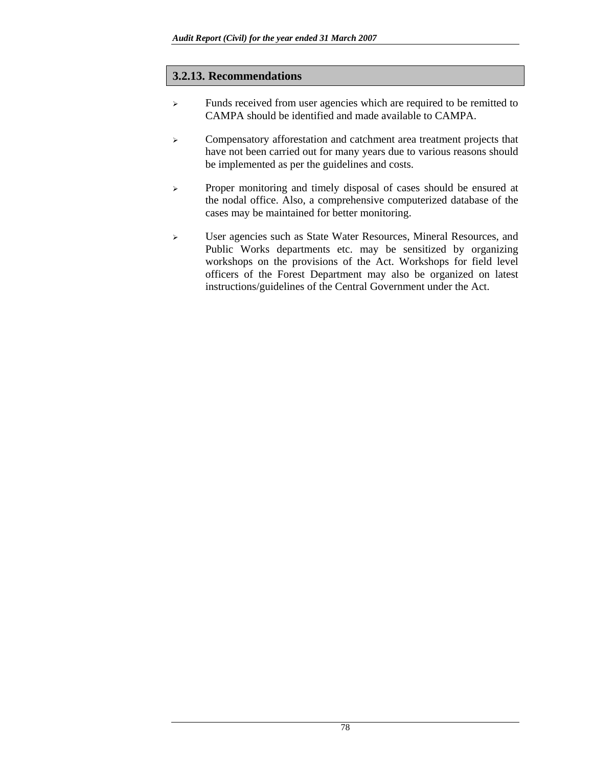# **3.2.13. Recommendations**

- <sup>¾</sup> Funds received from user agencies which are required to be remitted to CAMPA should be identified and made available to CAMPA.
- <sup>¾</sup> Compensatory afforestation and catchment area treatment projects that have not been carried out for many years due to various reasons should be implemented as per the guidelines and costs.
- <sup>¾</sup> Proper monitoring and timely disposal of cases should be ensured at the nodal office. Also, a comprehensive computerized database of the cases may be maintained for better monitoring.
- <sup>¾</sup> User agencies such as State Water Resources, Mineral Resources, and Public Works departments etc. may be sensitized by organizing workshops on the provisions of the Act. Workshops for field level officers of the Forest Department may also be organized on latest instructions/guidelines of the Central Government under the Act.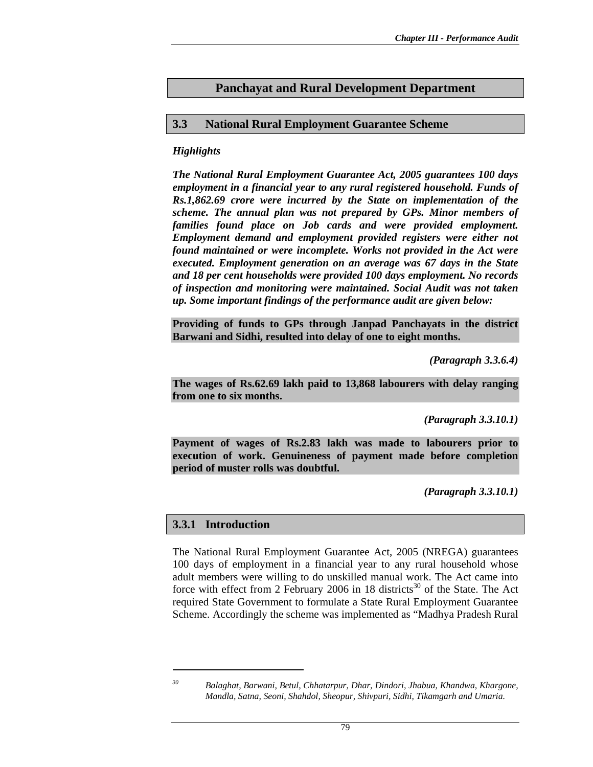# **Panchayat and Rural Development Department**

### **3.3 National Rural Employment Guarantee Scheme**

### *Highlights*

*The National Rural Employment Guarantee Act, 2005 guarantees 100 days employment in a financial year to any rural registered household. Funds of Rs.1,862.69 crore were incurred by the State on implementation of the scheme. The annual plan was not prepared by GPs. Minor members of families found place on Job cards and were provided employment. Employment demand and employment provided registers were either not found maintained or were incomplete. Works not provided in the Act were executed. Employment generation on an average was 67 days in the State and 18 per cent households were provided 100 days employment. No records of inspection and monitoring were maintained. Social Audit was not taken up. Some important findings of the performance audit are given below:*

**Providing of funds to GPs through Janpad Panchayats in the district Barwani and Sidhi, resulted into delay of one to eight months.** 

*(Paragraph 3.3.6.4)* 

**The wages of Rs.62.69 lakh paid to 13,868 labourers with delay ranging from one to six months.** 

*(Paragraph 3.3.10.1)* 

**Payment of wages of Rs.2.83 lakh was made to labourers prior to execution of work. Genuineness of payment made before completion period of muster rolls was doubtful.** 

*(Paragraph 3.3.10.1)* 

#### **3.3.1 Introduction**

The National Rural Employment Guarantee Act, 2005 (NREGA) guarantees 100 days of employment in a financial year to any rural household whose adult members were willing to do unskilled manual work. The Act came into force with effect from 2 February 2006 in 18 districts<sup>30</sup> of the State. The Act required State Government to formulate a State Rural Employment Guarantee Scheme. Accordingly the scheme was implemented as "Madhya Pradesh Rural

 $\overline{a}$ 

*<sup>30</sup> Balaghat, Barwani, Betul, Chhatarpur, Dhar, Dindori, Jhabua, Khandwa, Khargone, Mandla, Satna, Seoni, Shahdol, Sheopur, Shivpuri, Sidhi, Tikamgarh and Umaria.*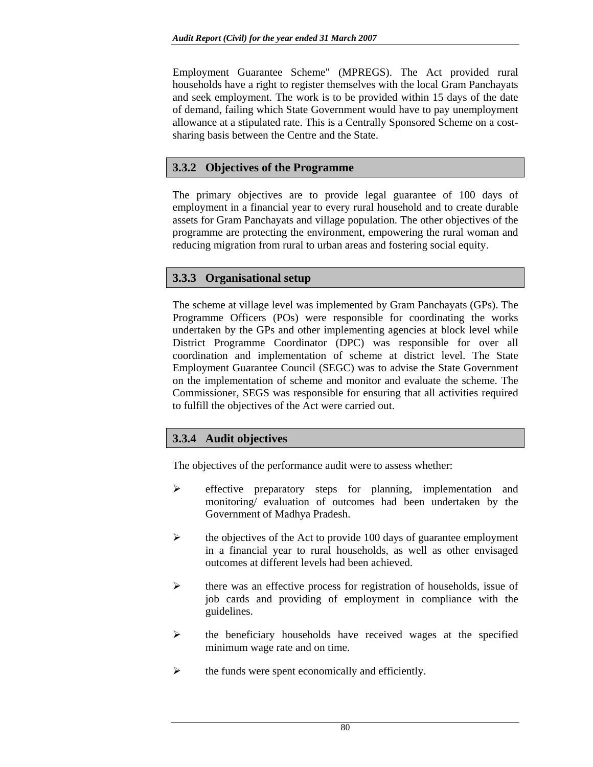Employment Guarantee Scheme" (MPREGS). The Act provided rural households have a right to register themselves with the local Gram Panchayats and seek employment. The work is to be provided within 15 days of the date of demand, failing which State Government would have to pay unemployment allowance at a stipulated rate. This is a Centrally Sponsored Scheme on a costsharing basis between the Centre and the State.

# **3.3.2 Objectives of the Programme**

The primary objectives are to provide legal guarantee of 100 days of employment in a financial year to every rural household and to create durable assets for Gram Panchayats and village population. The other objectives of the programme are protecting the environment, empowering the rural woman and reducing migration from rural to urban areas and fostering social equity.

# **3.3.3 Organisational setup**

The scheme at village level was implemented by Gram Panchayats (GPs). The Programme Officers (POs) were responsible for coordinating the works undertaken by the GPs and other implementing agencies at block level while District Programme Coordinator (DPC) was responsible for over all coordination and implementation of scheme at district level. The State Employment Guarantee Council (SEGC) was to advise the State Government on the implementation of scheme and monitor and evaluate the scheme. The Commissioner, SEGS was responsible for ensuring that all activities required to fulfill the objectives of the Act were carried out.

# **3.3.4 Audit objectives**

The objectives of the performance audit were to assess whether:

- ¾ effective preparatory steps for planning, implementation and monitoring/ evaluation of outcomes had been undertaken by the Government of Madhya Pradesh.
- $\triangleright$  the objectives of the Act to provide 100 days of guarantee employment in a financial year to rural households, as well as other envisaged outcomes at different levels had been achieved.
- $\triangleright$  there was an effective process for registration of households, issue of job cards and providing of employment in compliance with the guidelines.
- $\triangleright$  the beneficiary households have received wages at the specified minimum wage rate and on time.
- $\triangleright$  the funds were spent economically and efficiently.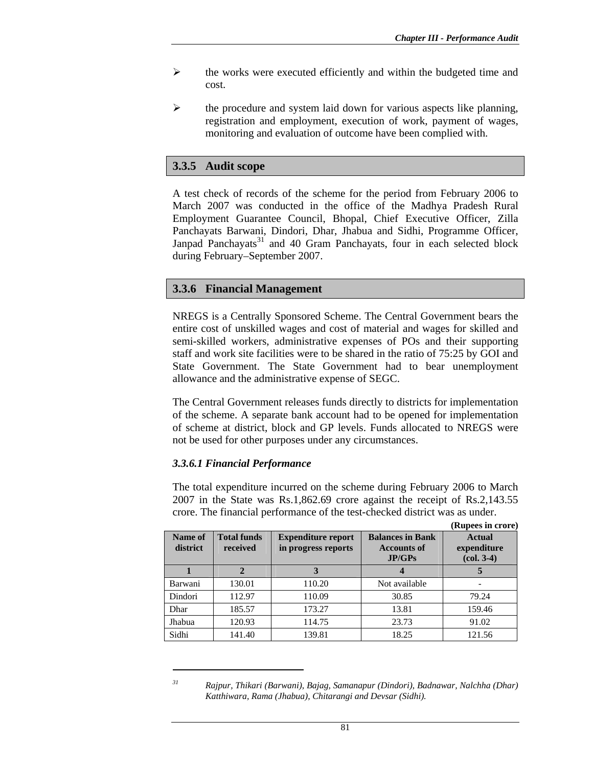**(Rupees in crore)** 

- $\triangleright$  the works were executed efficiently and within the budgeted time and cost.
- $\triangleright$  the procedure and system laid down for various aspects like planning, registration and employment, execution of work, payment of wages, monitoring and evaluation of outcome have been complied with.

# **3.3.5 Audit scope**

A test check of records of the scheme for the period from February 2006 to March 2007 was conducted in the office of the Madhya Pradesh Rural Employment Guarantee Council, Bhopal, Chief Executive Officer, Zilla Panchayats Barwani, Dindori, Dhar, Jhabua and Sidhi, Programme Officer, Janpad Panchayats<sup>31</sup> and 40 Gram Panchayats, four in each selected block during February–September 2007.

# **3.3.6 Financial Management**

NREGS is a Centrally Sponsored Scheme. The Central Government bears the entire cost of unskilled wages and cost of material and wages for skilled and semi-skilled workers, administrative expenses of POs and their supporting staff and work site facilities were to be shared in the ratio of 75:25 by GOI and State Government. The State Government had to bear unemployment allowance and the administrative expense of SEGC.

The Central Government releases funds directly to districts for implementation of the scheme. A separate bank account had to be opened for implementation of scheme at district, block and GP levels. Funds allocated to NREGS were not be used for other purposes under any circumstances.

# *3.3.6.1 Financial Performance*

 $\overline{a}$ 

The total expenditure incurred on the scheme during February 2006 to March 2007 in the State was Rs.1,862.69 crore against the receipt of Rs.2,143.55 crore. The financial performance of the test-checked district was as under.

| Name of<br>district | <b>Total funds</b><br>received | <b>Expenditure report</b><br>in progress reports | <b>Balances in Bank</b><br><b>Accounts of</b><br>JP/GPs | <b>Actual</b><br>expenditure<br>$\left( \text{col. } 3-4 \right)$ |
|---------------------|--------------------------------|--------------------------------------------------|---------------------------------------------------------|-------------------------------------------------------------------|
|                     |                                |                                                  |                                                         |                                                                   |
| Barwani             | 130.01                         | 110.20                                           | Not available                                           |                                                                   |
| Dindori             | 112.97                         | 110.09                                           | 30.85                                                   | 79.24                                                             |
| Dhar                | 185.57                         | 173.27                                           | 13.81                                                   | 159.46                                                            |
| Jhabua              | 120.93                         | 114.75                                           | 23.73                                                   | 91.02                                                             |
| Sidhi               | 141.40                         | 139.81                                           | 18.25                                                   | 121.56                                                            |

*<sup>31</sup> Rajpur, Thikari (Barwani), Bajag, Samanapur (Dindori), Badnawar, Nalchha (Dhar) Katthiwara, Rama (Jhabua), Chitarangi and Devsar (Sidhi).*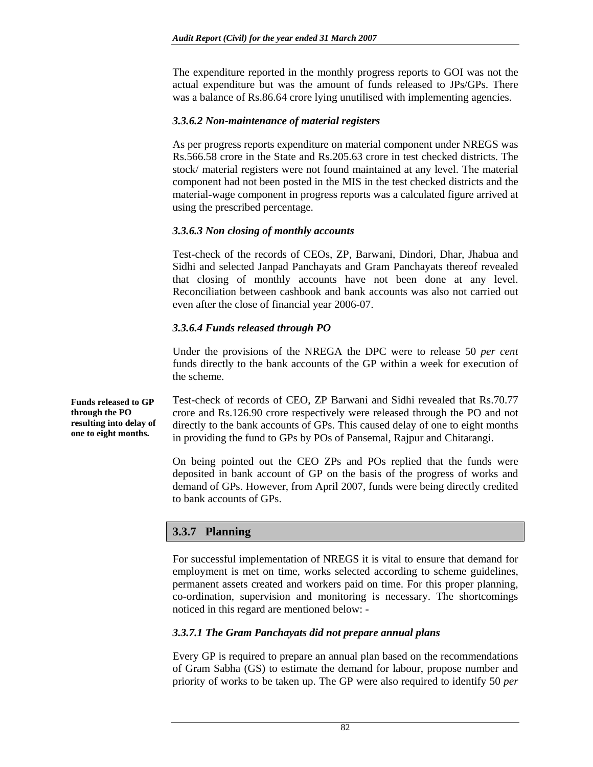The expenditure reported in the monthly progress reports to GOI was not the actual expenditure but was the amount of funds released to JPs/GPs. There was a balance of Rs.86.64 crore lying unutilised with implementing agencies.

#### *3.3.6.2 Non-maintenance of material registers*

As per progress reports expenditure on material component under NREGS was Rs.566.58 crore in the State and Rs.205.63 crore in test checked districts. The stock/ material registers were not found maintained at any level. The material component had not been posted in the MIS in the test checked districts and the material-wage component in progress reports was a calculated figure arrived at using the prescribed percentage.

#### *3.3.6.3 Non closing of monthly accounts*

Test-check of the records of CEOs, ZP, Barwani, Dindori, Dhar, Jhabua and Sidhi and selected Janpad Panchayats and Gram Panchayats thereof revealed that closing of monthly accounts have not been done at any level. Reconciliation between cashbook and bank accounts was also not carried out even after the close of financial year 2006-07.

### *3.3.6.4 Funds released through PO*

Under the provisions of the NREGA the DPC were to release 50 *per cent* funds directly to the bank accounts of the GP within a week for execution of the scheme.

**Funds released to GP through the PO resulting into delay of one to eight months.** 

Test-check of records of CEO, ZP Barwani and Sidhi revealed that Rs.70.77 crore and Rs.126.90 crore respectively were released through the PO and not directly to the bank accounts of GPs. This caused delay of one to eight months in providing the fund to GPs by POs of Pansemal, Rajpur and Chitarangi.

On being pointed out the CEO ZPs and POs replied that the funds were deposited in bank account of GP on the basis of the progress of works and demand of GPs. However, from April 2007, funds were being directly credited to bank accounts of GPs.

# **3.3.7 Planning**

For successful implementation of NREGS it is vital to ensure that demand for employment is met on time, works selected according to scheme guidelines, permanent assets created and workers paid on time. For this proper planning, co-ordination, supervision and monitoring is necessary. The shortcomings noticed in this regard are mentioned below: -

#### *3.3.7.1 The Gram Panchayats did not prepare annual plans*

Every GP is required to prepare an annual plan based on the recommendations of Gram Sabha (GS) to estimate the demand for labour, propose number and priority of works to be taken up. The GP were also required to identify 50 *per*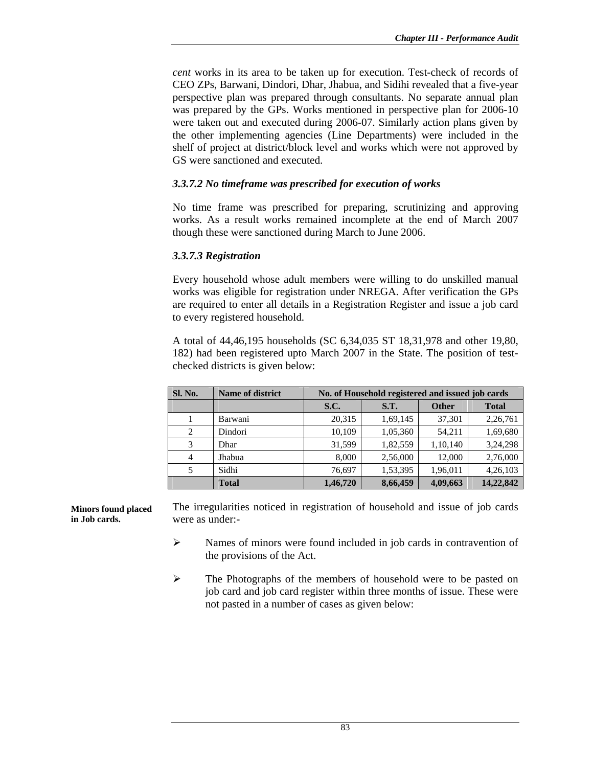*cent* works in its area to be taken up for execution. Test-check of records of CEO ZPs, Barwani, Dindori, Dhar, Jhabua, and Sidihi revealed that a five-year perspective plan was prepared through consultants. No separate annual plan was prepared by the GPs. Works mentioned in perspective plan for 2006-10 were taken out and executed during 2006-07. Similarly action plans given by the other implementing agencies (Line Departments) were included in the shelf of project at district/block level and works which were not approved by GS were sanctioned and executed.

### *3.3.7.2 No timeframe was prescribed for execution of works*

No time frame was prescribed for preparing, scrutinizing and approving works. As a result works remained incomplete at the end of March 2007 though these were sanctioned during March to June 2006.

#### *3.3.7.3 Registration*

Every household whose adult members were willing to do unskilled manual works was eligible for registration under NREGA. After verification the GPs are required to enter all details in a Registration Register and issue a job card to every registered household.

A total of 44,46,195 households (SC 6,34,035 ST 18,31,978 and other 19,80, 182) had been registered upto March 2007 in the State. The position of testchecked districts is given below:

| Sl. No.        | <b>Name of district</b> | No. of Household registered and issued job cards |          |              |              |
|----------------|-------------------------|--------------------------------------------------|----------|--------------|--------------|
|                |                         | S.C.                                             | S.T.     | <b>Other</b> | <b>Total</b> |
|                | Barwani                 | 20,315                                           | 1,69,145 | 37,301       | 2,26,761     |
| 2              | Dindori                 | 10,109                                           | 1,05,360 | 54,211       | 1,69,680     |
| 3              | Dhar                    | 31,599                                           | 1,82,559 | 1,10,140     | 3,24,298     |
| $\overline{4}$ | Jhabua                  | 8,000                                            | 2,56,000 | 12,000       | 2,76,000     |
|                | Sidhi                   | 76,697                                           | 1,53,395 | 1,96,011     | 4,26,103     |
|                | <b>Total</b>            | 1,46,720                                         | 8,66,459 | 4,09,663     | 14,22,842    |

The irregularities noticed in registration of household and issue of job cards were as under:- **Minors found placed in Job cards.** 

- ¾ Names of minors were found included in job cards in contravention of the provisions of the Act.
- ¾ The Photographs of the members of household were to be pasted on job card and job card register within three months of issue. These were not pasted in a number of cases as given below: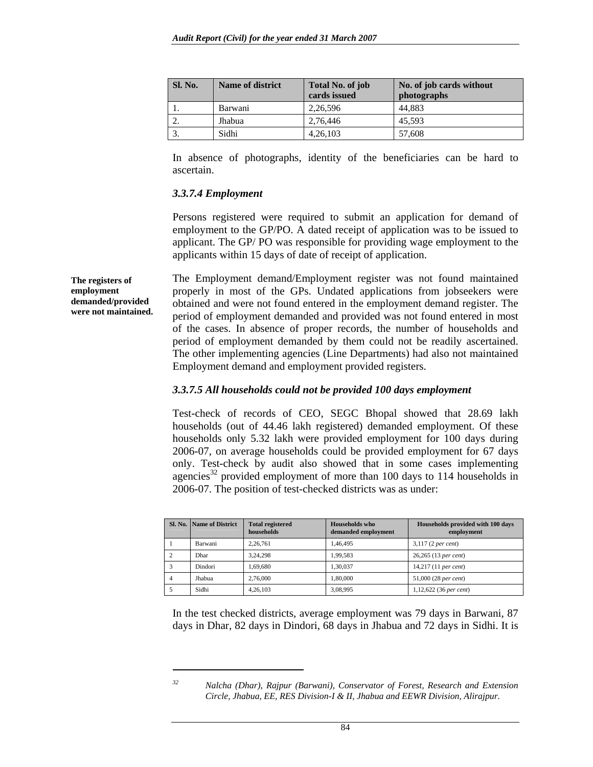| Sl. No. | <b>Name of district</b> | Total No. of job<br>cards issued | No. of job cards without<br>photographs |
|---------|-------------------------|----------------------------------|-----------------------------------------|
|         | Barwani                 | 2,26,596                         | 44.883                                  |
|         | Jhabua                  | 2,76,446                         | 45.593                                  |
|         | Sidhi                   | 4,26,103                         | 57,608                                  |

In absence of photographs, identity of the beneficiaries can be hard to ascertain.

#### *3.3.7.4 Employment*

**The registers of employment** 

 $\overline{a}$ 

Persons registered were required to submit an application for demand of employment to the GP/PO. A dated receipt of application was to be issued to applicant. The GP/ PO was responsible for providing wage employment to the applicants within 15 days of date of receipt of application.

The Employment demand/Employment register was not found maintained properly in most of the GPs. Undated applications from jobseekers were obtained and were not found entered in the employment demand register. The period of employment demanded and provided was not found entered in most of the cases. In absence of proper records, the number of households and period of employment demanded by them could not be readily ascertained. The other implementing agencies (Line Departments) had also not maintained Employment demand and employment provided registers. **demanded/provided were not maintained.** 

#### *3.3.7.5 All households could not be provided 100 days employment*

Test-check of records of CEO, SEGC Bhopal showed that 28.69 lakh households (out of 44.46 lakh registered) demanded employment. Of these households only 5.32 lakh were provided employment for 100 days during 2006-07, on average households could be provided employment for 67 days only. Test-check by audit also showed that in some cases implementing agencies<sup>32</sup> provided employment of more than 100 days to 114 households in 2006-07. The position of test-checked districts was as under:

|   | <b>Sl. No.   Name of District</b> | <b>Total registered</b><br>households | <b>Households</b> who<br>demanded employment | Households provided with 100 days<br>employment |
|---|-----------------------------------|---------------------------------------|----------------------------------------------|-------------------------------------------------|
|   | Barwani                           | 2.26.761                              | 1.46.495                                     | $3,117$ (2 per cent)                            |
|   | Dhar                              | 3.24.298                              | 1.99.583                                     | 26,265 (13 per cent)                            |
|   | Dindori                           | 1.69.680                              | 1.30.037                                     | $14,217$ (11 per cent)                          |
| 4 | Jhabua                            | 2,76,000                              | 1.80.000                                     | 51,000 (28 per cent)                            |
|   | Sidhi                             | 4,26,103                              | 3,08,995                                     | $1,12,622$ (36 per cent)                        |

In the test checked districts, average employment was 79 days in Barwani, 87 days in Dhar, 82 days in Dindori, 68 days in Jhabua and 72 days in Sidhi. It is

*<sup>32</sup> Nalcha (Dhar), Rajpur (Barwani), Conservator of Forest, Research and Extension Circle, Jhabua, EE, RES Division-I & II, Jhabua and EEWR Division, Alirajpur.*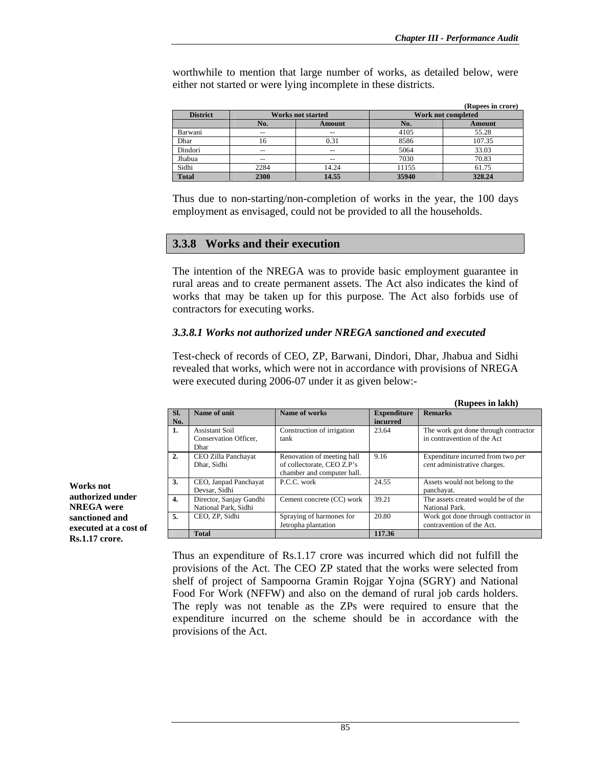**(Rupees in lakh)** 

worthwhile to mention that large number of works, as detailed below, were either not started or were lying incomplete in these districts.

|                 |       |                          |       | (Rupees in crore)  |
|-----------------|-------|--------------------------|-------|--------------------|
| <b>District</b> |       | <b>Works not started</b> |       | Work not completed |
|                 | No.   | <b>Amount</b>            | No.   | <b>Amount</b>      |
| Barwani         | --    | --                       | 4105  | 55.28              |
| Dhar            | 16    | 0.31                     | 8586  | 107.35             |
| Dindori         | $- -$ | $- -$                    | 5064  | 33.03              |
| Jhabua          | $- -$ | --                       | 7030  | 70.83              |
| Sidhi           | 2284  | 14.24                    | 11155 | 61.75              |
| <b>Total</b>    | 2300  | 14.55                    | 35940 | 328.24             |

Thus due to non-starting/non-completion of works in the year, the 100 days employment as envisaged, could not be provided to all the households.

#### **3.3.8 Works and their execution**

The intention of the NREGA was to provide basic employment guarantee in rural areas and to create permanent assets. The Act also indicates the kind of works that may be taken up for this purpose. The Act also forbids use of contractors for executing works.

#### *3.3.8.1 Works not authorized under NREGA sanctioned and executed*

Test-check of records of CEO, ZP, Barwani, Dindori, Dhar, Jhabua and Sidhi revealed that works, which were not in accordance with provisions of NREGA were executed during 2006-07 under it as given below:-

|            |                         |                            |                                | Kupees in lakn)                      |
|------------|-------------------------|----------------------------|--------------------------------|--------------------------------------|
| SI.<br>No. | Name of unit            | Name of works              | <b>Expenditure</b><br>incurred | <b>Remarks</b>                       |
|            |                         |                            |                                |                                      |
| 1.         | <b>Assistant Soil</b>   | Construction of irrigation | 23.64                          | The work got done through contractor |
|            | Conservation Officer,   | tank                       |                                | in contravention of the Act          |
|            | Dhar                    |                            |                                |                                      |
| 2.         | CEO Zilla Panchayat     | Renovation of meeting hall | 9.16                           | Expenditure incurred from two per    |
|            | Dhar, Sidhi             | of collectorate, CEO Z.P's |                                | cent administrative charges.         |
|            |                         | chamber and computer hall. |                                |                                      |
| 3.         | CEO, Janpad Panchayat   | P.C.C. work                | 24.55                          | Assets would not belong to the       |
|            | Devsar, Sidhi           |                            |                                | panchayat.                           |
| 4.         | Director, Sanjay Gandhi | Cement concrete (CC) work  | 39.21                          | The assets created would be of the   |
|            | National Park, Sidhi    |                            |                                | National Park.                       |
| 5.         | CEO. ZP. Sidhi          | Spraying of harmones for   | 20.80                          | Work got done through contractor in  |
|            |                         | Jetropha plantation        |                                | contravention of the Act.            |
|            | <b>Total</b>            |                            | 117.36                         |                                      |

**Works not authorized under NREGA were sanctioned and executed at a cost of Rs.1.17 crore.** 

> Thus an expenditure of Rs.1.17 crore was incurred which did not fulfill the provisions of the Act. The CEO ZP stated that the works were selected from shelf of project of Sampoorna Gramin Rojgar Yojna (SGRY) and National Food For Work (NFFW) and also on the demand of rural job cards holders. The reply was not tenable as the ZPs were required to ensure that the expenditure incurred on the scheme should be in accordance with the provisions of the Act.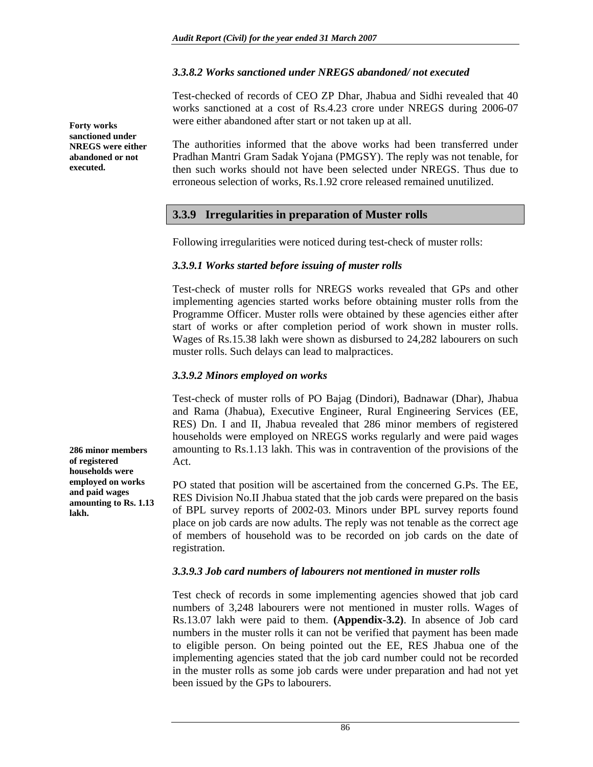#### *3.3.8.2 Works sanctioned under NREGS abandoned/ not executed*

Test-checked of records of CEO ZP Dhar, Jhabua and Sidhi revealed that 40 works sanctioned at a cost of Rs.4.23 crore under NREGS during 2006-07 were either abandoned after start or not taken up at all.

The authorities informed that the above works had been transferred under Pradhan Mantri Gram Sadak Yojana (PMGSY). The reply was not tenable, for then such works should not have been selected under NREGS. Thus due to erroneous selection of works, Rs.1.92 crore released remained unutilized.

#### **3.3.9 Irregularities in preparation of Muster rolls**

Following irregularities were noticed during test-check of muster rolls:

#### *3.3.9.1 Works started before issuing of muster rolls*

Test-check of muster rolls for NREGS works revealed that GPs and other implementing agencies started works before obtaining muster rolls from the Programme Officer. Muster rolls were obtained by these agencies either after start of works or after completion period of work shown in muster rolls. Wages of Rs.15.38 lakh were shown as disbursed to 24,282 labourers on such muster rolls. Such delays can lead to malpractices.

#### *3.3.9.2 Minors employed on works*

Test-check of muster rolls of PO Bajag (Dindori), Badnawar (Dhar), Jhabua and Rama (Jhabua), Executive Engineer, Rural Engineering Services (EE, RES) Dn. I and II, Jhabua revealed that 286 minor members of registered households were employed on NREGS works regularly and were paid wages amounting to Rs.1.13 lakh. This was in contravention of the provisions of the Act.

PO stated that position will be ascertained from the concerned G.Ps. The EE, RES Division No.II Jhabua stated that the job cards were prepared on the basis of BPL survey reports of 2002-03. Minors under BPL survey reports found place on job cards are now adults. The reply was not tenable as the correct age of members of household was to be recorded on job cards on the date of registration.

#### *3.3.9.3 Job card numbers of labourers not mentioned in muster rolls*

Test check of records in some implementing agencies showed that job card numbers of 3,248 labourers were not mentioned in muster rolls. Wages of Rs.13.07 lakh were paid to them. **(Appendix-3.2)**. In absence of Job card numbers in the muster rolls it can not be verified that payment has been made to eligible person. On being pointed out the EE, RES Jhabua one of the implementing agencies stated that the job card number could not be recorded in the muster rolls as some job cards were under preparation and had not yet been issued by the GPs to labourers.

**286 minor members of registered households were employed on works and paid wages amounting to Rs. 1.13 lakh.** 

**Forty works sanctioned under NREGS were either abandoned or not** 

**executed.**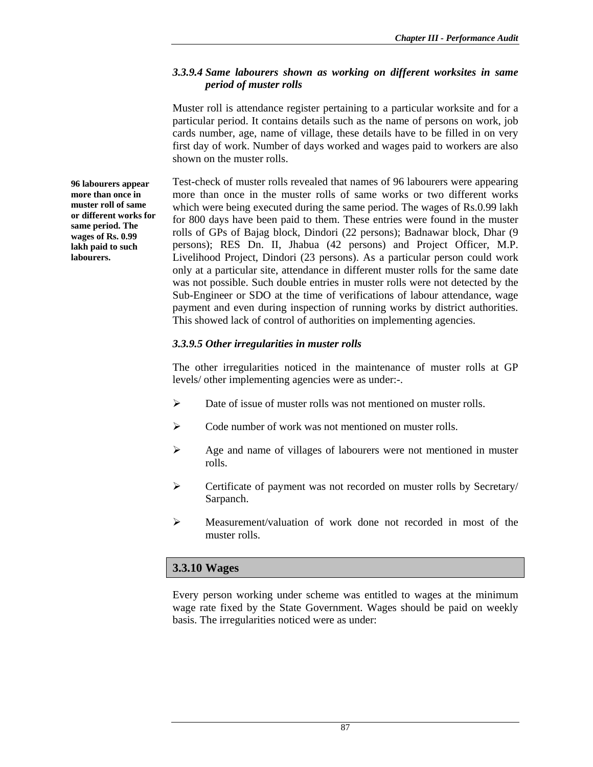### *3.3.9.4 Same labourers shown as working on different worksites in same period of muster rolls*

Muster roll is attendance register pertaining to a particular worksite and for a particular period. It contains details such as the name of persons on work, job cards number, age, name of village, these details have to be filled in on very first day of work. Number of days worked and wages paid to workers are also shown on the muster rolls.

Test-check of muster rolls revealed that names of 96 labourers were appearing more than once in the muster rolls of same works or two different works which were being executed during the same period. The wages of Rs.0.99 lakh for 800 days have been paid to them. These entries were found in the muster rolls of GPs of Bajag block, Dindori (22 persons); Badnawar block, Dhar (9 persons); RES Dn. II, Jhabua (42 persons) and Project Officer, M.P. Livelihood Project, Dindori (23 persons). As a particular person could work only at a particular site, attendance in different muster rolls for the same date was not possible. Such double entries in muster rolls were not detected by the Sub-Engineer or SDO at the time of verifications of labour attendance, wage payment and even during inspection of running works by district authorities. This showed lack of control of authorities on implementing agencies.

### *3.3.9.5 Other irregularities in muster rolls*

The other irregularities noticed in the maintenance of muster rolls at GP levels/ other implementing agencies were as under:-.

- $\triangleright$  Date of issue of muster rolls was not mentioned on muster rolls.
- ¾ Code number of work was not mentioned on muster rolls.
- ¾ Age and name of villages of labourers were not mentioned in muster rolls.
- ¾ Certificate of payment was not recorded on muster rolls by Secretary/ Sarpanch.
- ¾ Measurement/valuation of work done not recorded in most of the muster rolls.

### **3.3.10 Wages**

Every person working under scheme was entitled to wages at the minimum wage rate fixed by the State Government. Wages should be paid on weekly basis. The irregularities noticed were as under:

**96 labourers appear more than once in muster roll of same or different works for same period. The wages of Rs. 0.99 lakh paid to such labourers.**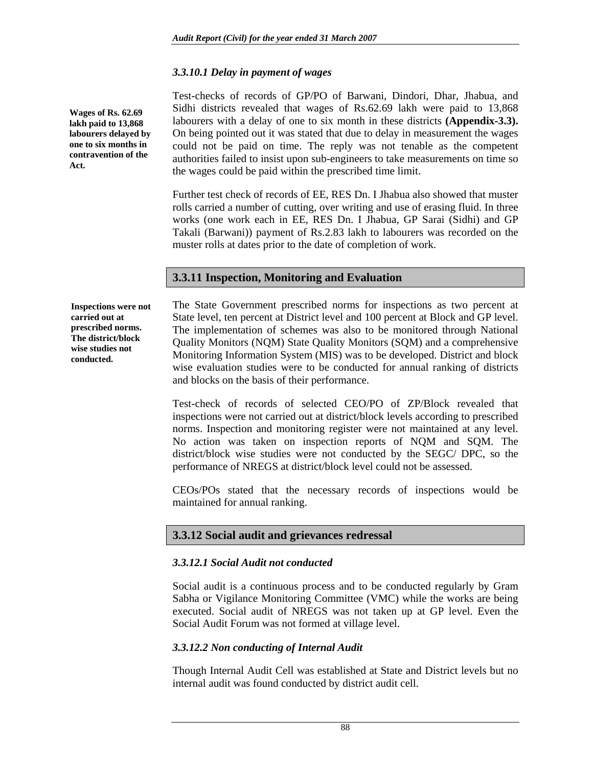### *3.3.10.1 Delay in payment of wages*

**Wages of Rs. 62.69 lakh paid to 13,868 labourers delayed by one to six months in contravention of the Act.** 

Test-checks of records of GP/PO of Barwani, Dindori, Dhar, Jhabua, and Sidhi districts revealed that wages of Rs.62.69 lakh were paid to 13,868 labourers with a delay of one to six month in these districts **(Appendix-3.3).** On being pointed out it was stated that due to delay in measurement the wages could not be paid on time. The reply was not tenable as the competent authorities failed to insist upon sub-engineers to take measurements on time so the wages could be paid within the prescribed time limit.

Further test check of records of EE, RES Dn. I Jhabua also showed that muster rolls carried a number of cutting, over writing and use of erasing fluid. In three works (one work each in EE, RES Dn. I Jhabua, GP Sarai (Sidhi) and GP Takali (Barwani)) payment of Rs.2.83 lakh to labourers was recorded on the muster rolls at dates prior to the date of completion of work.

### **3.3.11 Inspection, Monitoring and Evaluation**

**Inspections were not carried out at prescribed norms. The district/block wise studies not conducted.** 

The State Government prescribed norms for inspections as two percent at State level, ten percent at District level and 100 percent at Block and GP level. The implementation of schemes was also to be monitored through National Quality Monitors (NQM) State Quality Monitors (SQM) and a comprehensive Monitoring Information System (MIS) was to be developed. District and block wise evaluation studies were to be conducted for annual ranking of districts and blocks on the basis of their performance.

Test-check of records of selected CEO/PO of ZP/Block revealed that inspections were not carried out at district/block levels according to prescribed norms. Inspection and monitoring register were not maintained at any level. No action was taken on inspection reports of NQM and SQM. The district/block wise studies were not conducted by the SEGC/ DPC, so the performance of NREGS at district/block level could not be assessed.

CEOs/POs stated that the necessary records of inspections would be maintained for annual ranking.

### **3.3.12 Social audit and grievances redressal**

#### *3.3.12.1 Social Audit not conducted*

Social audit is a continuous process and to be conducted regularly by Gram Sabha or Vigilance Monitoring Committee (VMC) while the works are being executed. Social audit of NREGS was not taken up at GP level. Even the Social Audit Forum was not formed at village level.

### *3.3.12.2 Non conducting of Internal Audit*

Though Internal Audit Cell was established at State and District levels but no internal audit was found conducted by district audit cell.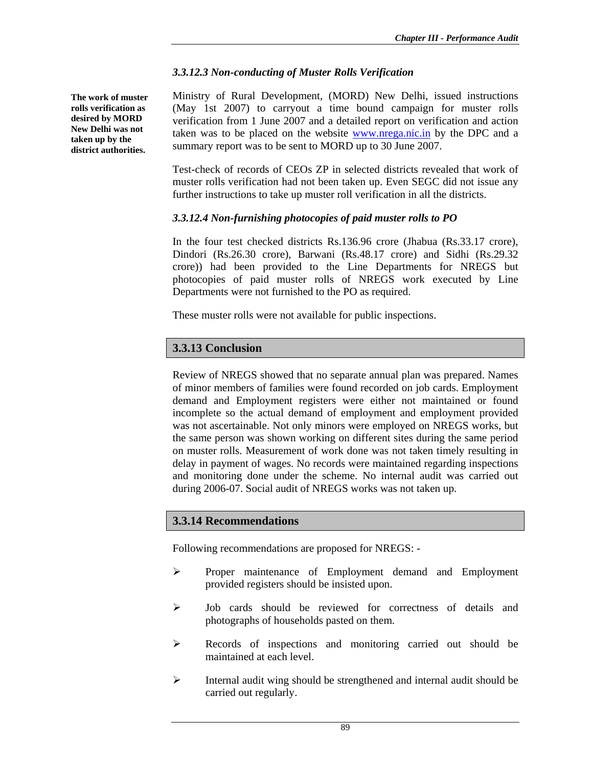#### *3.3.12.3 Non-conducting of Muster Rolls Verification*

**The work of muster rolls verification as desired by MORD New Delhi was not taken up by the district authorities.** 

Ministry of Rural Development, (MORD) New Delhi, issued instructions (May 1st 2007) to carryout a time bound campaign for muster rolls verification from 1 June 2007 and a detailed report on verification and action taken was to be placed on the website www.nrega.nic.in by the DPC and a summary report was to be sent to MORD up to 30 June 2007.

Test-check of records of CEOs ZP in selected districts revealed that work of muster rolls verification had not been taken up. Even SEGC did not issue any further instructions to take up muster roll verification in all the districts.

### *3.3.12.4 Non-furnishing photocopies of paid muster rolls to PO*

In the four test checked districts Rs.136.96 crore (Jhabua (Rs.33.17 crore), Dindori (Rs.26.30 crore), Barwani (Rs.48.17 crore) and Sidhi (Rs.29.32 crore)) had been provided to the Line Departments for NREGS but photocopies of paid muster rolls of NREGS work executed by Line Departments were not furnished to the PO as required.

These muster rolls were not available for public inspections.

## **3.3.13 Conclusion**

Review of NREGS showed that no separate annual plan was prepared. Names of minor members of families were found recorded on job cards. Employment demand and Employment registers were either not maintained or found incomplete so the actual demand of employment and employment provided was not ascertainable. Not only minors were employed on NREGS works, but the same person was shown working on different sites during the same period on muster rolls. Measurement of work done was not taken timely resulting in delay in payment of wages. No records were maintained regarding inspections and monitoring done under the scheme. No internal audit was carried out during 2006-07. Social audit of NREGS works was not taken up.

### **3.3.14 Recommendations**

Following recommendations are proposed for NREGS: -

- ¾ Proper maintenance of Employment demand and Employment provided registers should be insisted upon.
- ¾ Job cards should be reviewed for correctness of details and photographs of households pasted on them.
- ¾ Records of inspections and monitoring carried out should be maintained at each level.
- $\triangleright$  Internal audit wing should be strengthened and internal audit should be carried out regularly.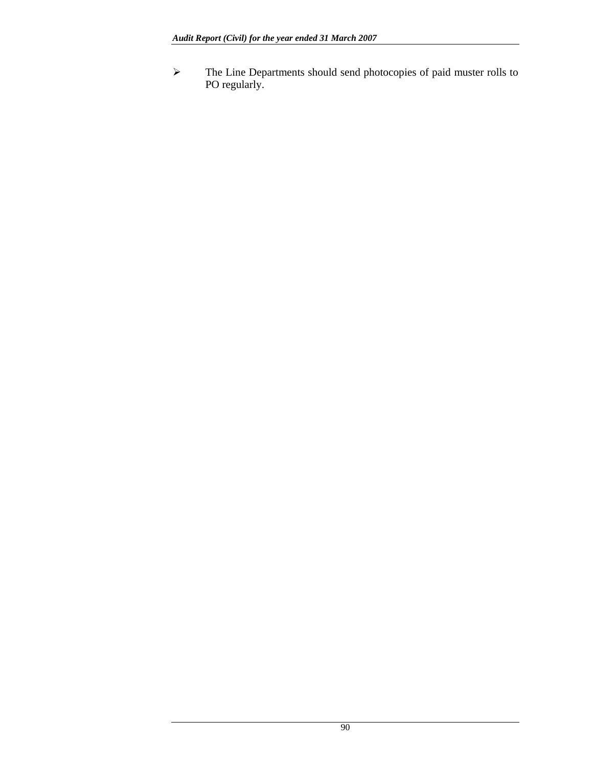¾ The Line Departments should send photocopies of paid muster rolls to PO regularly.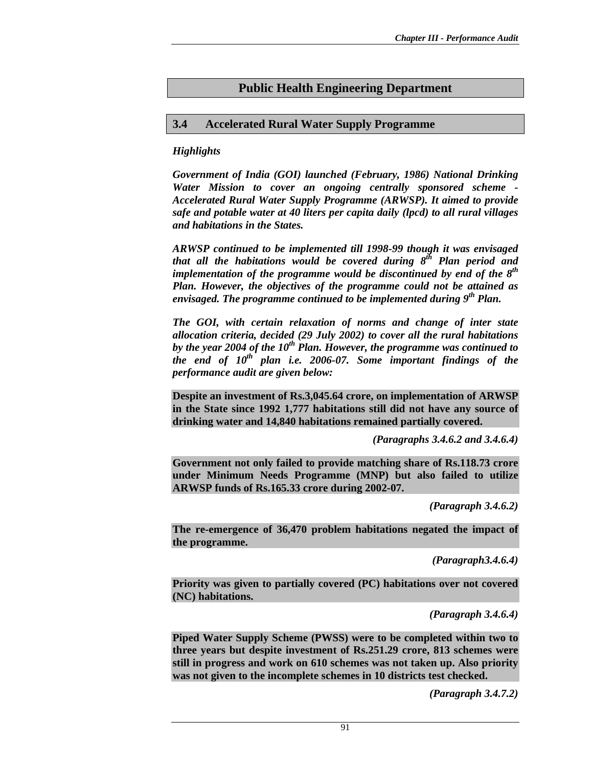# **Public Health Engineering Department**

### **3.4 Accelerated Rural Water Supply Programme**

#### *Highlights*

*Government of India (GOI) launched (February, 1986) National Drinking Water Mission to cover an ongoing centrally sponsored scheme - Accelerated Rural Water Supply Programme (ARWSP). It aimed to provide safe and potable water at 40 liters per capita daily (lpcd) to all rural villages and habitations in the States.* 

*ARWSP continued to be implemented till 1998-99 though it was envisaged that all the habitations would be covered during 8th Plan period and implementation of the programme would be discontinued by end of the 8th Plan. However, the objectives of the programme could not be attained as envisaged. The programme continued to be implemented during 9th Plan.* 

*The GOI, with certain relaxation of norms and change of inter state allocation criteria, decided (29 July 2002) to cover all the rural habitations*  by the year 2004 of the 10<sup>th</sup> Plan. However, the programme was continued to *the end of 10th plan i.e. 2006-07. Some important findings of the performance audit are given below:* 

**Despite an investment of Rs.3,045.64 crore, on implementation of ARWSP in the State since 1992 1,777 habitations still did not have any source of drinking water and 14,840 habitations remained partially covered.** 

*(Paragraphs 3.4.6.2 and 3.4.6.4)* 

**Government not only failed to provide matching share of Rs.118.73 crore under Minimum Needs Programme (MNP) but also failed to utilize ARWSP funds of Rs.165.33 crore during 2002-07.** 

*(Paragraph 3.4.6.2)* 

**The re-emergence of 36,470 problem habitations negated the impact of the programme.** 

*(Paragraph3.4.6.4)* 

**Priority was given to partially covered (PC) habitations over not covered (NC) habitations.** 

*(Paragraph 3.4.6.4)* 

**Piped Water Supply Scheme (PWSS) were to be completed within two to three years but despite investment of Rs.251.29 crore, 813 schemes were still in progress and work on 610 schemes was not taken up. Also priority was not given to the incomplete schemes in 10 districts test checked.** 

*(Paragraph 3.4.7.2)*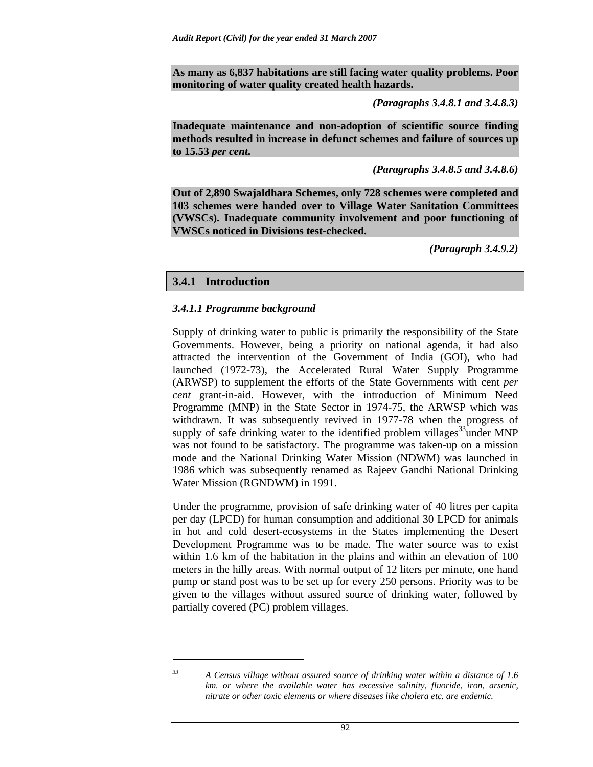**As many as 6,837 habitations are still facing water quality problems. Poor monitoring of water quality created health hazards.** 

*(Paragraphs 3.4.8.1 and 3.4.8.3)* 

**Inadequate maintenance and non-adoption of scientific source finding methods resulted in increase in defunct schemes and failure of sources up to 15.53** *per cent***.** 

*(Paragraphs 3.4.8.5 and 3.4.8.6)* 

**Out of 2,890 Swajaldhara Schemes, only 728 schemes were completed and 103 schemes were handed over to Village Water Sanitation Committees (VWSCs). Inadequate community involvement and poor functioning of VWSCs noticed in Divisions test-checked.** 

 *(Paragraph 3.4.9.2)* 

#### **3.4.1 Introduction**

#### *3.4.1.1 Programme background*

Supply of drinking water to public is primarily the responsibility of the State Governments. However, being a priority on national agenda, it had also attracted the intervention of the Government of India (GOI), who had launched (1972-73), the Accelerated Rural Water Supply Programme (ARWSP) to supplement the efforts of the State Governments with cent *per cent* grant-in-aid. However, with the introduction of Minimum Need Programme (MNP) in the State Sector in 1974-75, the ARWSP which was withdrawn. It was subsequently revived in 1977-78 when the progress of supply of safe drinking water to the identified problem villages<sup>33</sup>under MNP was not found to be satisfactory. The programme was taken-up on a mission mode and the National Drinking Water Mission (NDWM) was launched in 1986 which was subsequently renamed as Rajeev Gandhi National Drinking Water Mission (RGNDWM) in 1991.

Under the programme, provision of safe drinking water of 40 litres per capita per day (LPCD) for human consumption and additional 30 LPCD for animals in hot and cold desert-ecosystems in the States implementing the Desert Development Programme was to be made. The water source was to exist within 1.6 km of the habitation in the plains and within an elevation of 100 meters in the hilly areas. With normal output of 12 liters per minute, one hand pump or stand post was to be set up for every 250 persons. Priority was to be given to the villages without assured source of drinking water, followed by partially covered (PC) problem villages.

 $\overline{a}$ 

*<sup>33</sup> A Census village without assured source of drinking water within a distance of 1.6 km. or where the available water has excessive salinity, fluoride, iron, arsenic, nitrate or other toxic elements or where diseases like cholera etc. are endemic.*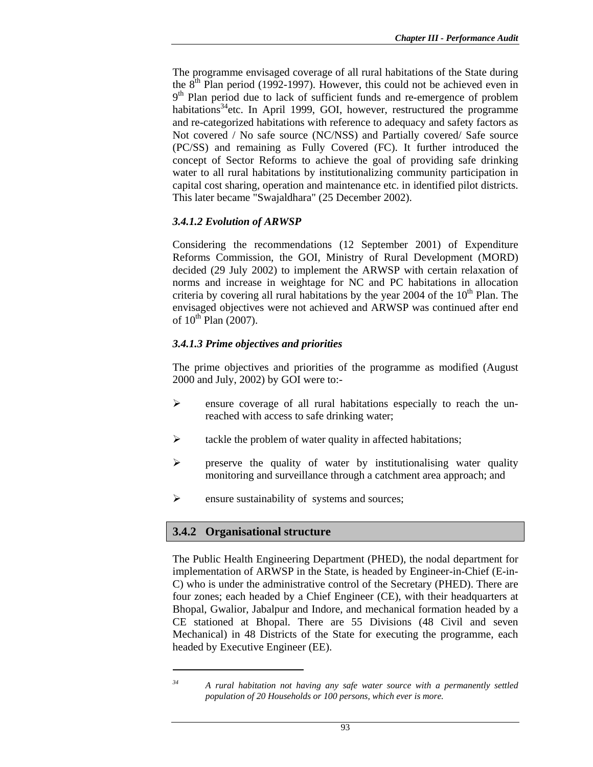The programme envisaged coverage of all rural habitations of the State during the  $8<sup>th</sup>$  Plan period (1992-1997). However, this could not be achieved even in 9<sup>th</sup> Plan period due to lack of sufficient funds and re-emergence of problem habitations<sup>34</sup>etc. In April 1999, GOI, however, restructured the programme and re-categorized habitations with reference to adequacy and safety factors as Not covered / No safe source (NC/NSS) and Partially covered/ Safe source (PC/SS) and remaining as Fully Covered (FC). It further introduced the concept of Sector Reforms to achieve the goal of providing safe drinking water to all rural habitations by institutionalizing community participation in capital cost sharing, operation and maintenance etc. in identified pilot districts. This later became "Swajaldhara" (25 December 2002).

### *3.4.1.2 Evolution of ARWSP*

Considering the recommendations (12 September 2001) of Expenditure Reforms Commission, the GOI, Ministry of Rural Development (MORD) decided (29 July 2002) to implement the ARWSP with certain relaxation of norms and increase in weightage for NC and PC habitations in allocation criteria by covering all rural habitations by the year 2004 of the  $10<sup>th</sup>$  Plan. The envisaged objectives were not achieved and ARWSP was continued after end of  $10^{th}$  Plan (2007).

### *3.4.1.3 Prime objectives and priorities*

The prime objectives and priorities of the programme as modified (August 2000 and July, 2002) by GOI were to:-

- ¾ ensure coverage of all rural habitations especially to reach the unreached with access to safe drinking water;
- $\triangleright$  tackle the problem of water quality in affected habitations;
- $\triangleright$  preserve the quality of water by institutionalising water quality monitoring and surveillance through a catchment area approach; and
- $\triangleright$  ensure sustainability of systems and sources;

### **3.4.2 Organisational structure**

 $\overline{a}$ 

The Public Health Engineering Department (PHED), the nodal department for implementation of ARWSP in the State, is headed by Engineer-in-Chief (E-in-C) who is under the administrative control of the Secretary (PHED). There are four zones; each headed by a Chief Engineer (CE), with their headquarters at Bhopal, Gwalior, Jabalpur and Indore, and mechanical formation headed by a CE stationed at Bhopal. There are 55 Divisions (48 Civil and seven Mechanical) in 48 Districts of the State for executing the programme, each headed by Executive Engineer (EE).

*<sup>34</sup> A rural habitation not having any safe water source with a permanently settled population of 20 Households or 100 persons, which ever is more.*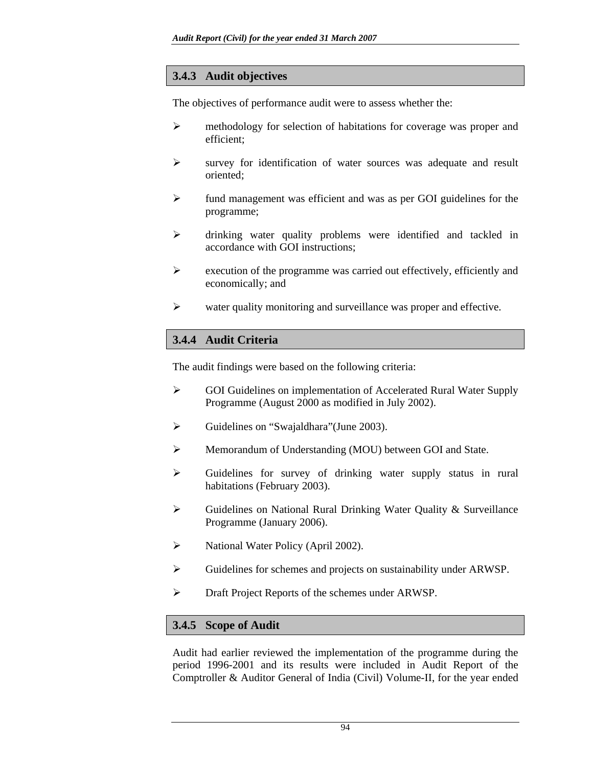## **3.4.3 Audit objectives**

The objectives of performance audit were to assess whether the:

- ¾ methodology for selection of habitations for coverage was proper and efficient;
- $\triangleright$  survey for identification of water sources was adequate and result oriented;
- $\triangleright$  fund management was efficient and was as per GOI guidelines for the programme;
- ¾ drinking water quality problems were identified and tackled in accordance with GOI instructions;
- $\triangleright$  execution of the programme was carried out effectively, efficiently and economically; and
- $\triangleright$  water quality monitoring and surveillance was proper and effective.

# **3.4.4 Audit Criteria**

The audit findings were based on the following criteria:

- ¾ GOI Guidelines on implementation of Accelerated Rural Water Supply Programme (August 2000 as modified in July 2002).
- ¾ Guidelines on "Swajaldhara"(June 2003).
- ¾ Memorandum of Understanding (MOU) between GOI and State.
- ¾ Guidelines for survey of drinking water supply status in rural habitations (February 2003).
- ¾ Guidelines on National Rural Drinking Water Quality & Surveillance Programme (January 2006).
- ¾ National Water Policy (April 2002).
- ¾ Guidelines for schemes and projects on sustainability under ARWSP.
- ¾ Draft Project Reports of the schemes under ARWSP.

### **3.4.5 Scope of Audit**

Audit had earlier reviewed the implementation of the programme during the period 1996-2001 and its results were included in Audit Report of the Comptroller & Auditor General of India (Civil) Volume-II, for the year ended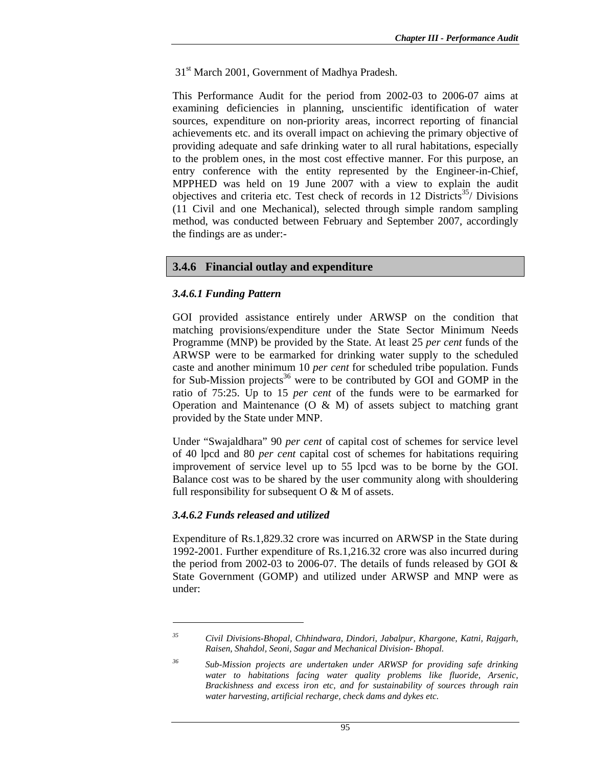31<sup>st</sup> March 2001, Government of Madhya Pradesh.

This Performance Audit for the period from 2002-03 to 2006-07 aims at examining deficiencies in planning, unscientific identification of water sources, expenditure on non-priority areas, incorrect reporting of financial achievements etc. and its overall impact on achieving the primary objective of providing adequate and safe drinking water to all rural habitations, especially to the problem ones, in the most cost effective manner. For this purpose, an entry conference with the entity represented by the Engineer-in-Chief, MPPHED was held on 19 June 2007 with a view to explain the audit objectives and criteria etc. Test check of records in 12 Districts<sup>35</sup>/ Divisions (11 Civil and one Mechanical), selected through simple random sampling method, was conducted between February and September 2007, accordingly the findings are as under:-

### **3.4.6 Financial outlay and expenditure**

#### *3.4.6.1 Funding Pattern*

GOI provided assistance entirely under ARWSP on the condition that matching provisions/expenditure under the State Sector Minimum Needs Programme (MNP) be provided by the State. At least 25 *per cent* funds of the ARWSP were to be earmarked for drinking water supply to the scheduled caste and another minimum 10 *per cent* for scheduled tribe population. Funds for Sub-Mission projects<sup>36</sup> were to be contributed by GOI and GOMP in the ratio of 75:25. Up to 15 *per cent* of the funds were to be earmarked for Operation and Maintenance  $(O \& M)$  of assets subject to matching grant provided by the State under MNP.

Under "Swajaldhara" 90 *per cent* of capital cost of schemes for service level of 40 lpcd and 80 *per cent* capital cost of schemes for habitations requiring improvement of service level up to 55 lpcd was to be borne by the GOI. Balance cost was to be shared by the user community along with shouldering full responsibility for subsequent  $O & M$  of assets.

#### *3.4.6.2 Funds released and utilized*

 $\overline{a}$ 

Expenditure of Rs.1,829.32 crore was incurred on ARWSP in the State during 1992-2001. Further expenditure of Rs.1,216.32 crore was also incurred during the period from 2002-03 to 2006-07. The details of funds released by GOI & State Government (GOMP) and utilized under ARWSP and MNP were as under:

*<sup>35</sup> Civil Divisions-Bhopal, Chhindwara, Dindori, Jabalpur, Khargone, Katni, Rajgarh, Raisen, Shahdol, Seoni, Sagar and Mechanical Division- Bhopal.* 

*<sup>36</sup> Sub-Mission projects are undertaken under ARWSP for providing safe drinking water to habitations facing water quality problems like fluoride, Arsenic, Brackishness and excess iron etc, and for sustainability of sources through rain water harvesting, artificial recharge, check dams and dykes etc.*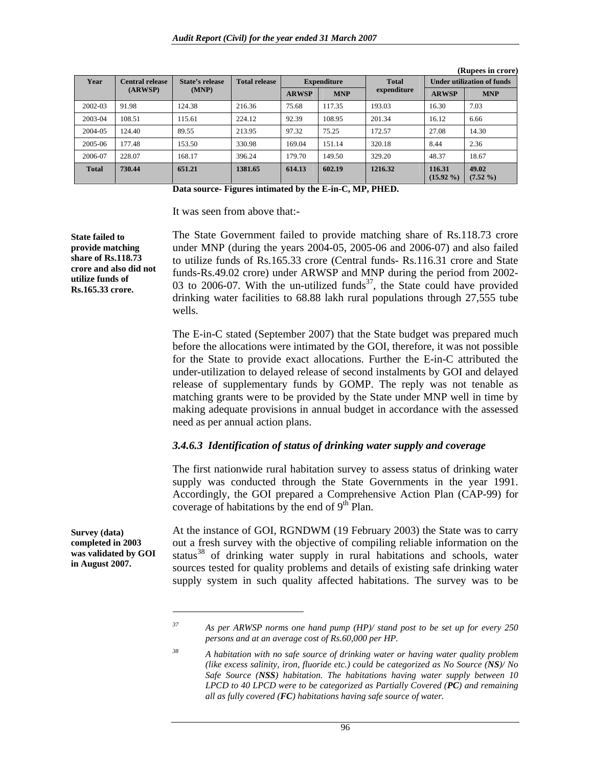| Year         | <b>Central release</b> | State's release | <b>Total release</b> |              | <b>Expenditure</b> | <b>Total</b> |                        | <b>Under utilization of funds</b> |  |
|--------------|------------------------|-----------------|----------------------|--------------|--------------------|--------------|------------------------|-----------------------------------|--|
|              | (ARWSP)                | (MNP)           |                      | <b>ARWSP</b> | <b>MNP</b>         | expenditure  | <b>ARWSP</b>           | <b>MNP</b>                        |  |
| 2002-03      | 91.98                  | 124.38          | 216.36               | 75.68        | 117.35             | 193.03       | 16.30                  | 7.03                              |  |
| 2003-04      | 108.51                 | 115.61          | 224.12               | 92.39        | 108.95             | 201.34       | 16.12                  | 6.66                              |  |
| 2004-05      | 124.40                 | 89.55           | 213.95               | 97.32        | 75.25              | 172.57       | 27.08                  | 14.30                             |  |
| 2005-06      | 177.48                 | 153.50          | 330.98               | 169.04       | 151.14             | 320.18       | 8.44                   | 2.36                              |  |
| 2006-07      | 228.07                 | 168.17          | 396.24               | 179.70       | 149.50             | 329.20       | 48.37                  | 18.67                             |  |
| <b>Total</b> | 730.44                 | 651.21          | 1381.65              | 614.13       | 602.19             | 1216.32      | 116.31<br>$(15.92\% )$ | 49.02<br>$(7.52\% )$              |  |

 **(Rupees in crore)** 

**Data source- Figures intimated by the E-in-C, MP, PHED.** 

It was seen from above that:-

**State failed to provide matching share of Rs.118.73 crore and also did not utilize funds of Rs.165.33 crore.** 

The State Government failed to provide matching share of Rs.118.73 crore under MNP (during the years 2004-05, 2005-06 and 2006-07) and also failed to utilize funds of Rs.165.33 crore (Central funds- Rs.116.31 crore and State funds-Rs.49.02 crore) under ARWSP and MNP during the period from 2002- 03 to 2006-07. With the un-utilized funds<sup>37</sup>, the State could have provided drinking water facilities to 68.88 lakh rural populations through 27,555 tube wells.

The E-in-C stated (September 2007) that the State budget was prepared much before the allocations were intimated by the GOI, therefore, it was not possible for the State to provide exact allocations. Further the E-in-C attributed the under-utilization to delayed release of second instalments by GOI and delayed release of supplementary funds by GOMP. The reply was not tenable as matching grants were to be provided by the State under MNP well in time by making adequate provisions in annual budget in accordance with the assessed need as per annual action plans.

#### *3.4.6.3 Identification of status of drinking water supply and coverage*

The first nationwide rural habitation survey to assess status of drinking water supply was conducted through the State Governments in the year 1991. Accordingly, the GOI prepared a Comprehensive Action Plan (CAP-99) for coverage of habitations by the end of  $9<sup>th</sup>$  Plan.

**Survey (data) completed in 2003 was validated by GOI in August 2007.** 

 $\overline{a}$ 

At the instance of GOI, RGNDWM (19 February 2003) the State was to carry out a fresh survey with the objective of compiling reliable information on the status<sup>38</sup> of drinking water supply in rural habitations and schools, water sources tested for quality problems and details of existing safe drinking water supply system in such quality affected habitations. The survey was to be

*<sup>37</sup> As per ARWSP norms one hand pump (HP)/ stand post to be set up for every 250 persons and at an average cost of Rs.60,000 per HP.* 

*<sup>38</sup> A habitation with no safe source of drinking water or having water quality problem (like excess salinity, iron, fluoride etc.) could be categorized as No Source (NS)/ No Safe Source (NSS) habitation. The habitations having water supply between 10 LPCD to 40 LPCD were to be categorized as Partially Covered (PC) and remaining all as fully covered (FC) habitations having safe source of water.*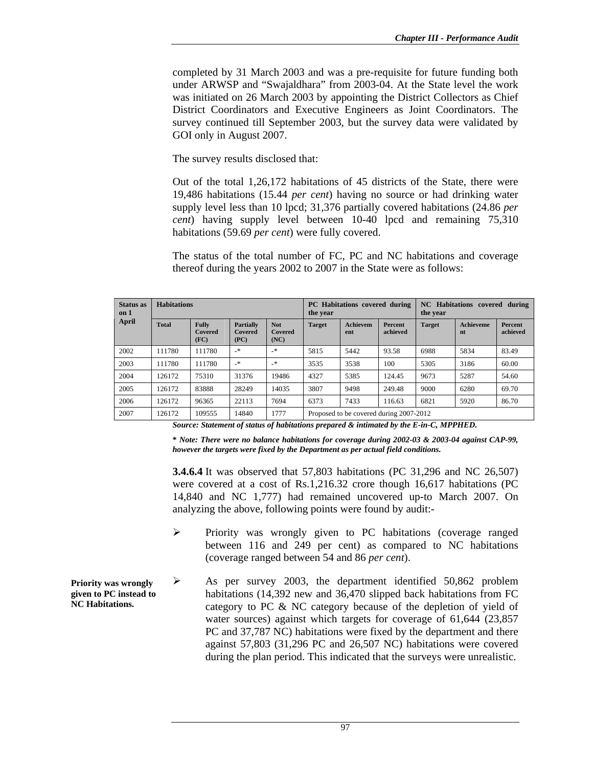completed by 31 March 2003 and was a pre-requisite for future funding both under ARWSP and "Swajaldhara" from 2003-04. At the State level the work was initiated on 26 March 2003 by appointing the District Collectors as Chief District Coordinators and Executive Engineers as Joint Coordinators. The survey continued till September 2003, but the survey data were validated by GOI only in August 2007.

The survey results disclosed that:

Out of the total 1,26,172 habitations of 45 districts of the State, there were 19,486 habitations (15.44 *per cent*) having no source or had drinking water supply level less than 10 lpcd; 31,376 partially covered habitations (24.86 *per cent*) having supply level between 10-40 lpcd and remaining 75,310 habitations (59.69 *per cent*) were fully covered.

The status of the total number of FC, PC and NC habitations and coverage thereof during the years 2002 to 2007 in the State were as follows:

| <b>Status</b> as<br>on 1 | <b>Habitations</b> |                                 |                                     | <b>PC</b> Habitations covered during<br>the year |               |                                         | NC Habitations covered during<br>the year |               |                        |                     |
|--------------------------|--------------------|---------------------------------|-------------------------------------|--------------------------------------------------|---------------|-----------------------------------------|-------------------------------------------|---------------|------------------------|---------------------|
| April                    | <b>Total</b>       | <b>Fully</b><br>Covered<br>(FC) | <b>Partially</b><br>Covered<br>(PC) | <b>Not</b><br>Covered<br>(NC)                    | <b>Target</b> | <b>Achievem</b><br>ent                  | Percent<br>achieved                       | <b>Target</b> | <b>Achieveme</b><br>nt | Percent<br>achieved |
| 2002                     | 111780             | 111780                          | $\mathbf{R}^*$                      | $\cdot$                                          | 5815          | 5442                                    | 93.58                                     | 6988          | 5834                   | 83.49               |
| 2003                     | 111780             | 111780                          | $\rightarrow$                       | $\cdot$                                          | 3535          | 3538                                    | 100                                       | 5305          | 3186                   | 60.00               |
| 2004                     | 126172             | 75310                           | 31376                               | 19486                                            | 4327          | 5385                                    | 124.45                                    | 9673          | 5287                   | 54.60               |
| 2005                     | 126172             | 83888                           | 28249                               | 14035                                            | 3807          | 9498                                    | 249.48                                    | 9000          | 6280                   | 69.70               |
| 2006                     | 126172             | 96365                           | 22113                               | 7694                                             | 6373          | 7433                                    | 116.63                                    | 6821          | 5920                   | 86.70               |
| 2007                     | 126172             | 109555                          | 14840                               | 1777                                             |               | Proposed to be covered during 2007-2012 |                                           |               |                        |                     |

*Source: Statement of status of habitations prepared & intimated by the E-in-C, MPPHED.* 

**\*** *Note: There were no balance habitations for coverage during 2002-03 & 2003-04 against CAP-99, however the targets were fixed by the Department as per actual field conditions.* 

**3.4.6.4** It was observed that 57,803 habitations (PC 31,296 and NC 26,507) were covered at a cost of Rs.1,216.32 crore though 16,617 habitations (PC 14,840 and NC 1,777) had remained uncovered up-to March 2007. On analyzing the above, following points were found by audit:-

- ¾ Priority was wrongly given to PC habitations (coverage ranged between 116 and 249 per cent) as compared to NC habitations (coverage ranged between 54 and 86 *per cent*).
- $\triangleright$  As per survey 2003, the department identified 50,862 problem habitations (14,392 new and 36,470 slipped back habitations from FC category to PC & NC category because of the depletion of yield of water sources) against which targets for coverage of 61,644 (23,857 PC and 37,787 NC) habitations were fixed by the department and there against 57,803 (31,296 PC and 26,507 NC) habitations were covered during the plan period. This indicated that the surveys were unrealistic.

**Priority was wrongly given to PC instead to NC Habitations.**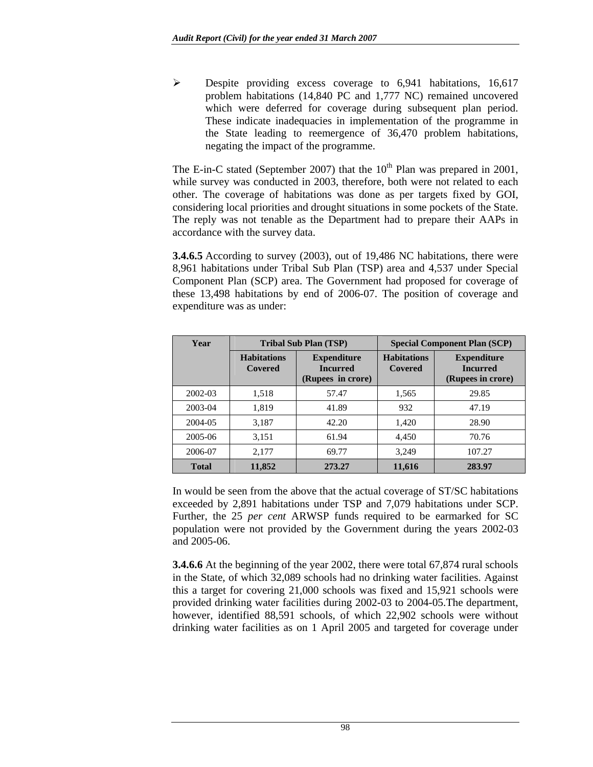¾ Despite providing excess coverage to 6,941 habitations, 16,617 problem habitations (14,840 PC and 1,777 NC) remained uncovered which were deferred for coverage during subsequent plan period. These indicate inadequacies in implementation of the programme in the State leading to reemergence of 36,470 problem habitations, negating the impact of the programme.

The E-in-C stated (September 2007) that the  $10^{th}$  Plan was prepared in 2001, while survey was conducted in 2003, therefore, both were not related to each other. The coverage of habitations was done as per targets fixed by GOI, considering local priorities and drought situations in some pockets of the State. The reply was not tenable as the Department had to prepare their AAPs in accordance with the survey data.

**3.4.6.5** According to survey (2003), out of 19,486 NC habitations, there were 8,961 habitations under Tribal Sub Plan (TSP) area and 4,537 under Special Component Plan (SCP) area. The Government had proposed for coverage of these 13,498 habitations by end of 2006-07. The position of coverage and expenditure was as under:

| Year         |                               | <b>Tribal Sub Plan (TSP)</b>                               | <b>Special Component Plan (SCP)</b> |                                                            |  |
|--------------|-------------------------------|------------------------------------------------------------|-------------------------------------|------------------------------------------------------------|--|
|              | <b>Habitations</b><br>Covered | <b>Expenditure</b><br><b>Incurred</b><br>(Rupees in crore) | <b>Habitations</b><br>Covered       | <b>Expenditure</b><br><b>Incurred</b><br>(Rupees in crore) |  |
| 2002-03      | 1,518                         | 57.47                                                      | 1,565                               | 29.85                                                      |  |
| 2003-04      | 1,819                         | 41.89                                                      | 932                                 | 47.19                                                      |  |
| 2004-05      | 3.187                         | 42.20                                                      | 1,420                               | 28.90                                                      |  |
| 2005-06      | 3,151                         | 61.94                                                      | 4,450                               | 70.76                                                      |  |
| 2006-07      | 2,177                         | 69.77                                                      | 3,249                               | 107.27                                                     |  |
| <b>Total</b> | 11,852                        | 273.27                                                     | 11,616                              | 283.97                                                     |  |

In would be seen from the above that the actual coverage of ST/SC habitations exceeded by 2,891 habitations under TSP and 7,079 habitations under SCP. Further, the 25 *per cent* ARWSP funds required to be earmarked for SC population were not provided by the Government during the years 2002-03 and 2005-06.

**3.4.6.6** At the beginning of the year 2002, there were total 67,874 rural schools in the State, of which 32,089 schools had no drinking water facilities. Against this a target for covering 21,000 schools was fixed and 15,921 schools were provided drinking water facilities during 2002-03 to 2004-05.The department, however, identified 88,591 schools, of which 22,902 schools were without drinking water facilities as on 1 April 2005 and targeted for coverage under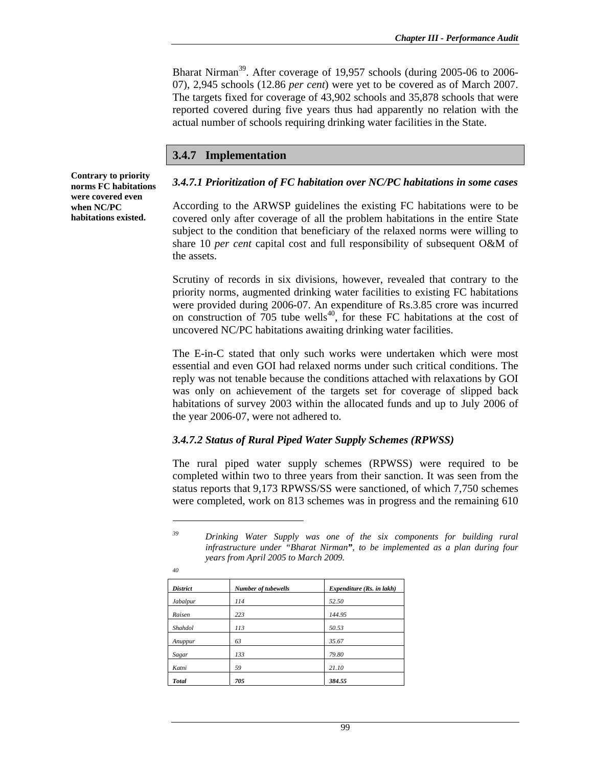Bharat Nirman<sup>39</sup>. After coverage of 19,957 schools (during 2005-06 to 2006-07), 2,945 schools (12.86 *per cent*) were yet to be covered as of March 2007. The targets fixed for coverage of 43,902 schools and 35,878 schools that were reported covered during five years thus had apparently no relation with the actual number of schools requiring drinking water facilities in the State.

### **3.4.7 Implementation**

**Contrary to priority norms FC habitations were covered even when NC/PC habitations existed.** 

#### *3.4.7.1 Prioritization of FC habitation over NC/PC habitations in some cases*

According to the ARWSP guidelines the existing FC habitations were to be covered only after coverage of all the problem habitations in the entire State subject to the condition that beneficiary of the relaxed norms were willing to share 10 *per cent* capital cost and full responsibility of subsequent O&M of the assets.

Scrutiny of records in six divisions, however, revealed that contrary to the priority norms, augmented drinking water facilities to existing FC habitations were provided during 2006-07. An expenditure of Rs.3.85 crore was incurred on construction of  $705$  tube wells<sup>40</sup>, for these FC habitations at the cost of uncovered NC/PC habitations awaiting drinking water facilities.

The E-in-C stated that only such works were undertaken which were most essential and even GOI had relaxed norms under such critical conditions. The reply was not tenable because the conditions attached with relaxations by GOI was only on achievement of the targets set for coverage of slipped back habitations of survey 2003 within the allocated funds and up to July 2006 of the year 2006-07, were not adhered to.

#### *3.4.7.2 Status of Rural Piped Water Supply Schemes (RPWSS)*

The rural piped water supply schemes (RPWSS) were required to be completed within two to three years from their sanction. It was seen from the status reports that 9,173 RPWSS/SS were sanctioned, of which 7,750 schemes were completed, work on 813 schemes was in progress and the remaining 610

 $\overline{a}$ 

| <b>District</b> | Number of tubewells | Expenditure (Rs. in lakh) |
|-----------------|---------------------|---------------------------|
| Jabalpur        | 114                 | 52.50                     |
| Raisen          | 223                 | 144.95                    |
| Shahdol         | 113                 | 50.53                     |
| Anuppur         | 63                  | 35.67                     |
| Sagar           | 133                 | 79.80                     |
| Katni           | 59                  | 21.10                     |
| <b>Total</b>    | 705                 | 384.55                    |

*<sup>39</sup> Drinking Water Supply was one of the six components for building rural infrastructure under "Bharat Nirman", to be implemented as a plan during four years from April 2005 to March 2009.* 

*<sup>40</sup>*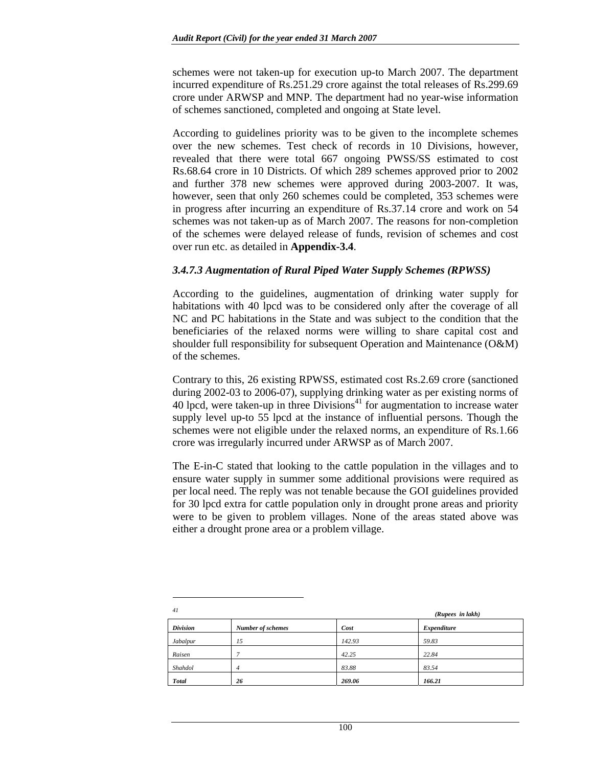schemes were not taken-up for execution up-to March 2007. The department incurred expenditure of Rs.251.29 crore against the total releases of Rs.299.69 crore under ARWSP and MNP. The department had no year-wise information of schemes sanctioned, completed and ongoing at State level.

According to guidelines priority was to be given to the incomplete schemes over the new schemes. Test check of records in 10 Divisions, however, revealed that there were total 667 ongoing PWSS/SS estimated to cost Rs.68.64 crore in 10 Districts. Of which 289 schemes approved prior to 2002 and further 378 new schemes were approved during 2003-2007. It was, however, seen that only 260 schemes could be completed, 353 schemes were in progress after incurring an expenditure of Rs.37.14 crore and work on 54 schemes was not taken-up as of March 2007. The reasons for non-completion of the schemes were delayed release of funds, revision of schemes and cost over run etc. as detailed in **Appendix-3.4**.

#### *3.4.7.3 Augmentation of Rural Piped Water Supply Schemes (RPWSS)*

According to the guidelines, augmentation of drinking water supply for habitations with 40 lpcd was to be considered only after the coverage of all NC and PC habitations in the State and was subject to the condition that the beneficiaries of the relaxed norms were willing to share capital cost and shoulder full responsibility for subsequent Operation and Maintenance (O&M) of the schemes.

Contrary to this, 26 existing RPWSS, estimated cost Rs.2.69 crore (sanctioned during 2002-03 to 2006-07), supplying drinking water as per existing norms of 40 lpcd, were taken-up in three Divisions<sup>41</sup> for augmentation to increase water supply level up-to 55 lpcd at the instance of influential persons. Though the schemes were not eligible under the relaxed norms, an expenditure of Rs.1.66 crore was irregularly incurred under ARWSP as of March 2007.

The E-in-C stated that looking to the cattle population in the villages and to ensure water supply in summer some additional provisions were required as per local need. The reply was not tenable because the GOI guidelines provided for 30 lpcd extra for cattle population only in drought prone areas and priority were to be given to problem villages. None of the areas stated above was either a drought prone area or a problem village.

| 41              |                          |        | (Rupees in lakh) |  |  |
|-----------------|--------------------------|--------|------------------|--|--|
| <b>Division</b> | <b>Number of schemes</b> | Cost   | Expenditure      |  |  |
| Jabalpur        | 15                       | 142.93 | 59.83            |  |  |
| Raisen          |                          | 42.25  | 22.84            |  |  |
| Shahdol         | $\overline{4}$           | 83.88  | 83.54            |  |  |
| <b>Total</b>    | 26                       | 269.06 | 166.21           |  |  |

 $\overline{a}$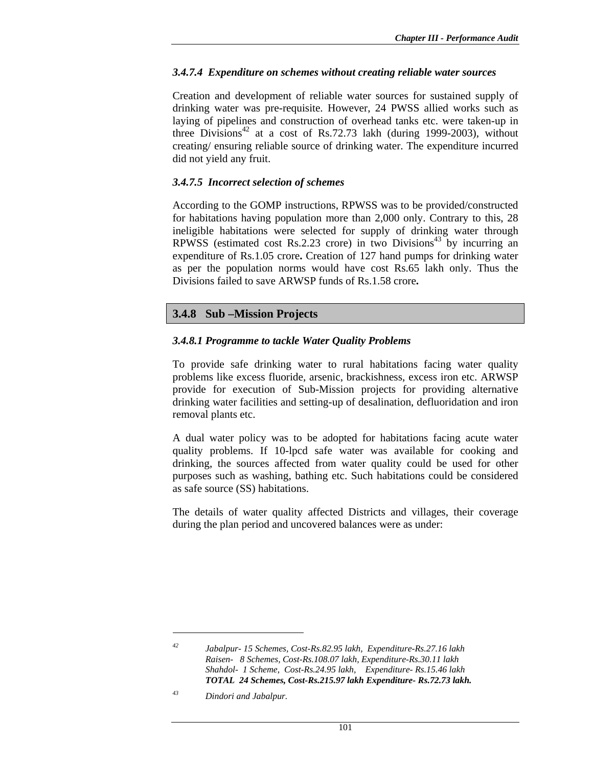### *3.4.7.4 Expenditure on schemes without creating reliable water sources*

Creation and development of reliable water sources for sustained supply of drinking water was pre-requisite. However, 24 PWSS allied works such as laying of pipelines and construction of overhead tanks etc. were taken-up in three Divisions<sup>42</sup> at a cost of Rs.72.73 lakh (during 1999-2003), without creating/ ensuring reliable source of drinking water. The expenditure incurred did not yield any fruit.

### *3.4.7.5 Incorrect selection of schemes*

According to the GOMP instructions, RPWSS was to be provided/constructed for habitations having population more than 2,000 only. Contrary to this, 28 ineligible habitations were selected for supply of drinking water through RPWSS (estimated cost Rs.2.23 crore) in two Divisions<sup>43</sup> by incurring an expenditure of Rs.1.05 crore**.** Creation of 127 hand pumps for drinking water as per the population norms would have cost Rs.65 lakh only. Thus the Divisions failed to save ARWSP funds of Rs.1.58 crore**.** 

## **3.4.8 Sub –Mission Projects**

### *3.4.8.1 Programme to tackle Water Quality Problems*

To provide safe drinking water to rural habitations facing water quality problems like excess fluoride, arsenic, brackishness, excess iron etc. ARWSP provide for execution of Sub-Mission projects for providing alternative drinking water facilities and setting-up of desalination, defluoridation and iron removal plants etc.

A dual water policy was to be adopted for habitations facing acute water quality problems. If 10-lpcd safe water was available for cooking and drinking, the sources affected from water quality could be used for other purposes such as washing, bathing etc. Such habitations could be considered as safe source (SS) habitations.

The details of water quality affected Districts and villages, their coverage during the plan period and uncovered balances were as under:

 $\overline{a}$ 

*<sup>42</sup> Jabalpur- 15 Schemes, Cost-Rs.82.95 lakh, Expenditure-Rs.27.16 lakh Raisen- 8 Schemes, Cost-Rs.108.07 lakh, Expenditure-Rs.30.11 lakh Shahdol- 1 Scheme, Cost-Rs.24.95 lakh, Expenditure- Rs.15.46 lakh TOTAL 24 Schemes, Cost-Rs.215.97 lakh Expenditure- Rs.72.73 lakh.*

*<sup>43</sup> Dindori and Jabalpur.*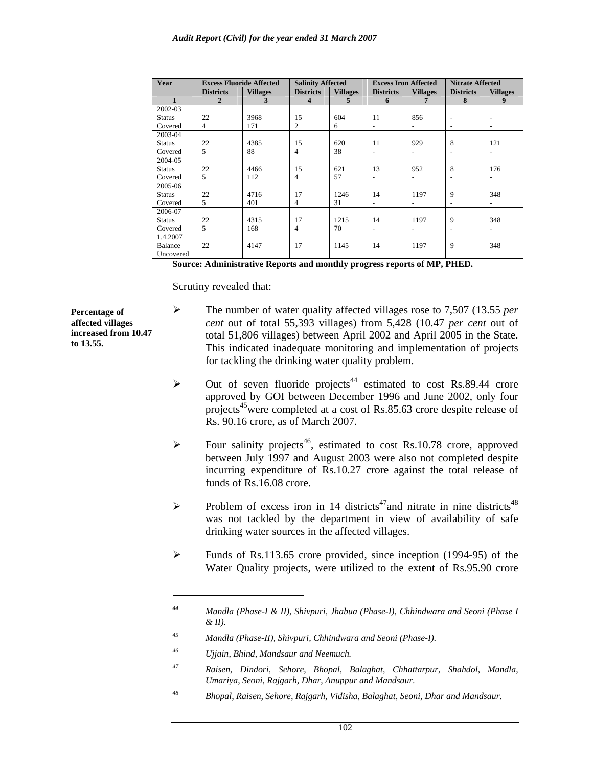| Year           | <b>Excess Fluoride Affected</b> |                 | <b>Salinity Affected</b> |                         | <b>Excess Iron Affected</b> |                          | <b>Nitrate Affected</b>  |                          |
|----------------|---------------------------------|-----------------|--------------------------|-------------------------|-----------------------------|--------------------------|--------------------------|--------------------------|
|                | <b>Districts</b>                | <b>Villages</b> | <b>Districts</b>         | <b>Villages</b>         | <b>Districts</b>            | <b>Villages</b>          | <b>Districts</b>         | <b>Villages</b>          |
| $\mathbf{1}$   | $\overline{2}$                  | 3               | $\overline{\mathbf{4}}$  | $\overline{\mathbf{5}}$ | 6                           | 7                        | 8                        | $\boldsymbol{9}$         |
| 2002-03        |                                 |                 |                          |                         |                             |                          |                          |                          |
| <b>Status</b>  | 22                              | 3968            | 15                       | 604                     | 11                          | 856                      | $\overline{\phantom{a}}$ |                          |
| Covered        | $\overline{4}$                  | 171             | $\overline{c}$           | 6                       | $\overline{\phantom{a}}$    | $\sim$                   | $\overline{\phantom{a}}$ |                          |
| 2003-04        |                                 |                 |                          |                         |                             |                          |                          |                          |
| <b>Status</b>  | 22                              | 4385            | 15                       | 620                     | 11                          | 929                      | 8                        | 121                      |
| Covered        | 5                               | 88              | $\overline{4}$           | 38                      | $\overline{\phantom{a}}$    | $\overline{\phantom{a}}$ | $\overline{\phantom{a}}$ | $\overline{\phantom{a}}$ |
| 2004-05        |                                 |                 |                          |                         |                             |                          |                          |                          |
| <b>Status</b>  | 22                              | 4466            | 15                       | 621                     | 13                          | 952                      | 8                        | 176                      |
| Covered        | 5                               | 112             | $\overline{4}$           | 57                      | $\overline{\phantom{a}}$    | $\overline{\phantom{a}}$ | $\overline{\phantom{a}}$ | $\overline{\phantom{a}}$ |
| 2005-06        |                                 |                 |                          |                         |                             |                          |                          |                          |
| <b>Status</b>  | 22                              | 4716            | 17                       | 1246                    | 14                          | 1197                     | 9                        | 348                      |
| Covered        | 5                               | 401             | $\overline{4}$           | 31                      | $\overline{\phantom{a}}$    | $\overline{\phantom{a}}$ | $\overline{\phantom{a}}$ | $\sim$                   |
| 2006-07        |                                 |                 |                          |                         |                             |                          |                          |                          |
| <b>Status</b>  | 22                              | 4315            | 17                       | 1215                    | 14                          | 1197                     | 9                        | 348                      |
| Covered        | 5                               | 168             | $\overline{4}$           | 70                      | $\sim$                      | $\overline{\phantom{a}}$ | $\overline{\phantom{a}}$ | $\overline{\phantom{a}}$ |
| 1.4.2007       |                                 |                 |                          |                         |                             |                          |                          |                          |
| <b>Balance</b> | 22                              | 4147            | 17                       | 1145                    | 14                          | 1197                     | 9                        | 348                      |
| Uncovered      |                                 |                 |                          |                         |                             |                          |                          |                          |

**Source: Administrative Reports and monthly progress reports of MP, PHED.** 

Scrutiny revealed that:

- ¾ The number of water quality affected villages rose to 7,507 (13.55 *per cent* out of total 55,393 villages) from 5,428 (10.47 *per cent* out of total 51,806 villages) between April 2002 and April 2005 in the State. This indicated inadequate monitoring and implementation of projects for tackling the drinking water quality problem.
- $\triangleright$  Out of seven fluoride projects<sup>44</sup> estimated to cost Rs.89.44 crore approved by GOI between December 1996 and June 2002, only four projects<sup>45</sup> were completed at a cost of Rs.85.63 crore despite release of Rs. 90.16 crore, as of March 2007.
- $\triangleright$  Four salinity projects<sup>46</sup>, estimated to cost Rs.10.78 crore, approved between July 1997 and August 2003 were also not completed despite incurring expenditure of Rs.10.27 crore against the total release of funds of Rs.16.08 crore.
- $\triangleright$  Problem of excess iron in 14 districts<sup>47</sup>and nitrate in nine districts<sup>48</sup> was not tackled by the department in view of availability of safe drinking water sources in the affected villages.
- ¾ Funds of Rs.113.65 crore provided, since inception (1994-95) of the Water Quality projects, were utilized to the extent of Rs.95.90 crore

*48 Bhopal, Raisen, Sehore, Rajgarh, Vidisha, Balaghat, Seoni, Dhar and Mandsaur.* 

**Percentage of affected villages increased from 10.47 to 13.55.** 

*<sup>44</sup> Mandla (Phase-I & II), Shivpuri, Jhabua (Phase-I), Chhindwara and Seoni (Phase I & II).* 

*<sup>45</sup> Mandla (Phase-II), Shivpuri, Chhindwara and Seoni (Phase-I).* 

*<sup>46</sup> Ujjain, Bhind, Mandsaur and Neemuch.* 

*<sup>47</sup> Raisen, Dindori, Sehore, Bhopal, Balaghat, Chhattarpur, Shahdol, Mandla, Umariya, Seoni, Rajgarh, Dhar, Anuppur and Mandsaur.*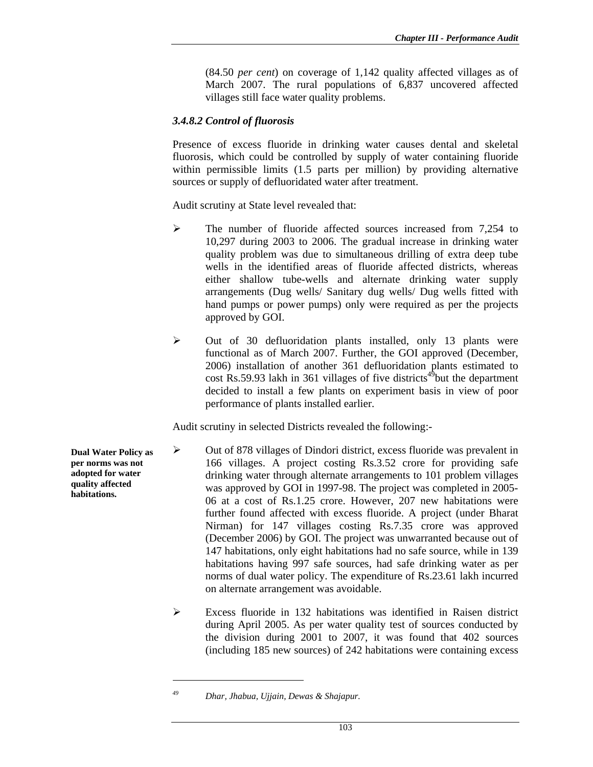(84.50 *per cent*) on coverage of 1,142 quality affected villages as of March 2007. The rural populations of 6,837 uncovered affected villages still face water quality problems.

#### *3.4.8.2 Control of fluorosis*

Presence of excess fluoride in drinking water causes dental and skeletal fluorosis, which could be controlled by supply of water containing fluoride within permissible limits (1.5 parts per million) by providing alternative sources or supply of defluoridated water after treatment.

Audit scrutiny at State level revealed that:

- ¾ The number of fluoride affected sources increased from 7,254 to 10,297 during 2003 to 2006. The gradual increase in drinking water quality problem was due to simultaneous drilling of extra deep tube wells in the identified areas of fluoride affected districts, whereas either shallow tube-wells and alternate drinking water supply arrangements (Dug wells/ Sanitary dug wells/ Dug wells fitted with hand pumps or power pumps) only were required as per the projects approved by GOI.
- ¾ Out of 30 defluoridation plants installed, only 13 plants were functional as of March 2007. Further, the GOI approved (December, 2006) installation of another 361 defluoridation plants estimated to cost Rs.59.93 lakh in 361 villages of five districts<sup>49</sup>but the department decided to install a few plants on experiment basis in view of poor performance of plants installed earlier.

Audit scrutiny in selected Districts revealed the following:-

- ¾ Out of 878 villages of Dindori district, excess fluoride was prevalent in 166 villages. A project costing Rs.3.52 crore for providing safe drinking water through alternate arrangements to 101 problem villages was approved by GOI in 1997-98. The project was completed in 2005- 06 at a cost of Rs.1.25 crore. However, 207 new habitations were further found affected with excess fluoride. A project (under Bharat Nirman) for 147 villages costing Rs.7.35 crore was approved (December 2006) by GOI. The project was unwarranted because out of 147 habitations, only eight habitations had no safe source, while in 139 habitations having 997 safe sources, had safe drinking water as per norms of dual water policy. The expenditure of Rs.23.61 lakh incurred on alternate arrangement was avoidable.
	- ¾ Excess fluoride in 132 habitations was identified in Raisen district during April 2005. As per water quality test of sources conducted by the division during 2001 to 2007, it was found that 402 sources (including 185 new sources) of 242 habitations were containing excess

 $\overline{a}$ 

**Dual Water Policy as per norms was not adopted for water quality affected habitations.** 

*<sup>49</sup> Dhar, Jhabua, Ujjain, Dewas & Shajapur.*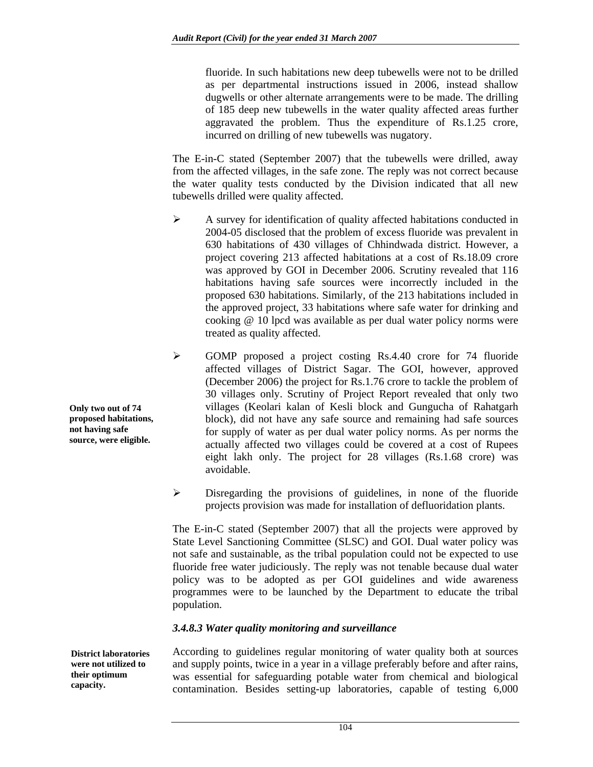fluoride. In such habitations new deep tubewells were not to be drilled as per departmental instructions issued in 2006, instead shallow dugwells or other alternate arrangements were to be made. The drilling of 185 deep new tubewells in the water quality affected areas further aggravated the problem. Thus the expenditure of Rs.1.25 crore, incurred on drilling of new tubewells was nugatory.

The E-in-C stated (September 2007) that the tubewells were drilled, away from the affected villages, in the safe zone. The reply was not correct because the water quality tests conducted by the Division indicated that all new tubewells drilled were quality affected.

- $\triangleright$  A survey for identification of quality affected habitations conducted in 2004-05 disclosed that the problem of excess fluoride was prevalent in 630 habitations of 430 villages of Chhindwada district. However, a project covering 213 affected habitations at a cost of Rs.18.09 crore was approved by GOI in December 2006. Scrutiny revealed that 116 habitations having safe sources were incorrectly included in the proposed 630 habitations. Similarly, of the 213 habitations included in the approved project, 33 habitations where safe water for drinking and cooking @ 10 lpcd was available as per dual water policy norms were treated as quality affected.
- ¾ GOMP proposed a project costing Rs.4.40 crore for 74 fluoride affected villages of District Sagar. The GOI, however, approved (December 2006) the project for Rs.1.76 crore to tackle the problem of 30 villages only. Scrutiny of Project Report revealed that only two villages (Keolari kalan of Kesli block and Gungucha of Rahatgarh block), did not have any safe source and remaining had safe sources for supply of water as per dual water policy norms. As per norms the actually affected two villages could be covered at a cost of Rupees eight lakh only. The project for 28 villages (Rs.1.68 crore) was avoidable.
- $\triangleright$  Disregarding the provisions of guidelines, in none of the fluoride projects provision was made for installation of defluoridation plants.

The E-in-C stated (September 2007) that all the projects were approved by State Level Sanctioning Committee (SLSC) and GOI. Dual water policy was not safe and sustainable, as the tribal population could not be expected to use fluoride free water judiciously. The reply was not tenable because dual water policy was to be adopted as per GOI guidelines and wide awareness programmes were to be launched by the Department to educate the tribal population.

#### *3.4.8.3 Water quality monitoring and surveillance*

**District laboratories were not utilized to their optimum capacity.** 

According to guidelines regular monitoring of water quality both at sources and supply points, twice in a year in a village preferably before and after rains, was essential for safeguarding potable water from chemical and biological contamination. Besides setting-up laboratories, capable of testing 6,000

**Only two out of 74 proposed habitations, not having safe source, were eligible.**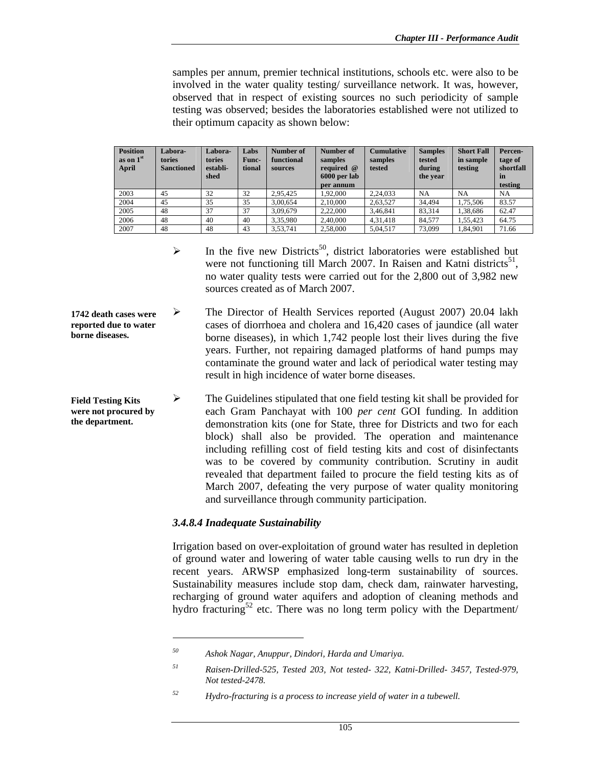samples per annum, premier technical institutions, schools etc. were also to be involved in the water quality testing/ surveillance network. It was, however, observed that in respect of existing sources no such periodicity of sample testing was observed; besides the laboratories established were not utilized to their optimum capacity as shown below:

| <b>Position</b><br>as on 1 <sup>st</sup><br>April | Labora-<br>tories<br><b>Sanctioned</b> | Labora-<br>tories<br>establi-<br>shed | Labs<br>Func-<br>tional | Number of<br>functional<br>sources | Number of<br>samples<br>required @<br>6000 per lab<br>per annum | <b>Cumulative</b><br>samples<br>tested | <b>Samples</b><br>tested<br>during<br>the year | <b>Short Fall</b><br>in sample<br>testing | Percen-<br>tage of<br>shortfall<br>in<br>testing |
|---------------------------------------------------|----------------------------------------|---------------------------------------|-------------------------|------------------------------------|-----------------------------------------------------------------|----------------------------------------|------------------------------------------------|-------------------------------------------|--------------------------------------------------|
| 2003                                              | 45                                     | 32                                    | 32                      | 2.95.425                           | 1.92.000                                                        | 2.24.033                               | <b>NA</b>                                      | <b>NA</b>                                 | <b>NA</b>                                        |
| 2004                                              | 45                                     | 35                                    | 35                      | 3.00.654                           | 2.10.000                                                        | 2,63,527                               | 34.494                                         | 1.75.506                                  | 83.57                                            |
| 2005                                              | 48                                     | 37                                    | 37                      | 3.09.679                           | 2.22,000                                                        | 3,46,841                               | 83.314                                         | 1.38.686                                  | 62.47                                            |
| 2006                                              | 48                                     | 40                                    | 40                      | 3.35.980                           | 2.40,000                                                        | 4.31.418                               | 84.577                                         | 1.55.423                                  | 64.75                                            |
| 2007                                              | 48                                     | 48                                    | 43                      | 3.53.741                           | 2.58,000                                                        | 5,04,517                               | 73.099                                         | 1.84.901                                  | 71.66                                            |

- $\triangleright$  In the five new Districts<sup>50</sup>, district laboratories were established but were not functioning till March 2007. In Raisen and Katni districts<sup>51</sup>, no water quality tests were carried out for the 2,800 out of 3,982 new sources created as of March 2007.
- ¾ The Director of Health Services reported (August 2007) 20.04 lakh cases of diorrhoea and cholera and 16,420 cases of jaundice (all water borne diseases), in which 1,742 people lost their lives during the five years. Further, not repairing damaged platforms of hand pumps may contaminate the ground water and lack of periodical water testing may result in high incidence of water borne diseases. **1742 death cases were reported due to water borne diseases.**
- ¾ The Guidelines stipulated that one field testing kit shall be provided for each Gram Panchayat with 100 *per cent* GOI funding. In addition demonstration kits (one for State, three for Districts and two for each block) shall also be provided. The operation and maintenance including refilling cost of field testing kits and cost of disinfectants was to be covered by community contribution. Scrutiny in audit revealed that department failed to procure the field testing kits as of March 2007, defeating the very purpose of water quality monitoring and surveillance through community participation. **Field Testing Kits were not procured by the department.**

#### *3.4.8.4 Inadequate Sustainability*

l

Irrigation based on over-exploitation of ground water has resulted in depletion of ground water and lowering of water table causing wells to run dry in the recent years. ARWSP emphasized long-term sustainability of sources. Sustainability measures include stop dam, check dam, rainwater harvesting, recharging of ground water aquifers and adoption of cleaning methods and hydro fracturing<sup>52</sup> etc. There was no long term policy with the Department/

*<sup>50</sup> Ashok Nagar, Anuppur, Dindori, Harda and Umariya.* 

*<sup>51</sup> Raisen-Drilled-525, Tested 203, Not tested- 322, Katni-Drilled- 3457, Tested-979, Not tested-2478.* 

*<sup>52</sup> Hydro-fracturing is a process to increase yield of water in a tubewell.*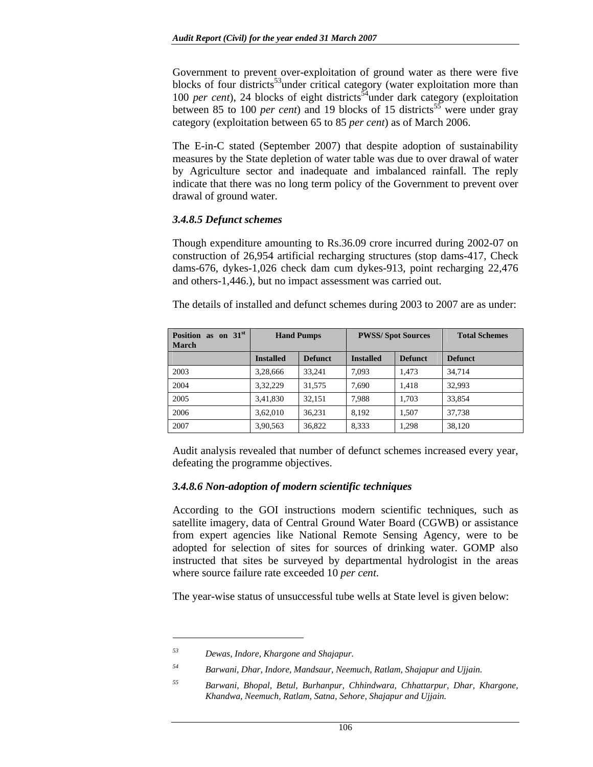Government to prevent over-exploitation of ground water as there were five blocks of four districts<sup>33</sup>under critical category (water exploitation more than 100 *per cent*), 24 blocks of eight districts<sup> $54$ </sup>under dark category (exploitation between 85 to 100 *per cent*) and 19 blocks of 15 districts<sup>55</sup> were under gray category (exploitation between 65 to 85 *per cent*) as of March 2006.

The E-in-C stated (September 2007) that despite adoption of sustainability measures by the State depletion of water table was due to over drawal of water by Agriculture sector and inadequate and imbalanced rainfall. The reply indicate that there was no long term policy of the Government to prevent over drawal of ground water.

#### *3.4.8.5 Defunct schemes*

Though expenditure amounting to Rs.36.09 crore incurred during 2002-07 on construction of 26,954 artificial recharging structures (stop dams-417, Check dams-676, dykes-1,026 check dam cum dykes-913, point recharging 22,476 and others-1,446.), but no impact assessment was carried out.

The details of installed and defunct schemes during 2003 to 2007 are as under:

| as on $31st$<br><b>Position</b><br><b>March</b> |                  | <b>Hand Pumps</b> | <b>PWSS/Spot Sources</b> |                | <b>Total Schemes</b> |
|-------------------------------------------------|------------------|-------------------|--------------------------|----------------|----------------------|
|                                                 | <b>Installed</b> | <b>Defunct</b>    | <b>Installed</b>         | <b>Defunct</b> | <b>Defunct</b>       |
| 2003                                            | 3,28,666         | 33.241            | 7.093                    | 1.473          | 34.714               |
| 2004                                            | 3,32,229         | 31.575            | 7.690                    | 1.418          | 32.993               |
| 2005                                            | 3,41,830         | 32.151            | 7.988                    | 1.703          | 33.854               |
| 2006                                            | 3,62,010         | 36.231            | 8.192                    | 1.507          | 37.738               |
| 2007                                            | 3,90,563         | 36,822            | 8.333                    | 1.298          | 38.120               |

Audit analysis revealed that number of defunct schemes increased every year, defeating the programme objectives.

#### *3.4.8.6 Non-adoption of modern scientific techniques*

According to the GOI instructions modern scientific techniques, such as satellite imagery, data of Central Ground Water Board (CGWB) or assistance from expert agencies like National Remote Sensing Agency, were to be adopted for selection of sites for sources of drinking water. GOMP also instructed that sites be surveyed by departmental hydrologist in the areas where source failure rate exceeded 10 *per cent*.

The year-wise status of unsuccessful tube wells at State level is given below:

l

*<sup>53</sup> Dewas, Indore, Khargone and Shajapur.* 

*<sup>54</sup> Barwani, Dhar, Indore, Mandsaur, Neemuch, Ratlam, Shajapur and Ujjain.* 

*<sup>55</sup> Barwani, Bhopal, Betul, Burhanpur, Chhindwara, Chhattarpur, Dhar, Khargone, Khandwa, Neemuch, Ratlam, Satna, Sehore, Shajapur and Ujjain.*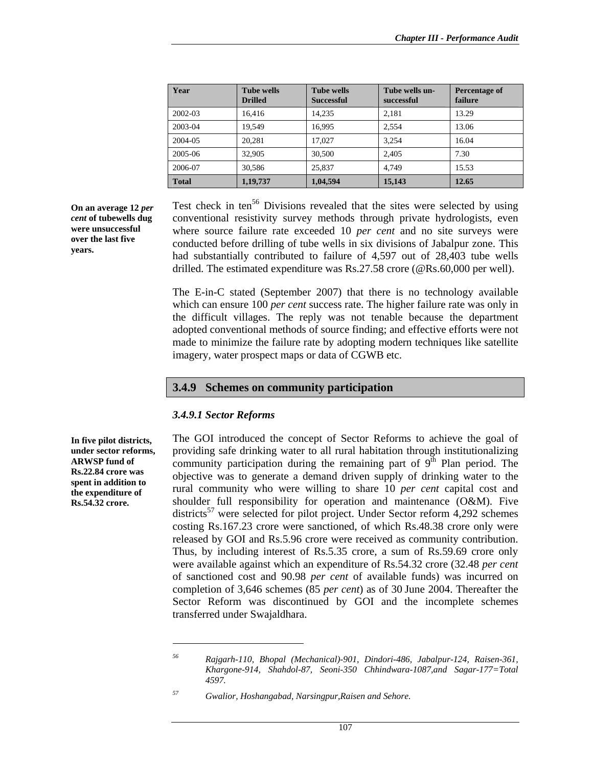| Year         | <b>Tube wells</b><br><b>Drilled</b> | <b>Tube wells</b><br><b>Successful</b> | Tube wells un-<br>successful | Percentage of<br>failure |
|--------------|-------------------------------------|----------------------------------------|------------------------------|--------------------------|
| 2002-03      | 16.416                              | 14.235                                 | 2.181                        | 13.29                    |
| 2003-04      | 19.549                              | 16.995                                 | 2.554                        | 13.06                    |
| 2004-05      | 20.281                              | 17.027                                 | 3.254                        | 16.04                    |
| 2005-06      | 32,905                              | 30,500                                 | 2.405                        | 7.30                     |
| 2006-07      | 30.586                              | 25.837                                 | 4.749                        | 15.53                    |
| <b>Total</b> | 1,19,737                            | 1,04,594                               | 15,143                       | 12.65                    |

**On an average 12** *per cent* **of tubewells dug were unsuccessful over the last five years.** 

Test check in ten<sup>56</sup> Divisions revealed that the sites were selected by using conventional resistivity survey methods through private hydrologists, even where source failure rate exceeded 10 *per cent* and no site surveys were conducted before drilling of tube wells in six divisions of Jabalpur zone. This had substantially contributed to failure of 4,597 out of 28,403 tube wells drilled. The estimated expenditure was Rs.27.58 crore (@Rs.60,000 per well).

The E-in-C stated (September 2007) that there is no technology available which can ensure 100 *per cent* success rate. The higher failure rate was only in the difficult villages. The reply was not tenable because the department adopted conventional methods of source finding; and effective efforts were not made to minimize the failure rate by adopting modern techniques like satellite imagery, water prospect maps or data of CGWB etc.

### **3.4.9 Schemes on community participation**

#### *3.4.9.1 Sector Reforms*

l

The GOI introduced the concept of Sector Reforms to achieve the goal of providing safe drinking water to all rural habitation through institutionalizing community participation during the remaining part of  $9<sup>th</sup>$  Plan period. The objective was to generate a demand driven supply of drinking water to the rural community who were willing to share 10 *per cent* capital cost and shoulder full responsibility for operation and maintenance (O&M). Five districts<sup>57</sup> were selected for pilot project. Under Sector reform  $4.292$  schemes costing Rs.167.23 crore were sanctioned, of which Rs.48.38 crore only were released by GOI and Rs.5.96 crore were received as community contribution. Thus, by including interest of Rs.5.35 crore, a sum of Rs.59.69 crore only were available against which an expenditure of Rs.54.32 crore (32.48 *per cent*  of sanctioned cost and 90.98 *per cent* of available funds) was incurred on completion of 3,646 schemes (85 *per cent*) as of 30 June 2004. Thereafter the Sector Reform was discontinued by GOI and the incomplete schemes transferred under Swajaldhara.

**In five pilot districts, under sector reforms, ARWSP fund of Rs.22.84 crore was spent in addition to the expenditure of Rs.54.32 crore.** 

*<sup>56</sup> Rajgarh-110, Bhopal (Mechanical)-901, Dindori-486, Jabalpur-124, Raisen-361, Khargone-914, Shahdol-87, Seoni-350 Chhindwara-1087,and Sagar-177=Total 4597.* 

*<sup>57</sup> Gwalior, Hoshangabad, Narsingpur,Raisen and Sehore.*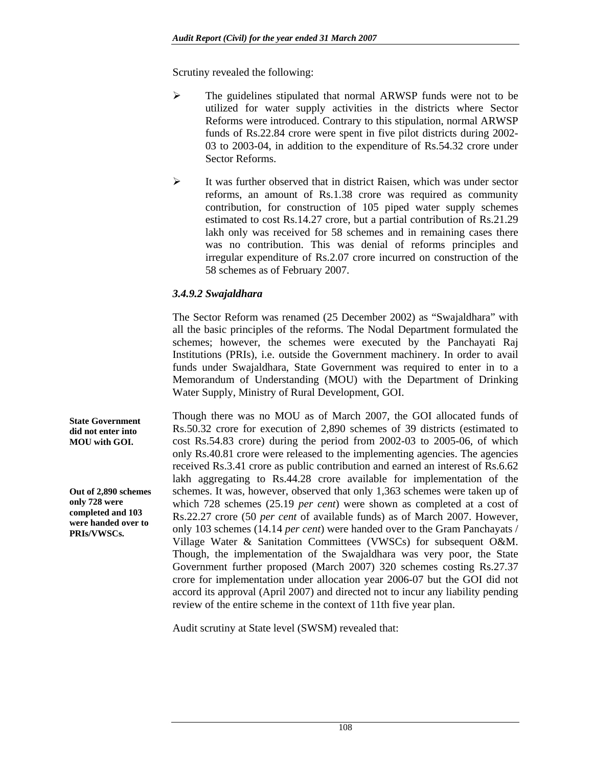Scrutiny revealed the following:

- ¾ The guidelines stipulated that normal ARWSP funds were not to be utilized for water supply activities in the districts where Sector Reforms were introduced. Contrary to this stipulation, normal ARWSP funds of Rs.22.84 crore were spent in five pilot districts during 2002- 03 to 2003-04, in addition to the expenditure of Rs.54.32 crore under Sector Reforms.
- $\triangleright$  It was further observed that in district Raisen, which was under sector reforms, an amount of Rs.1.38 crore was required as community contribution, for construction of 105 piped water supply schemes estimated to cost Rs.14.27 crore, but a partial contribution of Rs.21.29 lakh only was received for 58 schemes and in remaining cases there was no contribution. This was denial of reforms principles and irregular expenditure of Rs.2.07 crore incurred on construction of the 58 schemes as of February 2007.

### *3.4.9.2 Swajaldhara*

The Sector Reform was renamed (25 December 2002) as "Swajaldhara" with all the basic principles of the reforms. The Nodal Department formulated the schemes; however, the schemes were executed by the Panchayati Raj Institutions (PRIs), i.e. outside the Government machinery. In order to avail funds under Swajaldhara, State Government was required to enter in to a Memorandum of Understanding (MOU) with the Department of Drinking Water Supply, Ministry of Rural Development, GOI.

Though there was no MOU as of March 2007, the GOI allocated funds of Rs.50.32 crore for execution of 2,890 schemes of 39 districts (estimated to cost Rs.54.83 crore) during the period from 2002-03 to 2005-06, of which only Rs.40.81 crore were released to the implementing agencies. The agencies received Rs.3.41 crore as public contribution and earned an interest of Rs.6.62 lakh aggregating to Rs.44.28 crore available for implementation of the schemes. It was, however, observed that only 1,363 schemes were taken up of which 728 schemes (25.19 *per cent*) were shown as completed at a cost of Rs.22.27 crore (50 *per cent* of available funds) as of March 2007. However, only 103 schemes (14.14 *per cent*) were handed over to the Gram Panchayats / Village Water & Sanitation Committees (VWSCs) for subsequent O&M. Though, the implementation of the Swajaldhara was very poor, the State Government further proposed (March 2007) 320 schemes costing Rs.27.37 crore for implementation under allocation year 2006-07 but the GOI did not accord its approval (April 2007) and directed not to incur any liability pending review of the entire scheme in the context of 11th five year plan.

Audit scrutiny at State level (SWSM) revealed that:

**State Government did not enter into MOU with GOI.** 

**Out of 2,890 schemes only 728 were completed and 103 were handed over to PRIs/VWSCs.**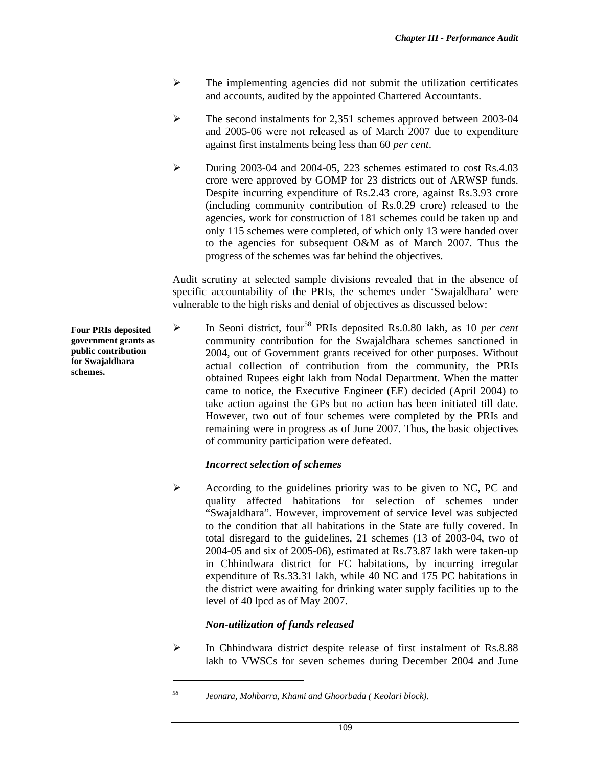- $\triangleright$  The implementing agencies did not submit the utilization certificates and accounts, audited by the appointed Chartered Accountants.
- $\blacktriangleright$  The second instalments for 2,351 schemes approved between 2003-04 and 2005-06 were not released as of March 2007 due to expenditure against first instalments being less than 60 *per cent*.
- $\blacktriangleright$  During 2003-04 and 2004-05, 223 schemes estimated to cost Rs.4.03 crore were approved by GOMP for 23 districts out of ARWSP funds. Despite incurring expenditure of Rs.2.43 crore, against Rs.3.93 crore (including community contribution of Rs.0.29 crore) released to the agencies, work for construction of 181 schemes could be taken up and only 115 schemes were completed, of which only 13 were handed over to the agencies for subsequent O&M as of March 2007. Thus the progress of the schemes was far behind the objectives.

Audit scrutiny at selected sample divisions revealed that in the absence of specific accountability of the PRIs, the schemes under 'Swajaldhara' were vulnerable to the high risks and denial of objectives as discussed below:

¾ In Seoni district, four58 PRIs deposited Rs.0.80 lakh, as 10 *per cent*  community contribution for the Swajaldhara schemes sanctioned in 2004, out of Government grants received for other purposes. Without actual collection of contribution from the community, the PRIs obtained Rupees eight lakh from Nodal Department. When the matter came to notice, the Executive Engineer (EE) decided (April 2004) to take action against the GPs but no action has been initiated till date. However, two out of four schemes were completed by the PRIs and remaining were in progress as of June 2007. Thus, the basic objectives of community participation were defeated.

#### *Incorrect selection of schemes*

 $\triangleright$  According to the guidelines priority was to be given to NC, PC and quality affected habitations for selection of schemes under "Swajaldhara". However, improvement of service level was subjected to the condition that all habitations in the State are fully covered. In total disregard to the guidelines, 21 schemes (13 of 2003-04, two of 2004-05 and six of 2005-06), estimated at Rs.73.87 lakh were taken-up in Chhindwara district for FC habitations, by incurring irregular expenditure of Rs.33.31 lakh, while 40 NC and 175 PC habitations in the district were awaiting for drinking water supply facilities up to the level of 40 lpcd as of May 2007.

### *Non-utilization of funds released*

 $\overline{a}$ 

 $\blacktriangleright$  In Chhindwara district despite release of first instalment of Rs.8.88 lakh to VWSCs for seven schemes during December 2004 and June

**Four PRIs deposited government grants as public contribution for Swajaldhara schemes.** 

*<sup>58</sup> Jeonara, Mohbarra, Khami and Ghoorbada ( Keolari block).*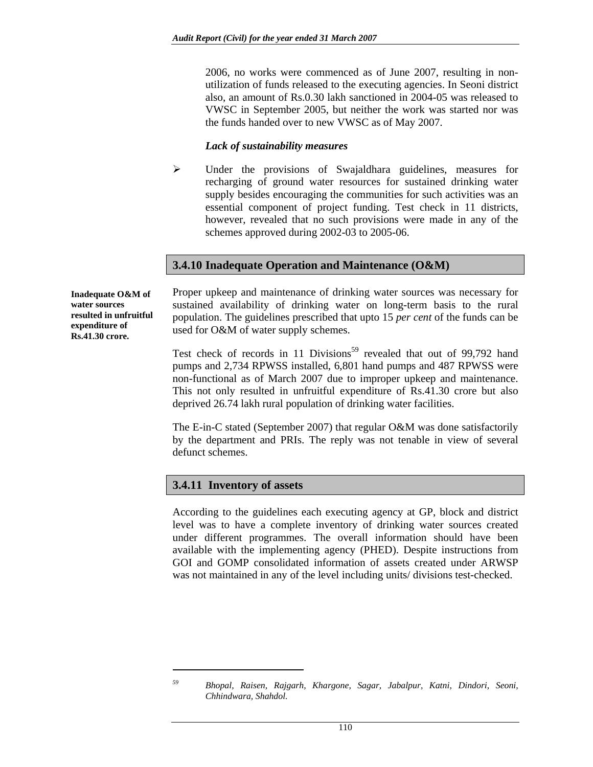2006, no works were commenced as of June 2007, resulting in nonutilization of funds released to the executing agencies. In Seoni district also, an amount of Rs.0.30 lakh sanctioned in 2004-05 was released to VWSC in September 2005, but neither the work was started nor was the funds handed over to new VWSC as of May 2007.

#### *Lack of sustainability measures*

¾ Under the provisions of Swajaldhara guidelines, measures for recharging of ground water resources for sustained drinking water supply besides encouraging the communities for such activities was an essential component of project funding. Test check in 11 districts, however, revealed that no such provisions were made in any of the schemes approved during 2002-03 to 2005-06.

#### **3.4.10 Inadequate Operation and Maintenance (O&M)**

**Inadequate O&M of water sources resulted in unfruitful expenditure of Rs.41.30 crore.** 

Proper upkeep and maintenance of drinking water sources was necessary for sustained availability of drinking water on long-term basis to the rural population. The guidelines prescribed that upto 15 *per cent* of the funds can be used for O&M of water supply schemes.

Test check of records in 11 Divisions<sup>59</sup> revealed that out of 99,792 hand pumps and 2,734 RPWSS installed, 6,801 hand pumps and 487 RPWSS were non-functional as of March 2007 due to improper upkeep and maintenance. This not only resulted in unfruitful expenditure of Rs.41.30 crore but also deprived 26.74 lakh rural population of drinking water facilities.

The E-in-C stated (September 2007) that regular O&M was done satisfactorily by the department and PRIs. The reply was not tenable in view of several defunct schemes.

#### **3.4.11 Inventory of assets**

 $\overline{a}$ 

According to the guidelines each executing agency at GP, block and district level was to have a complete inventory of drinking water sources created under different programmes. The overall information should have been available with the implementing agency (PHED). Despite instructions from GOI and GOMP consolidated information of assets created under ARWSP was not maintained in any of the level including units/ divisions test-checked.

*<sup>59</sup> Bhopal, Raisen, Rajgarh, Khargone, Sagar, Jabalpur, Katni, Dindori, Seoni, Chhindwara, Shahdol.*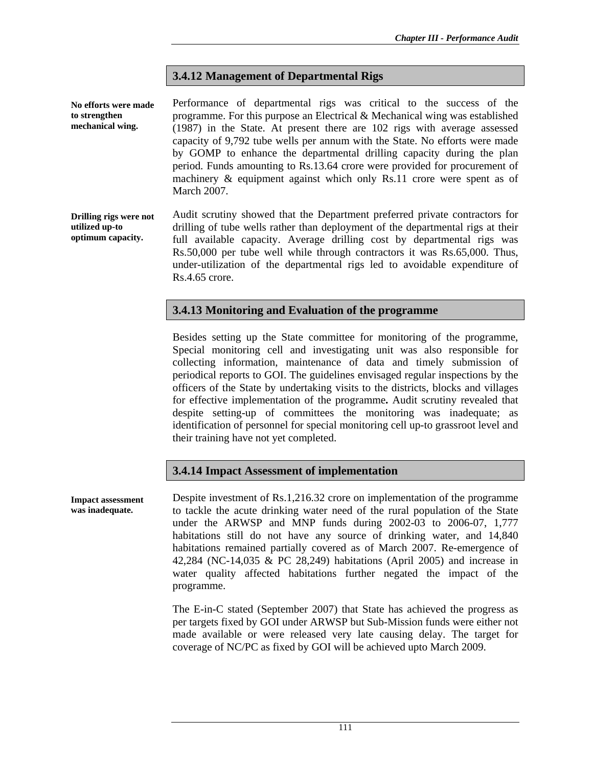### **3.4.12 Management of Departmental Rigs**

Performance of departmental rigs was critical to the success of the programme. For this purpose an Electrical & Mechanical wing was established (1987) in the State. At present there are 102 rigs with average assessed capacity of 9,792 tube wells per annum with the State. No efforts were made by GOMP to enhance the departmental drilling capacity during the plan period. Funds amounting to Rs.13.64 crore were provided for procurement of machinery & equipment against which only Rs.11 crore were spent as of March 2007. **No efforts were made to strengthen mechanical wing.** 

Audit scrutiny showed that the Department preferred private contractors for drilling of tube wells rather than deployment of the departmental rigs at their full available capacity. Average drilling cost by departmental rigs was Rs.50,000 per tube well while through contractors it was Rs.65,000. Thus, under-utilization of the departmental rigs led to avoidable expenditure of Rs.4.65 crore. **Drilling rigs were not utilized up-to optimum capacity.** 

### **3.4.13 Monitoring and Evaluation of the programme**

Besides setting up the State committee for monitoring of the programme, Special monitoring cell and investigating unit was also responsible for collecting information, maintenance of data and timely submission of periodical reports to GOI. The guidelines envisaged regular inspections by the officers of the State by undertaking visits to the districts, blocks and villages for effective implementation of the programme**.** Audit scrutiny revealed that despite setting-up of committees the monitoring was inadequate; as identification of personnel for special monitoring cell up-to grassroot level and their training have not yet completed.

#### **3.4.14 Impact Assessment of implementation**

**Impact assessment was inadequate.** 

Despite investment of Rs.1,216.32 crore on implementation of the programme to tackle the acute drinking water need of the rural population of the State under the ARWSP and MNP funds during 2002-03 to 2006-07, 1,777 habitations still do not have any source of drinking water, and 14,840 habitations remained partially covered as of March 2007. Re-emergence of 42,284 (NC-14,035 & PC 28,249) habitations (April 2005) and increase in water quality affected habitations further negated the impact of the programme.

The E-in-C stated (September 2007) that State has achieved the progress as per targets fixed by GOI under ARWSP but Sub-Mission funds were either not made available or were released very late causing delay. The target for coverage of NC/PC as fixed by GOI will be achieved upto March 2009.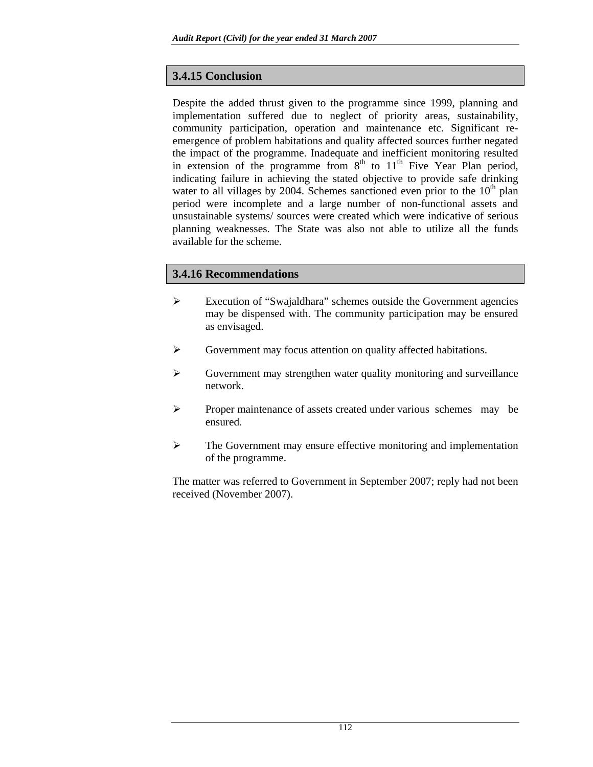# **3.4.15 Conclusion**

Despite the added thrust given to the programme since 1999, planning and implementation suffered due to neglect of priority areas, sustainability, community participation, operation and maintenance etc. Significant reemergence of problem habitations and quality affected sources further negated the impact of the programme. Inadequate and inefficient monitoring resulted in extension of the programme from  $8<sup>th</sup>$  to  $11<sup>th</sup>$  Five Year Plan period, indicating failure in achieving the stated objective to provide safe drinking water to all villages by 2004. Schemes sanctioned even prior to the  $10<sup>th</sup>$  plan period were incomplete and a large number of non-functional assets and unsustainable systems/ sources were created which were indicative of serious planning weaknesses. The State was also not able to utilize all the funds available for the scheme.

# **3.4.16 Recommendations**

- ¾ Execution of "Swajaldhara" schemes outside the Government agencies may be dispensed with. The community participation may be ensured as envisaged.
- ¾ Government may focus attention on quality affected habitations.
- $\triangleright$  Government may strengthen water quality monitoring and surveillance network.
- ¾ Proper maintenance of assets created under various schemes may be ensured.
- $\triangleright$  The Government may ensure effective monitoring and implementation of the programme.

The matter was referred to Government in September 2007; reply had not been received (November 2007).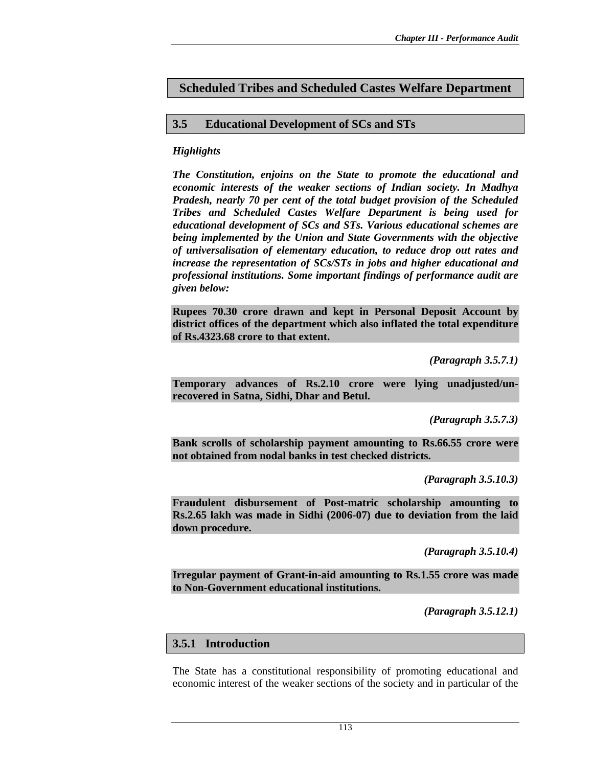## **Scheduled Tribes and Scheduled Castes Welfare Department**

### **3.5 Educational Development of SCs and STs**

### *Highlights*

*The Constitution, enjoins on the State to promote the educational and economic interests of the weaker sections of Indian society. In Madhya Pradesh, nearly 70 per cent of the total budget provision of the Scheduled Tribes and Scheduled Castes Welfare Department is being used for educational development of SCs and STs. Various educational schemes are being implemented by the Union and State Governments with the objective of universalisation of elementary education, to reduce drop out rates and increase the representation of SCs/STs in jobs and higher educational and professional institutions. Some important findings of performance audit are given below:* 

**Rupees 70.30 crore drawn and kept in Personal Deposit Account by district offices of the department which also inflated the total expenditure of Rs.4323.68 crore to that extent.** 

*(Paragraph 3.5.7.1)* 

**Temporary advances of Rs.2.10 crore were lying unadjusted/unrecovered in Satna, Sidhi, Dhar and Betul.** 

*(Paragraph 3.5.7.3)* 

**Bank scrolls of scholarship payment amounting to Rs.66.55 crore were not obtained from nodal banks in test checked districts.** 

*(Paragraph 3.5.10.3)* 

**Fraudulent disbursement of Post-matric scholarship amounting to Rs.2.65 lakh was made in Sidhi (2006-07) due to deviation from the laid down procedure.** 

*(Paragraph 3.5.10.4)* 

**Irregular payment of Grant-in-aid amounting to Rs.1.55 crore was made to Non-Government educational institutions.** 

*(Paragraph 3.5.12.1)* 

### **3.5.1 Introduction**

The State has a constitutional responsibility of promoting educational and economic interest of the weaker sections of the society and in particular of the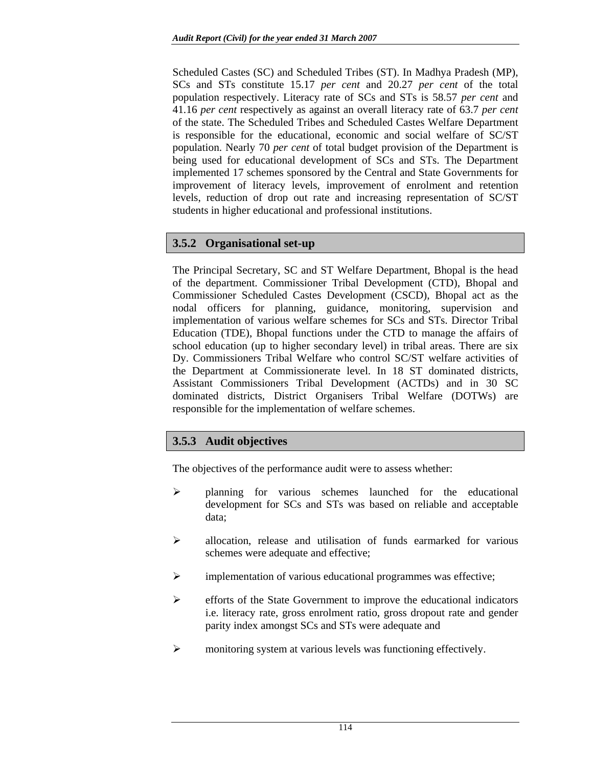Scheduled Castes (SC) and Scheduled Tribes (ST). In Madhya Pradesh (MP), SCs and STs constitute 15.17 *per cent* and 20.27 *per cent* of the total population respectively. Literacy rate of SCs and STs is 58.57 *per cent* and 41.16 *per cent* respectively as against an overall literacy rate of 63.7 *per cent* of the state. The Scheduled Tribes and Scheduled Castes Welfare Department is responsible for the educational, economic and social welfare of SC/ST population. Nearly 70 *per cent* of total budget provision of the Department is being used for educational development of SCs and STs. The Department implemented 17 schemes sponsored by the Central and State Governments for improvement of literacy levels, improvement of enrolment and retention levels, reduction of drop out rate and increasing representation of SC/ST students in higher educational and professional institutions.

# **3.5.2 Organisational set-up**

The Principal Secretary, SC and ST Welfare Department, Bhopal is the head of the department. Commissioner Tribal Development (CTD), Bhopal and Commissioner Scheduled Castes Development (CSCD), Bhopal act as the nodal officers for planning, guidance, monitoring, supervision and implementation of various welfare schemes for SCs and STs. Director Tribal Education (TDE), Bhopal functions under the CTD to manage the affairs of school education (up to higher secondary level) in tribal areas. There are six Dy. Commissioners Tribal Welfare who control SC/ST welfare activities of the Department at Commissionerate level. In 18 ST dominated districts, Assistant Commissioners Tribal Development (ACTDs) and in 30 SC dominated districts, District Organisers Tribal Welfare (DOTWs) are responsible for the implementation of welfare schemes.

# **3.5.3 Audit objectives**

The objectives of the performance audit were to assess whether:

- $\triangleright$  planning for various schemes launched for the educational development for SCs and STs was based on reliable and acceptable data;
- $\triangleright$  allocation, release and utilisation of funds earmarked for various schemes were adequate and effective;
- ¾ implementation of various educational programmes was effective;
- ¾ efforts of the State Government to improve the educational indicators i.e. literacy rate, gross enrolment ratio, gross dropout rate and gender parity index amongst SCs and STs were adequate and
- ¾ monitoring system at various levels was functioning effectively.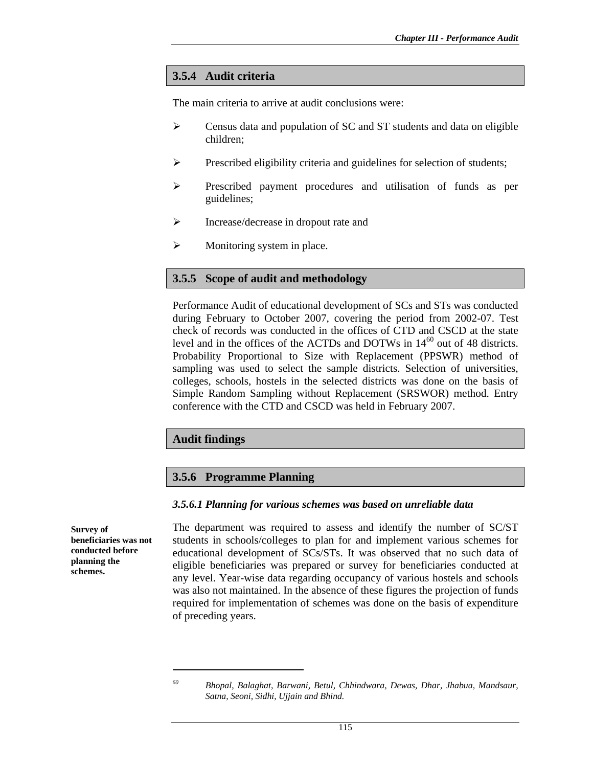### **3.5.4 Audit criteria**

The main criteria to arrive at audit conclusions were:

- $\triangleright$  Census data and population of SC and ST students and data on eligible children;
- ¾ Prescribed eligibility criteria and guidelines for selection of students;
- ¾ Prescribed payment procedures and utilisation of funds as per guidelines;
- ¾ Increase/decrease in dropout rate and
- $\triangleright$  Monitoring system in place.

#### **3.5.5 Scope of audit and methodology**

Performance Audit of educational development of SCs and STs was conducted during February to October 2007, covering the period from 2002-07. Test check of records was conducted in the offices of CTD and CSCD at the state level and in the offices of the ACTDs and DOTWs in  $14^{60}$  out of 48 districts. Probability Proportional to Size with Replacement (PPSWR) method of sampling was used to select the sample districts. Selection of universities, colleges, schools, hostels in the selected districts was done on the basis of Simple Random Sampling without Replacement (SRSWOR) method. Entry conference with the CTD and CSCD was held in February 2007.

#### **Audit findings**

#### **3.5.6 Programme Planning**

#### *3.5.6.1 Planning for various schemes was based on unreliable data*

The department was required to assess and identify the number of SC/ST students in schools/colleges to plan for and implement various schemes for educational development of SCs/STs. It was observed that no such data of eligible beneficiaries was prepared or survey for beneficiaries conducted at any level. Year-wise data regarding occupancy of various hostels and schools was also not maintained. In the absence of these figures the projection of funds required for implementation of schemes was done on the basis of expenditure of preceding years.

**Survey of** 

**beneficiaries was not conducted before planning the schemes.** 

 $\overline{a}$ 

*<sup>60</sup> Bhopal, Balaghat, Barwani, Betul, Chhindwara, Dewas, Dhar, Jhabua, Mandsaur, Satna, Seoni, Sidhi, Ujjain and Bhind.*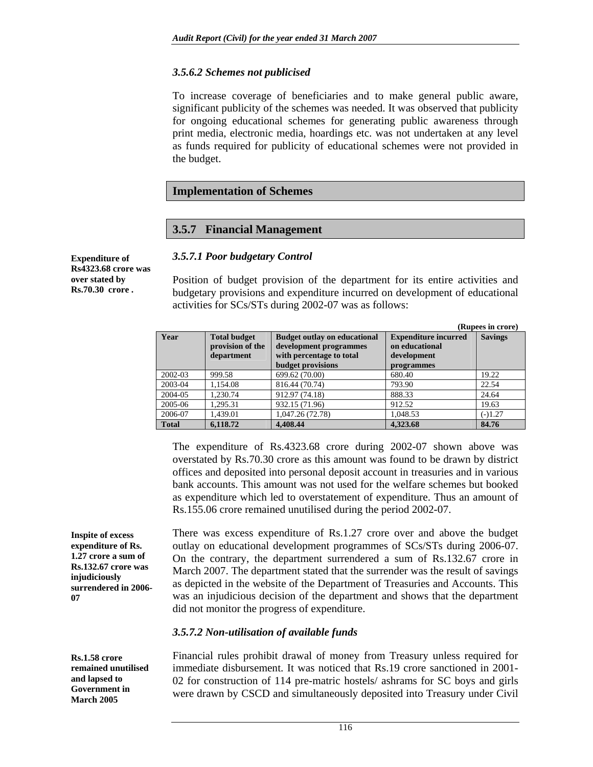#### *3.5.6.2 Schemes not publicised*

To increase coverage of beneficiaries and to make general public aware, significant publicity of the schemes was needed. It was observed that publicity for ongoing educational schemes for generating public awareness through print media, electronic media, hoardings etc. was not undertaken at any level as funds required for publicity of educational schemes were not provided in the budget.

#### **Implementation of Schemes**

### **3.5.7 Financial Management**

**Expenditure of Rs4323.68 crore was over stated by Rs.70.30 crore .** 

*3.5.7.1 Poor budgetary Control* 

Position of budget provision of the department for its entire activities and budgetary provisions and expenditure incurred on development of educational activities for SCs/STs during 2002-07 was as follows:

|              |                                                       |                                                                                                                       |                                                                            | (Rupees in crore) |
|--------------|-------------------------------------------------------|-----------------------------------------------------------------------------------------------------------------------|----------------------------------------------------------------------------|-------------------|
| Year         | <b>Total budget</b><br>provision of the<br>department | <b>Budget outlay on educational</b><br>development programmes<br>with percentage to total<br><b>budget provisions</b> | <b>Expenditure incurred</b><br>on educational<br>development<br>programmes | <b>Savings</b>    |
| 2002-03      | 999.58                                                | 699.62 (70.00)                                                                                                        | 680.40                                                                     | 19.22             |
| 2003-04      | 1.154.08                                              | 816.44 (70.74)                                                                                                        | 793.90                                                                     | 22.54             |
| 2004-05      | 1.230.74                                              | 912.97 (74.18)                                                                                                        | 888.33                                                                     | 24.64             |
| 2005-06      | 1.295.31                                              | 932.15 (71.96)                                                                                                        | 912.52                                                                     | 19.63             |
| 2006-07      | 1.439.01                                              | 1,047.26 (72.78)                                                                                                      | 1,048.53                                                                   | $(-)1.27$         |
| <b>Total</b> | 6,118.72                                              | 4,408.44                                                                                                              | 4.323.68                                                                   | 84.76             |

The expenditure of Rs.4323.68 crore during 2002-07 shown above was overstated by Rs.70.30 crore as this amount was found to be drawn by district offices and deposited into personal deposit account in treasuries and in various bank accounts. This amount was not used for the welfare schemes but booked as expenditure which led to overstatement of expenditure. Thus an amount of Rs.155.06 crore remained unutilised during the period 2002-07.

There was excess expenditure of Rs.1.27 crore over and above the budget outlay on educational development programmes of SCs/STs during 2006-07. On the contrary, the department surrendered a sum of Rs.132.67 crore in March 2007. The department stated that the surrender was the result of savings as depicted in the website of the Department of Treasuries and Accounts. This was an injudicious decision of the department and shows that the department did not monitor the progress of expenditure.

#### *3.5.7.2 Non-utilisation of available funds*

Financial rules prohibit drawal of money from Treasury unless required for immediate disbursement. It was noticed that Rs.19 crore sanctioned in 2001- 02 for construction of 114 pre-matric hostels/ ashrams for SC boys and girls were drawn by CSCD and simultaneously deposited into Treasury under Civil

**Inspite of excess expenditure of Rs. 1.27 crore a sum of Rs.132.67 crore was injudiciously surrendered in 2006- 07** 

**Rs.1.58 crore remained unutilised and lapsed to Government in March 2005**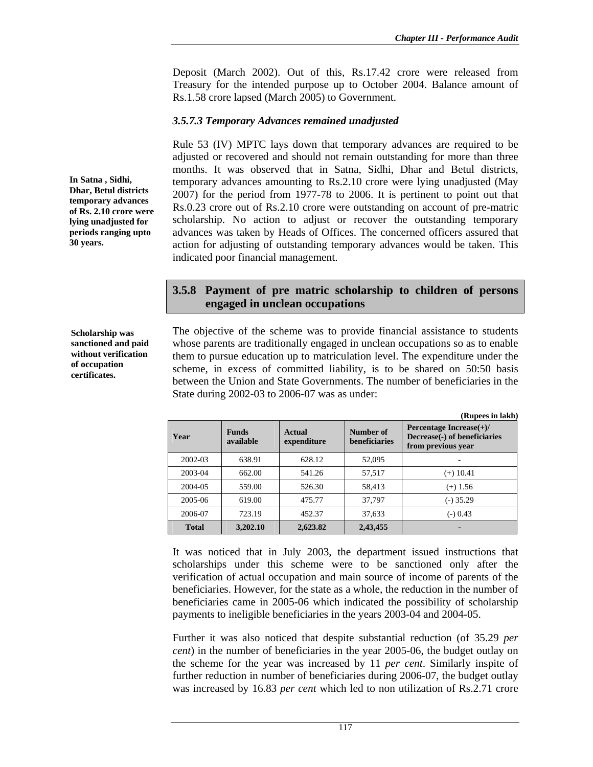Deposit (March 2002). Out of this, Rs.17.42 crore were released from Treasury for the intended purpose up to October 2004. Balance amount of Rs.1.58 crore lapsed (March 2005) to Government.

#### *3.5.7.3 Temporary Advances remained unadjusted*

Rule 53 (IV) MPTC lays down that temporary advances are required to be adjusted or recovered and should not remain outstanding for more than three months. It was observed that in Satna, Sidhi, Dhar and Betul districts, temporary advances amounting to Rs.2.10 crore were lying unadjusted (May 2007) for the period from 1977-78 to 2006. It is pertinent to point out that Rs.0.23 crore out of Rs.2.10 crore were outstanding on account of pre-matric scholarship. No action to adjust or recover the outstanding temporary advances was taken by Heads of Offices. The concerned officers assured that action for adjusting of outstanding temporary advances would be taken. This indicated poor financial management.

### **3.5.8 Payment of pre matric scholarship to children of persons engaged in unclean occupations**

**Scholarship was sanctioned and paid without verification of occupation certificates.** 

The objective of the scheme was to provide financial assistance to students whose parents are traditionally engaged in unclean occupations so as to enable them to pursue education up to matriculation level. The expenditure under the scheme, in excess of committed liability, is to be shared on 50:50 basis between the Union and State Governments. The number of beneficiaries in the State during 2002-03 to 2006-07 was as under:

|              |                           |                       |                                   | (Rupees in lakh)                                                                  |
|--------------|---------------------------|-----------------------|-----------------------------------|-----------------------------------------------------------------------------------|
| Year         | <b>Funds</b><br>available | Actual<br>expenditure | Number of<br><b>beneficiaries</b> | Percentage Increase $(+)$ /<br>Decrease(-) of beneficiaries<br>from previous year |
| 2002-03      | 638.91                    | 628.12                | 52,095                            |                                                                                   |
| 2003-04      | 662.00                    | 541.26                | 57,517                            | $(+)$ 10.41                                                                       |
| 2004-05      | 559.00                    | 526.30                | 58,413                            | $(+)$ 1.56                                                                        |
| 2005-06      | 619.00                    | 475.77                | 37,797                            | $(-)$ 35.29                                                                       |
| 2006-07      | 723.19                    | 452.37                | 37.633                            | $(-) 0.43$                                                                        |
| <b>Total</b> | 3,202.10                  | 2,623.82              | 2,43,455                          |                                                                                   |

It was noticed that in July 2003, the department issued instructions that scholarships under this scheme were to be sanctioned only after the verification of actual occupation and main source of income of parents of the beneficiaries. However, for the state as a whole, the reduction in the number of beneficiaries came in 2005-06 which indicated the possibility of scholarship payments to ineligible beneficiaries in the years 2003-04 and 2004-05.

Further it was also noticed that despite substantial reduction (of 35.29 *per cent*) in the number of beneficiaries in the year 2005-06, the budget outlay on the scheme for the year was increased by 11 *per cent*. Similarly inspite of further reduction in number of beneficiaries during 2006-07, the budget outlay was increased by 16.83 *per cent* which led to non utilization of Rs.2.71 crore

**Dhar, Betul districts temporary advances of Rs. 2.10 crore were lying unadjusted for periods ranging upto 30 years.** 

**In Satna , Sidhi,**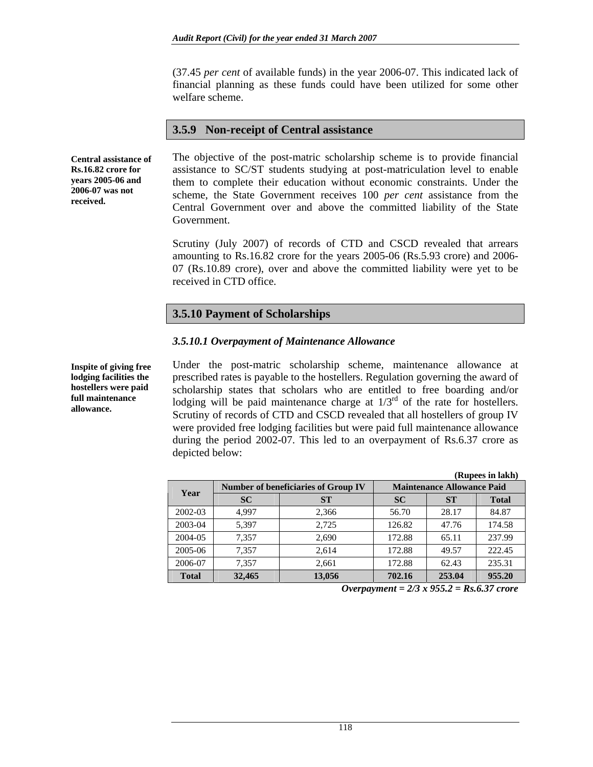(37.45 *per cent* of available funds) in the year 2006-07. This indicated lack of financial planning as these funds could have been utilized for some other welfare scheme.

#### **3.5.9 Non-receipt of Central assistance**

**Central assistance of Rs.16.82 crore for years 2005-06 and 2006-07 was not received.** 

The objective of the post-matric scholarship scheme is to provide financial assistance to SC/ST students studying at post-matriculation level to enable them to complete their education without economic constraints. Under the scheme, the State Government receives 100 *per cent* assistance from the Central Government over and above the committed liability of the State Government.

Scrutiny (July 2007) of records of CTD and CSCD revealed that arrears amounting to Rs.16.82 crore for the years 2005-06 (Rs.5.93 crore) and 2006- 07 (Rs.10.89 crore), over and above the committed liability were yet to be received in CTD office.

### **3.5.10 Payment of Scholarships**

#### *3.5.10.1 Overpayment of Maintenance Allowance*

Under the post-matric scholarship scheme, maintenance allowance at prescribed rates is payable to the hostellers. Regulation governing the award of scholarship states that scholars who are entitled to free boarding and/or lodging will be paid maintenance charge at  $1/3<sup>rd</sup>$  of the rate for hostellers. Scrutiny of records of CTD and CSCD revealed that all hostellers of group IV were provided free lodging facilities but were paid full maintenance allowance during the period 2002-07. This led to an overpayment of Rs.6.37 crore as depicted below:

|              |           |                                            |                                   |           | (Rupees in lakh) |  |
|--------------|-----------|--------------------------------------------|-----------------------------------|-----------|------------------|--|
| Year         |           | <b>Number of beneficiaries of Group IV</b> | <b>Maintenance Allowance Paid</b> |           |                  |  |
|              | <b>SC</b> | <b>ST</b>                                  | <b>SC</b>                         | <b>ST</b> | <b>Total</b>     |  |
| 2002-03      | 4.997     | 2,366                                      | 56.70                             | 28.17     | 84.87            |  |
| 2003-04      | 5,397     | 2,725                                      | 126.82                            | 47.76     | 174.58           |  |
| 2004-05      | 7,357     | 2,690                                      | 172.88                            | 65.11     | 237.99           |  |
| 2005-06      | 7.357     | 2.614                                      | 172.88                            | 49.57     | 222.45           |  |
| 2006-07      | 7.357     | 2,661                                      | 172.88                            | 62.43     | 235.31           |  |
| <b>Total</b> | 32,465    | 13,056                                     | 702.16                            | 253.04    | 955.20           |  |

*Overpayment = 2/3 x 955.2 = Rs.6.37 crore* 

**Inspite of giving free lodging facilities the hostellers were paid full maintenance allowance.**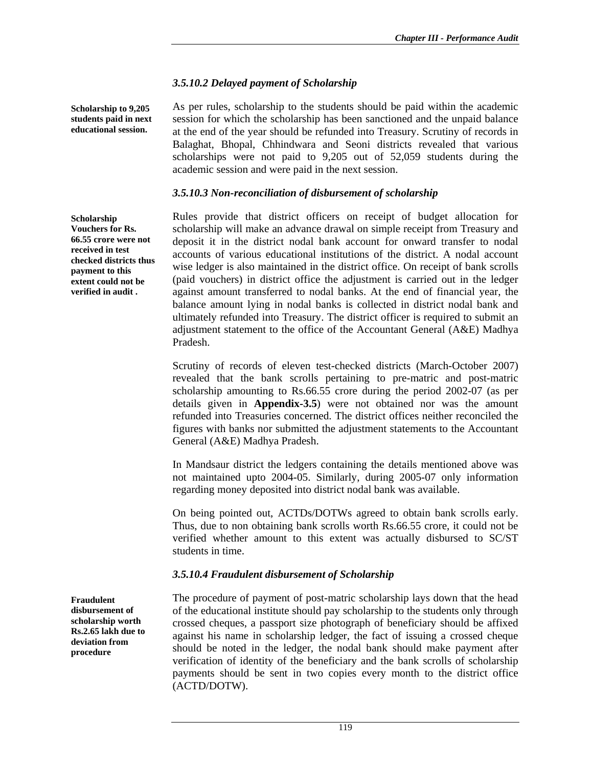### *3.5.10.2 Delayed payment of Scholarship*

**Scholarship to 9,205 students paid in next educational session.** 

As per rules, scholarship to the students should be paid within the academic session for which the scholarship has been sanctioned and the unpaid balance at the end of the year should be refunded into Treasury. Scrutiny of records in Balaghat, Bhopal, Chhindwara and Seoni districts revealed that various scholarships were not paid to 9,205 out of 52,059 students during the academic session and were paid in the next session.

#### *3.5.10.3 Non-reconciliation of disbursement of scholarship*

Rules provide that district officers on receipt of budget allocation for scholarship will make an advance drawal on simple receipt from Treasury and deposit it in the district nodal bank account for onward transfer to nodal accounts of various educational institutions of the district. A nodal account wise ledger is also maintained in the district office. On receipt of bank scrolls (paid vouchers) in district office the adjustment is carried out in the ledger against amount transferred to nodal banks. At the end of financial year, the balance amount lying in nodal banks is collected in district nodal bank and ultimately refunded into Treasury. The district officer is required to submit an adjustment statement to the office of the Accountant General (A&E) Madhya Pradesh.

Scrutiny of records of eleven test-checked districts (March-October 2007) revealed that the bank scrolls pertaining to pre-matric and post-matric scholarship amounting to Rs.66.55 crore during the period 2002-07 (as per details given in **Appendix-3.5**) were not obtained nor was the amount refunded into Treasuries concerned. The district offices neither reconciled the figures with banks nor submitted the adjustment statements to the Accountant General (A&E) Madhya Pradesh.

In Mandsaur district the ledgers containing the details mentioned above was not maintained upto 2004-05. Similarly, during 2005-07 only information regarding money deposited into district nodal bank was available.

On being pointed out, ACTDs/DOTWs agreed to obtain bank scrolls early. Thus, due to non obtaining bank scrolls worth Rs.66.55 crore, it could not be verified whether amount to this extent was actually disbursed to SC/ST students in time.

### *3.5.10.4 Fraudulent disbursement of Scholarship*

The procedure of payment of post-matric scholarship lays down that the head of the educational institute should pay scholarship to the students only through crossed cheques, a passport size photograph of beneficiary should be affixed against his name in scholarship ledger, the fact of issuing a crossed cheque should be noted in the ledger, the nodal bank should make payment after verification of identity of the beneficiary and the bank scrolls of scholarship payments should be sent in two copies every month to the district office (ACTD/DOTW).

**Scholarship Vouchers for Rs. 66.55 crore were not received in test checked districts thus payment to this extent could not be verified in audit .** 

**Fraudulent disbursement of scholarship worth Rs.2.65 lakh due to deviation from procedure**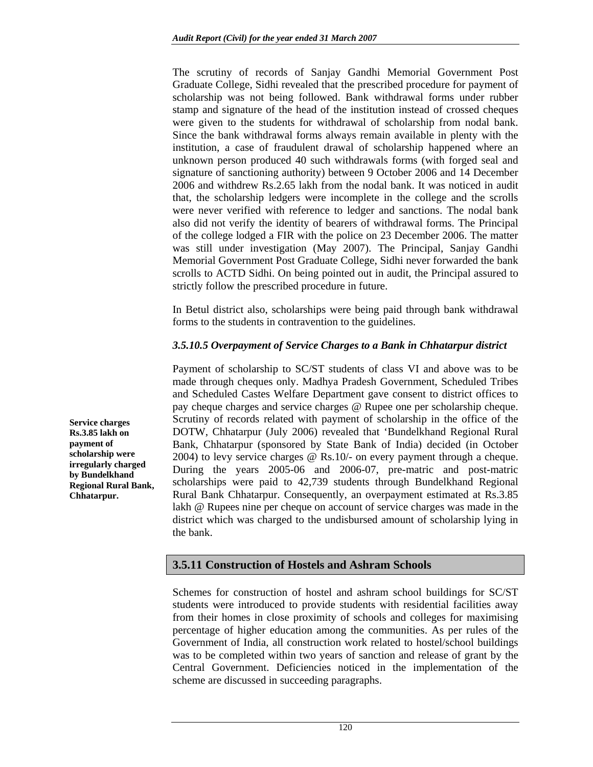The scrutiny of records of Sanjay Gandhi Memorial Government Post Graduate College, Sidhi revealed that the prescribed procedure for payment of scholarship was not being followed. Bank withdrawal forms under rubber stamp and signature of the head of the institution instead of crossed cheques were given to the students for withdrawal of scholarship from nodal bank. Since the bank withdrawal forms always remain available in plenty with the institution, a case of fraudulent drawal of scholarship happened where an unknown person produced 40 such withdrawals forms (with forged seal and signature of sanctioning authority) between 9 October 2006 and 14 December 2006 and withdrew Rs.2.65 lakh from the nodal bank. It was noticed in audit that, the scholarship ledgers were incomplete in the college and the scrolls were never verified with reference to ledger and sanctions. The nodal bank also did not verify the identity of bearers of withdrawal forms. The Principal of the college lodged a FIR with the police on 23 December 2006. The matter was still under investigation (May 2007). The Principal, Sanjay Gandhi Memorial Government Post Graduate College, Sidhi never forwarded the bank scrolls to ACTD Sidhi. On being pointed out in audit, the Principal assured to strictly follow the prescribed procedure in future.

In Betul district also, scholarships were being paid through bank withdrawal forms to the students in contravention to the guidelines.

### *3.5.10.5 Overpayment of Service Charges to a Bank in Chhatarpur district*

Payment of scholarship to SC/ST students of class VI and above was to be made through cheques only. Madhya Pradesh Government, Scheduled Tribes and Scheduled Castes Welfare Department gave consent to district offices to pay cheque charges and service charges @ Rupee one per scholarship cheque. Scrutiny of records related with payment of scholarship in the office of the DOTW, Chhatarpur (July 2006) revealed that 'Bundelkhand Regional Rural Bank, Chhatarpur (sponsored by State Bank of India) decided (in October 2004) to levy service charges @ Rs.10/- on every payment through a cheque. During the years 2005-06 and 2006-07, pre-matric and post-matric scholarships were paid to 42,739 students through Bundelkhand Regional Rural Bank Chhatarpur. Consequently, an overpayment estimated at Rs.3.85 lakh @ Rupees nine per cheque on account of service charges was made in the district which was charged to the undisbursed amount of scholarship lying in the bank.

**3.5.11 Construction of Hostels and Ashram Schools** 

Schemes for construction of hostel and ashram school buildings for SC/ST students were introduced to provide students with residential facilities away from their homes in close proximity of schools and colleges for maximising percentage of higher education among the communities. As per rules of the Government of India, all construction work related to hostel/school buildings was to be completed within two years of sanction and release of grant by the Central Government. Deficiencies noticed in the implementation of the scheme are discussed in succeeding paragraphs.

**Service charges Rs.3.85 lakh on payment of scholarship were irregularly charged by Bundelkhand Regional Rural Bank, Chhatarpur.**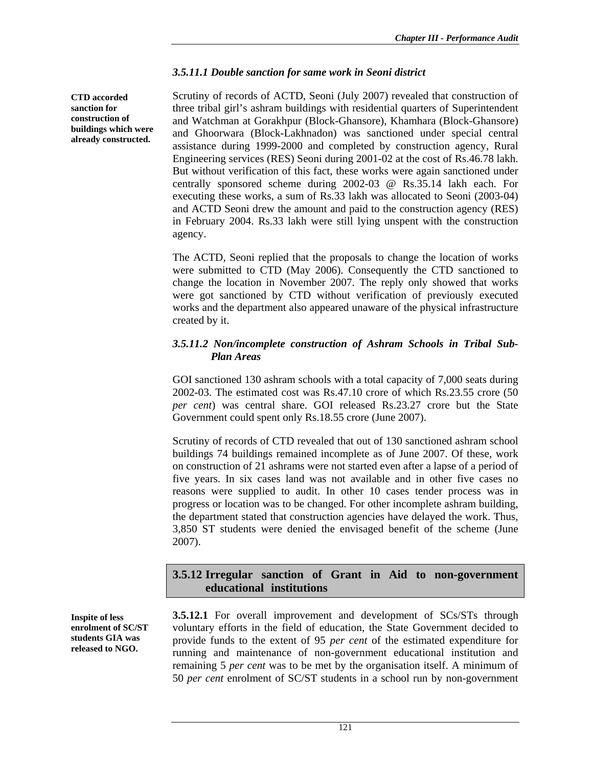#### *3.5.11.1 Double sanction for same work in Seoni district*

**CTD accorded sanction for construction of buildings which were already constructed.** 

Scrutiny of records of ACTD, Seoni (July 2007) revealed that construction of three tribal girl's ashram buildings with residential quarters of Superintendent and Watchman at Gorakhpur (Block-Ghansore), Khamhara (Block-Ghansore) and Ghoorwara (Block-Lakhnadon) was sanctioned under special central assistance during 1999-2000 and completed by construction agency, Rural Engineering services (RES) Seoni during 2001-02 at the cost of Rs.46.78 lakh. But without verification of this fact, these works were again sanctioned under centrally sponsored scheme during 2002-03 @ Rs.35.14 lakh each. For executing these works, a sum of Rs.33 lakh was allocated to Seoni (2003-04) and ACTD Seoni drew the amount and paid to the construction agency (RES) in February 2004. Rs.33 lakh were still lying unspent with the construction agency.

The ACTD, Seoni replied that the proposals to change the location of works were submitted to CTD (May 2006). Consequently the CTD sanctioned to change the location in November 2007. The reply only showed that works were got sanctioned by CTD without verification of previously executed works and the department also appeared unaware of the physical infrastructure created by it.

#### *3.5.11.2 Non/incomplete construction of Ashram Schools in Tribal Sub- Plan Areas*

GOI sanctioned 130 ashram schools with a total capacity of 7,000 seats during 2002-03. The estimated cost was Rs.47.10 crore of which Rs.23.55 crore (50 *per cent*) was central share. GOI released Rs.23.27 crore but the State Government could spent only Rs.18.55 crore (June 2007).

Scrutiny of records of CTD revealed that out of 130 sanctioned ashram school buildings 74 buildings remained incomplete as of June 2007. Of these, work on construction of 21 ashrams were not started even after a lapse of a period of five years. In six cases land was not available and in other five cases no reasons were supplied to audit. In other 10 cases tender process was in progress or location was to be changed. For other incomplete ashram building, the department stated that construction agencies have delayed the work. Thus, 3,850 ST students were denied the envisaged benefit of the scheme (June 2007).

### **3.5.12 Irregular sanction of Grant in Aid to non-government educational institutions**

**Inspite of less enrolment of SC/ST students GIA was released to NGO.** 

**3.5.12.1** For overall improvement and development of SCs/STs through voluntary efforts in the field of education, the State Government decided to provide funds to the extent of 95 *per cent* of the estimated expenditure for running and maintenance of non-government educational institution and remaining 5 *per cent* was to be met by the organisation itself. A minimum of 50 *per cent* enrolment of SC/ST students in a school run by non-government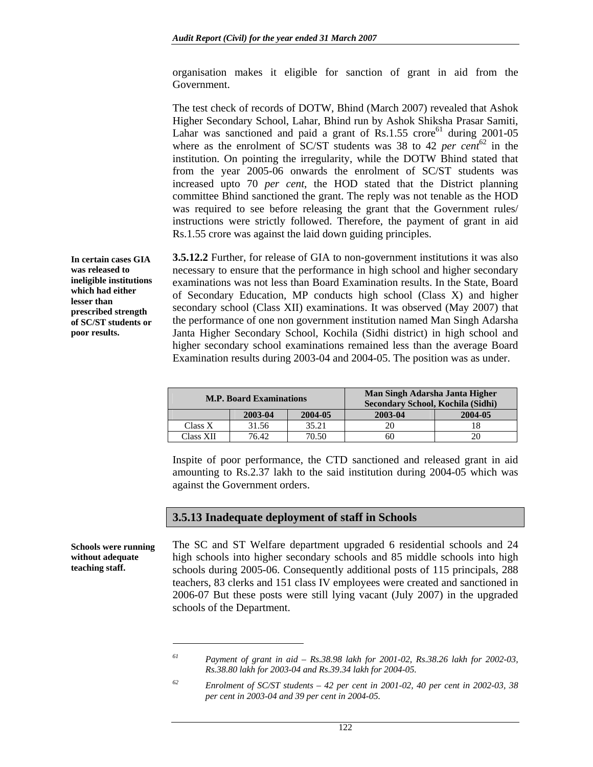organisation makes it eligible for sanction of grant in aid from the Government.

The test check of records of DOTW, Bhind (March 2007) revealed that Ashok Higher Secondary School, Lahar, Bhind run by Ashok Shiksha Prasar Samiti, Lahar was sanctioned and paid a grant of  $\text{Rs}.1.55$  crore<sup>61</sup> during 2001-05 where as the enrolment of SC/ST students was 38 to 42 *per cent*<sup>62</sup> in the institution. On pointing the irregularity, while the DOTW Bhind stated that from the year 2005-06 onwards the enrolment of SC/ST students was increased upto 70 *per cent*, the HOD stated that the District planning committee Bhind sanctioned the grant. The reply was not tenable as the HOD was required to see before releasing the grant that the Government rules/ instructions were strictly followed. Therefore, the payment of grant in aid Rs.1.55 crore was against the laid down guiding principles.

**3.5.12.2** Further, for release of GIA to non-government institutions it was also necessary to ensure that the performance in high school and higher secondary examinations was not less than Board Examination results. In the State, Board of Secondary Education, MP conducts high school (Class X) and higher secondary school (Class XII) examinations. It was observed (May 2007) that the performance of one non government institution named Man Singh Adarsha Janta Higher Secondary School, Kochila (Sidhi district) in high school and higher secondary school examinations remained less than the average Board Examination results during 2003-04 and 2004-05. The position was as under.

| <b>M.P. Board Examinations</b> |         |         | Man Singh Adarsha Janta Higher<br>Secondary School, Kochila (Sidhi) |         |
|--------------------------------|---------|---------|---------------------------------------------------------------------|---------|
|                                | 2003-04 | 2004-05 | 2003-04                                                             | 2004-05 |
| Class X                        | 31.56   | 35.21   |                                                                     |         |
| Class XII                      | 76.42   | 70.50   | 60                                                                  | 20      |

Inspite of poor performance, the CTD sanctioned and released grant in aid amounting to Rs.2.37 lakh to the said institution during 2004-05 which was against the Government orders.

#### **3.5.13 Inadequate deployment of staff in Schools**

The SC and ST Welfare department upgraded 6 residential schools and 24 high schools into higher secondary schools and 85 middle schools into high schools during 2005-06. Consequently additional posts of 115 principals, 288 teachers, 83 clerks and 151 class IV employees were created and sanctioned in 2006-07 But these posts were still lying vacant (July 2007) in the upgraded schools of the Department.

**In certain cases GIA was released to ineligible institutions which had either lesser than prescribed strength of SC/ST students or poor results.** 

**Schools were running without adequate teaching staff.** 

l

*<sup>61</sup> Payment of grant in aid – Rs.38.98 lakh for 2001-02, Rs.38.26 lakh for 2002-03, Rs.38.80 lakh for 2003-04 and Rs.39.34 lakh for 2004-05.* 

*<sup>62</sup> Enrolment of SC/ST students – 42 per cent in 2001-02, 40 per cent in 2002-03, 38 per cent in 2003-04 and 39 per cent in 2004-05.*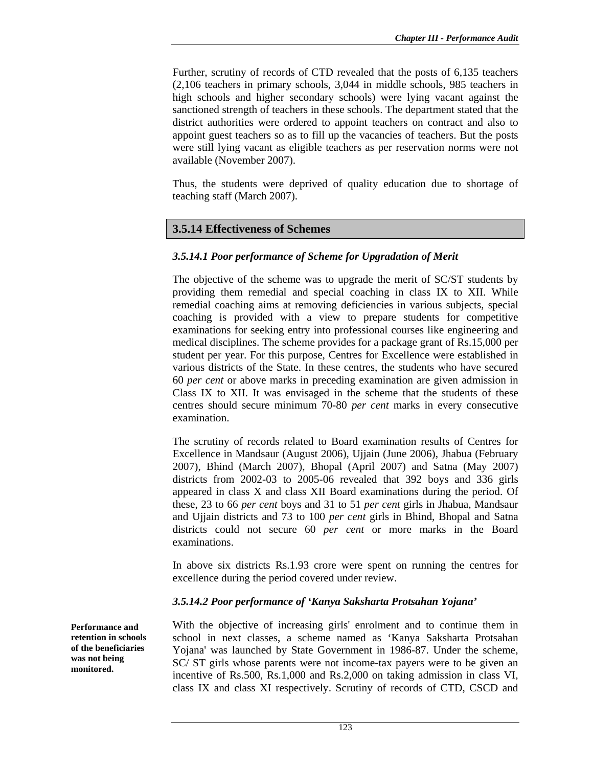Further, scrutiny of records of CTD revealed that the posts of 6,135 teachers (2,106 teachers in primary schools, 3,044 in middle schools, 985 teachers in high schools and higher secondary schools) were lying vacant against the sanctioned strength of teachers in these schools. The department stated that the district authorities were ordered to appoint teachers on contract and also to appoint guest teachers so as to fill up the vacancies of teachers. But the posts were still lying vacant as eligible teachers as per reservation norms were not available (November 2007).

Thus, the students were deprived of quality education due to shortage of teaching staff (March 2007).

### **3.5.14 Effectiveness of Schemes**

#### *3.5.14.1 Poor performance of Scheme for Upgradation of Merit*

The objective of the scheme was to upgrade the merit of SC/ST students by providing them remedial and special coaching in class IX to XII. While remedial coaching aims at removing deficiencies in various subjects, special coaching is provided with a view to prepare students for competitive examinations for seeking entry into professional courses like engineering and medical disciplines. The scheme provides for a package grant of Rs.15,000 per student per year. For this purpose, Centres for Excellence were established in various districts of the State. In these centres, the students who have secured 60 *per cent* or above marks in preceding examination are given admission in Class IX to XII. It was envisaged in the scheme that the students of these centres should secure minimum 70-80 *per cent* marks in every consecutive examination.

The scrutiny of records related to Board examination results of Centres for Excellence in Mandsaur (August 2006), Ujjain (June 2006), Jhabua (February 2007), Bhind (March 2007), Bhopal (April 2007) and Satna (May 2007) districts from 2002-03 to 2005-06 revealed that 392 boys and 336 girls appeared in class X and class XII Board examinations during the period. Of these, 23 to 66 *per cent* boys and 31 to 51 *per cent* girls in Jhabua, Mandsaur and Ujjain districts and 73 to 100 *per cent* girls in Bhind, Bhopal and Satna districts could not secure 60 *per cent* or more marks in the Board examinations.

In above six districts Rs.1.93 crore were spent on running the centres for excellence during the period covered under review.

#### *3.5.14.2 Poor performance of 'Kanya Saksharta Protsahan Yojana'*

With the objective of increasing girls' enrolment and to continue them in school in next classes, a scheme named as 'Kanya Saksharta Protsahan Yojana' was launched by State Government in 1986-87. Under the scheme, SC/ ST girls whose parents were not income-tax payers were to be given an incentive of Rs.500, Rs.1,000 and Rs.2,000 on taking admission in class VI, class IX and class XI respectively. Scrutiny of records of CTD, CSCD and

**Performance and retention in schools of the beneficiaries was not being monitored.**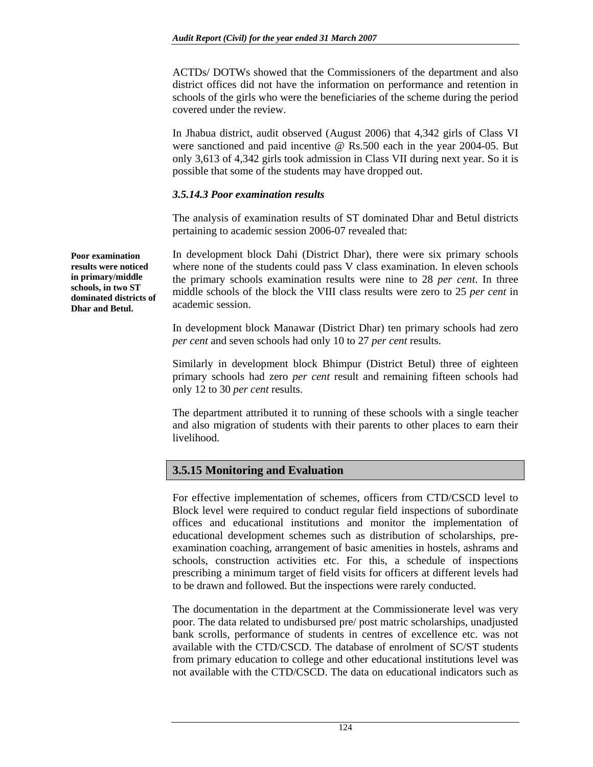ACTDs/ DOTWs showed that the Commissioners of the department and also district offices did not have the information on performance and retention in schools of the girls who were the beneficiaries of the scheme during the period covered under the review.

In Jhabua district, audit observed (August 2006) that 4,342 girls of Class VI were sanctioned and paid incentive @ Rs.500 each in the year 2004-05. But only 3,613 of 4,342 girls took admission in Class VII during next year. So it is possible that some of the students may have dropped out.

#### *3.5.14.3 Poor examination results*

The analysis of examination results of ST dominated Dhar and Betul districts pertaining to academic session 2006-07 revealed that:

In development block Dahi (District Dhar), there were six primary schools where none of the students could pass V class examination. In eleven schools the primary schools examination results were nine to 28 *per cent*. In three middle schools of the block the VIII class results were zero to 25 *per cent* in academic session.

In development block Manawar (District Dhar) ten primary schools had zero *per cent* and seven schools had only 10 to 27 *per cent* results.

Similarly in development block Bhimpur (District Betul) three of eighteen primary schools had zero *per cent* result and remaining fifteen schools had only 12 to 30 *per cent* results.

The department attributed it to running of these schools with a single teacher and also migration of students with their parents to other places to earn their livelihood.

## **3.5.15 Monitoring and Evaluation**

For effective implementation of schemes, officers from CTD/CSCD level to Block level were required to conduct regular field inspections of subordinate offices and educational institutions and monitor the implementation of educational development schemes such as distribution of scholarships, preexamination coaching, arrangement of basic amenities in hostels, ashrams and schools, construction activities etc. For this, a schedule of inspections prescribing a minimum target of field visits for officers at different levels had to be drawn and followed. But the inspections were rarely conducted.

The documentation in the department at the Commissionerate level was very poor. The data related to undisbursed pre/ post matric scholarships, unadjusted bank scrolls, performance of students in centres of excellence etc. was not available with the CTD/CSCD. The database of enrolment of SC/ST students from primary education to college and other educational institutions level was not available with the CTD/CSCD. The data on educational indicators such as

**Poor examination results were noticed in primary/middle schools, in two ST dominated districts of Dhar and Betul.**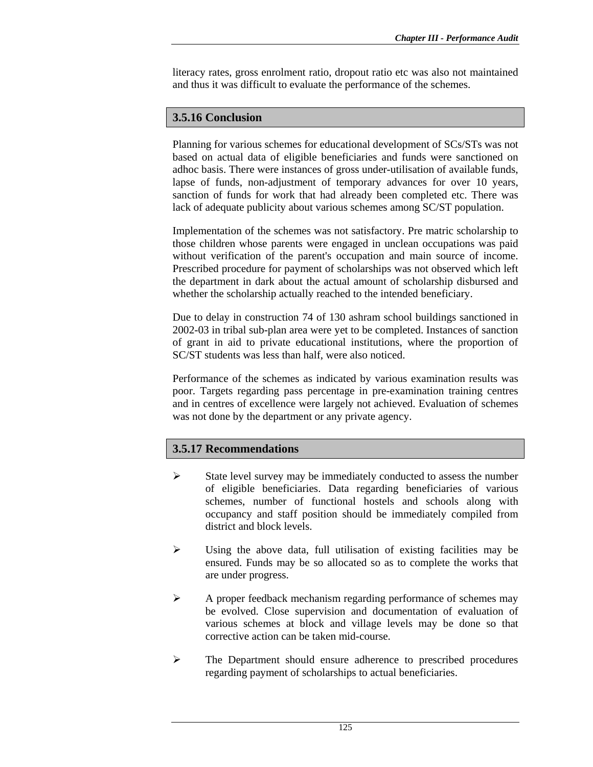literacy rates, gross enrolment ratio, dropout ratio etc was also not maintained and thus it was difficult to evaluate the performance of the schemes.

## **3.5.16 Conclusion**

Planning for various schemes for educational development of SCs/STs was not based on actual data of eligible beneficiaries and funds were sanctioned on adhoc basis. There were instances of gross under-utilisation of available funds, lapse of funds, non-adjustment of temporary advances for over 10 years, sanction of funds for work that had already been completed etc. There was lack of adequate publicity about various schemes among SC/ST population.

Implementation of the schemes was not satisfactory. Pre matric scholarship to those children whose parents were engaged in unclean occupations was paid without verification of the parent's occupation and main source of income. Prescribed procedure for payment of scholarships was not observed which left the department in dark about the actual amount of scholarship disbursed and whether the scholarship actually reached to the intended beneficiary.

Due to delay in construction 74 of 130 ashram school buildings sanctioned in 2002-03 in tribal sub-plan area were yet to be completed. Instances of sanction of grant in aid to private educational institutions, where the proportion of SC/ST students was less than half, were also noticed.

Performance of the schemes as indicated by various examination results was poor. Targets regarding pass percentage in pre-examination training centres and in centres of excellence were largely not achieved. Evaluation of schemes was not done by the department or any private agency.

## **3.5.17 Recommendations**

- $\triangleright$  State level survey may be immediately conducted to assess the number of eligible beneficiaries. Data regarding beneficiaries of various schemes, number of functional hostels and schools along with occupancy and staff position should be immediately compiled from district and block levels.
- $\triangleright$  Using the above data, full utilisation of existing facilities may be ensured. Funds may be so allocated so as to complete the works that are under progress.
- ¾ A proper feedback mechanism regarding performance of schemes may be evolved. Close supervision and documentation of evaluation of various schemes at block and village levels may be done so that corrective action can be taken mid-course.
- ¾ The Department should ensure adherence to prescribed procedures regarding payment of scholarships to actual beneficiaries.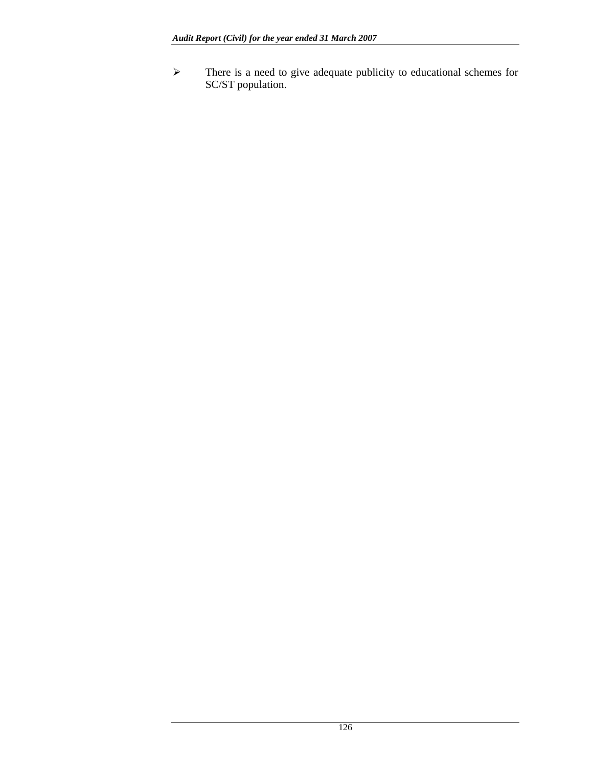¾ There is a need to give adequate publicity to educational schemes for SC/ST population.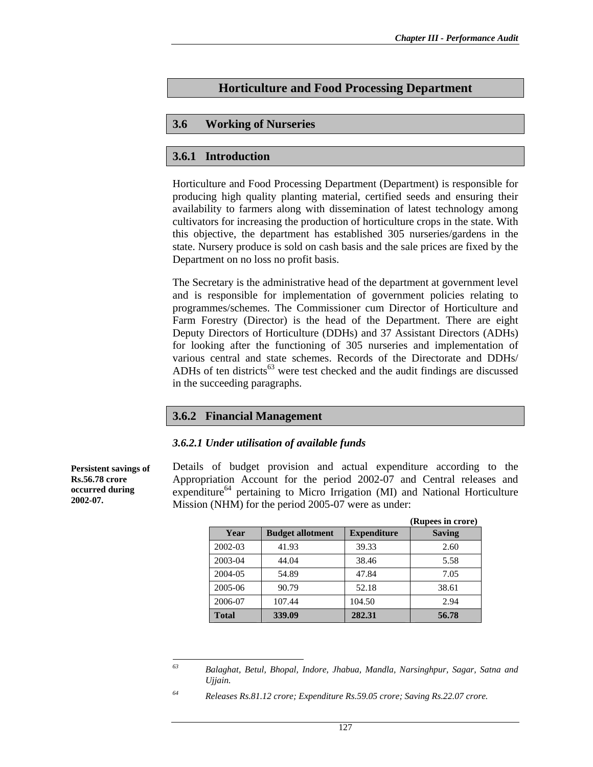# **Horticulture and Food Processing Department**

## **3.6 Working of Nurseries**

## **3.6.1 Introduction**

Horticulture and Food Processing Department (Department) is responsible for producing high quality planting material, certified seeds and ensuring their availability to farmers along with dissemination of latest technology among cultivators for increasing the production of horticulture crops in the state. With this objective, the department has established 305 nurseries/gardens in the state. Nursery produce is sold on cash basis and the sale prices are fixed by the Department on no loss no profit basis.

The Secretary is the administrative head of the department at government level and is responsible for implementation of government policies relating to programmes/schemes. The Commissioner cum Director of Horticulture and Farm Forestry (Director) is the head of the Department. There are eight Deputy Directors of Horticulture (DDHs) and 37 Assistant Directors (ADHs) for looking after the functioning of 305 nurseries and implementation of various central and state schemes. Records of the Directorate and DDHs/ ADHs of ten districts<sup>63</sup> were test checked and the audit findings are discussed in the succeeding paragraphs.

## **3.6.2 Financial Management**

#### *3.6.2.1 Under utilisation of available funds*

**Persistent savings of Rs.56.78 crore occurred during 2002-07.** 

Details of budget provision and actual expenditure according to the Appropriation Account for the period 2002-07 and Central releases and expenditure<sup>64</sup> pertaining to Micro Irrigation (MI) and National Horticulture Mission (NHM) for the period 2005-07 were as under:

|              |                         |                    | (Rupees in crore) |
|--------------|-------------------------|--------------------|-------------------|
| Year         | <b>Budget allotment</b> | <b>Expenditure</b> | <b>Saving</b>     |
| 2002-03      | 41.93                   | 39.33              | 2.60              |
| 2003-04      | 44.04                   | 38.46              | 5.58              |
| 2004-05      | 54.89                   | 47.84              | 7.05              |
| 2005-06      | 90.79                   | 52.18              | 38.61             |
| 2006-07      | 107.44                  | 104.50             | 2.94              |
| <b>Total</b> | 339.09                  | 282.31             | 56.78             |

<sup>63</sup> *63 Balaghat, Betul, Bhopal, Indore, Jhabua, Mandla, Narsinghpur, Sagar, Satna and Ujjain.* 

*<sup>64</sup> Releases Rs.81.12 crore; Expenditure Rs.59.05 crore; Saving Rs.22.07 crore.*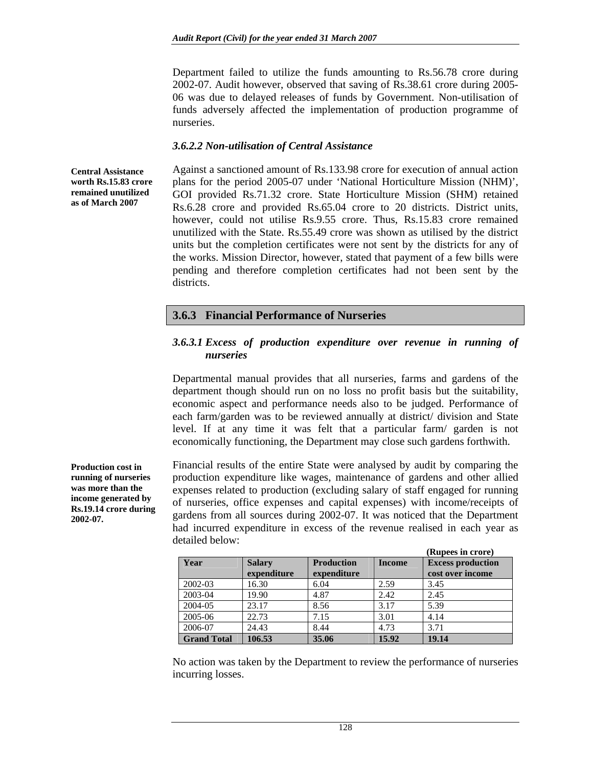Department failed to utilize the funds amounting to Rs.56.78 crore during 2002-07. Audit however, observed that saving of Rs.38.61 crore during 2005- 06 was due to delayed releases of funds by Government. Non-utilisation of funds adversely affected the implementation of production programme of nurseries.

#### *3.6.2.2 Non-utilisation of Central Assistance*

**Central Assistance worth Rs.15.83 crore remained unutilized as of March 2007** 

Against a sanctioned amount of Rs.133.98 crore for execution of annual action plans for the period 2005-07 under 'National Horticulture Mission (NHM)', GOI provided Rs.71.32 crore. State Horticulture Mission (SHM) retained Rs.6.28 crore and provided Rs.65.04 crore to 20 districts. District units, however, could not utilise Rs.9.55 crore. Thus, Rs.15.83 crore remained unutilized with the State. Rs.55.49 crore was shown as utilised by the district units but the completion certificates were not sent by the districts for any of the works. Mission Director, however, stated that payment of a few bills were pending and therefore completion certificates had not been sent by the districts.

### **3.6.3 Financial Performance of Nurseries**

#### *3.6.3.1 Excess of production expenditure over revenue in running of nurseries*

Departmental manual provides that all nurseries, farms and gardens of the department though should run on no loss no profit basis but the suitability, economic aspect and performance needs also to be judged. Performance of each farm/garden was to be reviewed annually at district/ division and State level. If at any time it was felt that a particular farm/ garden is not economically functioning, the Department may close such gardens forthwith.

Financial results of the entire State were analysed by audit by comparing the production expenditure like wages, maintenance of gardens and other allied expenses related to production (excluding salary of staff engaged for running of nurseries, office expenses and capital expenses) with income/receipts of gardens from all sources during 2002-07. It was noticed that the Department had incurred expenditure in excess of the revenue realised in each year as detailed below:

|                    |               |                   |               | (Rupees in crore)        |
|--------------------|---------------|-------------------|---------------|--------------------------|
| Year               | <b>Salary</b> | <b>Production</b> | <b>Income</b> | <b>Excess production</b> |
|                    | expenditure   | expenditure       |               | cost over income         |
| 2002-03            | 16.30         | 6.04              | 2.59          | 3.45                     |
| 2003-04            | 19.90         | 4.87              | 2.42          | 2.45                     |
| 2004-05            | 23.17         | 8.56              | 3.17          | 5.39                     |
| 2005-06            | 22.73         | 7.15              | 3.01          | 4.14                     |
| 2006-07            | 24.43         | 8.44              | 4.73          | 3.71                     |
| <b>Grand Total</b> | 106.53        | 35.06             | 15.92         | 19.14                    |

No action was taken by the Department to review the performance of nurseries incurring losses.

**Production cost in running of nurseries was more than the income generated by Rs.19.14 crore during 2002-07.**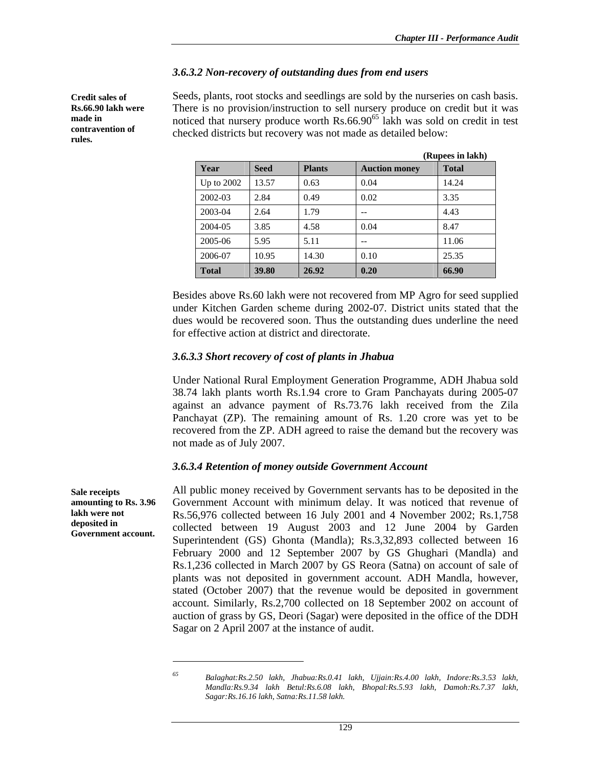### *3.6.3.2 Non-recovery of outstanding dues from end users*

**Credit sales of Rs.66.90 lakh were made in contravention of rules.** 

Seeds, plants, root stocks and seedlings are sold by the nurseries on cash basis. There is no provision/instruction to sell nursery produce on credit but it was noticed that nursery produce worth  $\text{Rs.66.90}^{\text{65}}$  lakh was sold on credit in test checked districts but recovery was not made as detailed below:

|              | (Rupees in lakh) |               |                      |              |
|--------------|------------------|---------------|----------------------|--------------|
| Year         | <b>Seed</b>      | <b>Plants</b> | <b>Auction money</b> | <b>Total</b> |
| Up to 2002   | 13.57            | 0.63          | 0.04                 | 14.24        |
| 2002-03      | 2.84             | 0.49          | 0.02                 | 3.35         |
| 2003-04      | 2.64             | 1.79          | --                   | 4.43         |
| 2004-05      | 3.85             | 4.58          | 0.04                 | 8.47         |
| 2005-06      | 5.95             | 5.11          | --                   | 11.06        |
| 2006-07      | 10.95            | 14.30         | 0.10                 | 25.35        |
| <b>Total</b> | 39.80            | 26.92         | 0.20                 | 66.90        |

Besides above Rs.60 lakh were not recovered from MP Agro for seed supplied under Kitchen Garden scheme during 2002-07. District units stated that the dues would be recovered soon. Thus the outstanding dues underline the need for effective action at district and directorate.

### *3.6.3.3 Short recovery of cost of plants in Jhabua*

Under National Rural Employment Generation Programme, ADH Jhabua sold 38.74 lakh plants worth Rs.1.94 crore to Gram Panchayats during 2005-07 against an advance payment of Rs.73.76 lakh received from the Zila Panchayat (ZP). The remaining amount of Rs. 1.20 crore was yet to be recovered from the ZP. ADH agreed to raise the demand but the recovery was not made as of July 2007.

#### *3.6.3.4 Retention of money outside Government Account*

**Sale receipts amounting to Rs. 3.96 lakh were not deposited in Government account.** 

All public money received by Government servants has to be deposited in the Government Account with minimum delay. It was noticed that revenue of Rs.56,976 collected between 16 July 2001 and 4 November 2002; Rs.1,758 collected between 19 August 2003 and 12 June 2004 by Garden Superintendent (GS) Ghonta (Mandla); Rs.3,32,893 collected between 16 February 2000 and 12 September 2007 by GS Ghughari (Mandla) and Rs.1,236 collected in March 2007 by GS Reora (Satna) on account of sale of plants was not deposited in government account. ADH Mandla, however, stated (October 2007) that the revenue would be deposited in government account. Similarly, Rs.2,700 collected on 18 September 2002 on account of auction of grass by GS, Deori (Sagar) were deposited in the office of the DDH Sagar on 2 April 2007 at the instance of audit.

 $\overline{a}$ 

*<sup>65</sup> Balaghat:Rs.2.50 lakh, Jhabua:Rs.0.41 lakh, Ujjain:Rs.4.00 lakh, Indore:Rs.3.53 lakh, Mandla:Rs.9.34 lakh Betul:Rs.6.08 lakh, Bhopal:Rs.5.93 lakh, Damoh:Rs.7.37 lakh, Sagar:Rs.16.16 lakh, Satna:Rs.11.58 lakh.*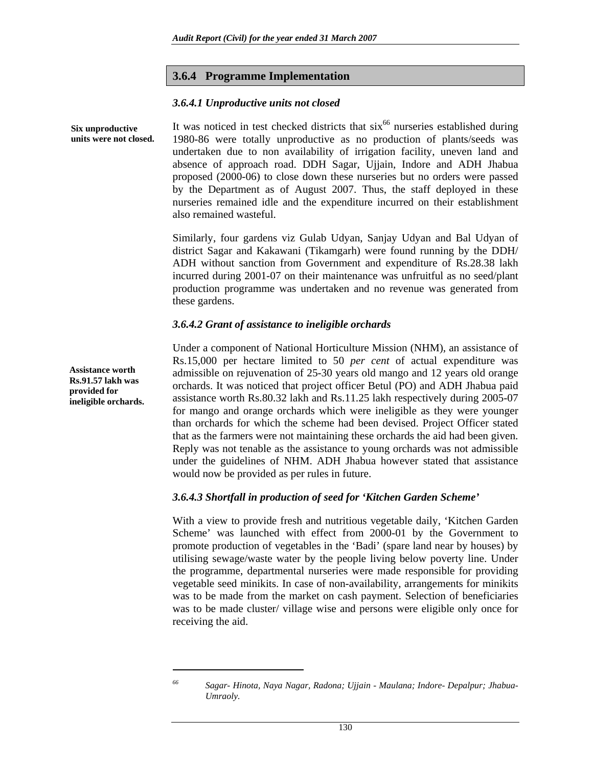#### **3.6.4 Programme Implementation**

#### *3.6.4.1 Unproductive units not closed*

It was noticed in test checked districts that  $six<sup>66</sup>$  nurseries established during 1980-86 were totally unproductive as no production of plants/seeds was undertaken due to non availability of irrigation facility, uneven land and absence of approach road. DDH Sagar, Ujjain, Indore and ADH Jhabua proposed (2000-06) to close down these nurseries but no orders were passed by the Department as of August 2007. Thus, the staff deployed in these nurseries remained idle and the expenditure incurred on their establishment also remained wasteful. **Six unproductive units were not closed.** 

> Similarly, four gardens viz Gulab Udyan, Sanjay Udyan and Bal Udyan of district Sagar and Kakawani (Tikamgarh) were found running by the DDH/ ADH without sanction from Government and expenditure of Rs.28.38 lakh incurred during 2001-07 on their maintenance was unfruitful as no seed/plant production programme was undertaken and no revenue was generated from these gardens.

#### *3.6.4.2 Grant of assistance to ineligible orchards*

Under a component of National Horticulture Mission (NHM), an assistance of Rs.15,000 per hectare limited to 50 *per cent* of actual expenditure was admissible on rejuvenation of 25-30 years old mango and 12 years old orange orchards. It was noticed that project officer Betul (PO) and ADH Jhabua paid assistance worth Rs.80.32 lakh and Rs.11.25 lakh respectively during 2005-07 for mango and orange orchards which were ineligible as they were younger than orchards for which the scheme had been devised. Project Officer stated that as the farmers were not maintaining these orchards the aid had been given. Reply was not tenable as the assistance to young orchards was not admissible under the guidelines of NHM. ADH Jhabua however stated that assistance would now be provided as per rules in future.

#### *3.6.4.3 Shortfall in production of seed for 'Kitchen Garden Scheme'*

With a view to provide fresh and nutritious vegetable daily, 'Kitchen Garden Scheme' was launched with effect from 2000-01 by the Government to promote production of vegetables in the 'Badi' (spare land near by houses) by utilising sewage/waste water by the people living below poverty line. Under the programme, departmental nurseries were made responsible for providing vegetable seed minikits. In case of non-availability, arrangements for minikits was to be made from the market on cash payment. Selection of beneficiaries was to be made cluster/ village wise and persons were eligible only once for receiving the aid.

**Assistance worth Rs.91.57 lakh was provided for ineligible orchards.** 

 $\overline{a}$ 

*<sup>66</sup> Sagar- Hinota, Naya Nagar, Radona; Ujjain - Maulana; Indore- Depalpur; Jhabua-Umraoly.*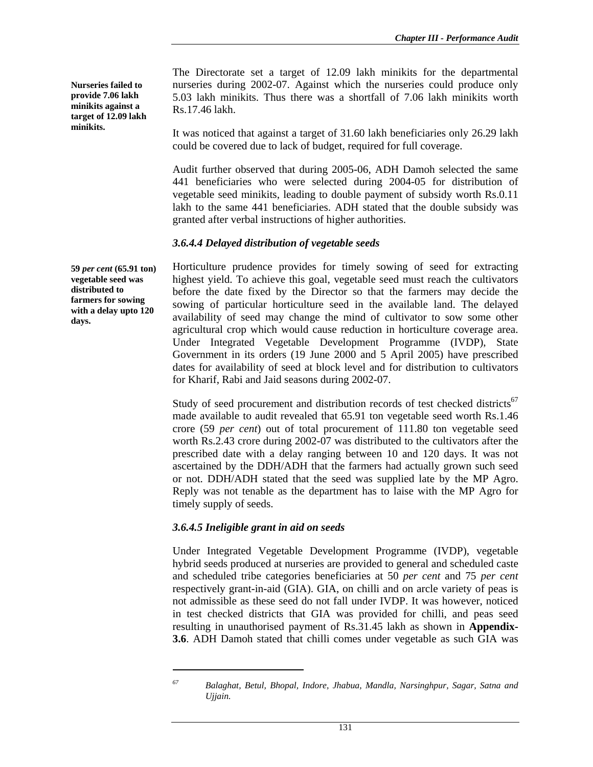**Nurseries failed to provide 7.06 lakh minikits against a target of 12.09 lakh minikits.** 

The Directorate set a target of 12.09 lakh minikits for the departmental nurseries during 2002-07. Against which the nurseries could produce only 5.03 lakh minikits. Thus there was a shortfall of 7.06 lakh minikits worth Rs.17.46 lakh.

It was noticed that against a target of 31.60 lakh beneficiaries only 26.29 lakh could be covered due to lack of budget, required for full coverage.

Audit further observed that during 2005-06, ADH Damoh selected the same 441 beneficiaries who were selected during 2004-05 for distribution of vegetable seed minikits, leading to double payment of subsidy worth Rs.0.11 lakh to the same 441 beneficiaries. ADH stated that the double subsidy was granted after verbal instructions of higher authorities.

## *3.6.4.4 Delayed distribution of vegetable seeds*

Horticulture prudence provides for timely sowing of seed for extracting highest yield. To achieve this goal, vegetable seed must reach the cultivators before the date fixed by the Director so that the farmers may decide the sowing of particular horticulture seed in the available land. The delayed availability of seed may change the mind of cultivator to sow some other agricultural crop which would cause reduction in horticulture coverage area. Under Integrated Vegetable Development Programme (IVDP), State Government in its orders (19 June 2000 and 5 April 2005) have prescribed dates for availability of seed at block level and for distribution to cultivators for Kharif, Rabi and Jaid seasons during 2002-07.

Study of seed procurement and distribution records of test checked districts<sup>67</sup> made available to audit revealed that 65.91 ton vegetable seed worth Rs.1.46 crore (59 *per cent*) out of total procurement of 111.80 ton vegetable seed worth Rs.2.43 crore during 2002-07 was distributed to the cultivators after the prescribed date with a delay ranging between 10 and 120 days. It was not ascertained by the DDH/ADH that the farmers had actually grown such seed or not. DDH/ADH stated that the seed was supplied late by the MP Agro. Reply was not tenable as the department has to laise with the MP Agro for timely supply of seeds.

## *3.6.4.5 Ineligible grant in aid on seeds*

 $\overline{a}$ 

Under Integrated Vegetable Development Programme (IVDP), vegetable hybrid seeds produced at nurseries are provided to general and scheduled caste and scheduled tribe categories beneficiaries at 50 *per cent* and 75 *per cent*  respectively grant-in-aid (GIA). GIA, on chilli and on arcle variety of peas is not admissible as these seed do not fall under IVDP. It was however, noticed in test checked districts that GIA was provided for chilli, and peas seed resulting in unauthorised payment of Rs.31.45 lakh as shown in **Appendix-3.6**. ADH Damoh stated that chilli comes under vegetable as such GIA was

**59** *per cent* **(65.91 ton) vegetable seed was distributed to farmers for sowing with a delay upto 120 days.** 

*<sup>67</sup> Balaghat, Betul, Bhopal, Indore, Jhabua, Mandla, Narsinghpur, Sagar, Satna and Ujjain.*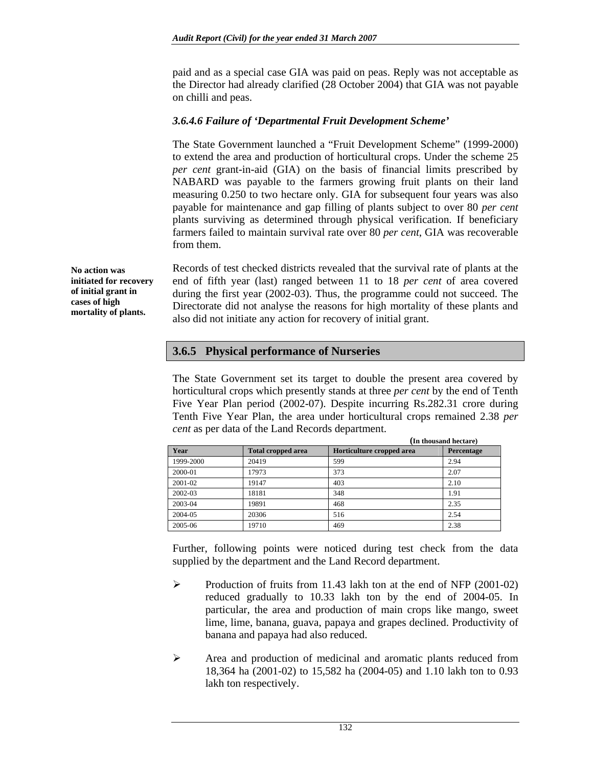paid and as a special case GIA was paid on peas. Reply was not acceptable as the Director had already clarified (28 October 2004) that GIA was not payable on chilli and peas.

### *3.6.4.6 Failure of 'Departmental Fruit Development Scheme'*

The State Government launched a "Fruit Development Scheme" (1999-2000) to extend the area and production of horticultural crops. Under the scheme 25 *per cent* grant-in-aid (GIA) on the basis of financial limits prescribed by NABARD was payable to the farmers growing fruit plants on their land measuring 0.250 to two hectare only. GIA for subsequent four years was also payable for maintenance and gap filling of plants subject to over 80 *per cent* plants surviving as determined through physical verification. If beneficiary farmers failed to maintain survival rate over 80 *per cent*, GIA was recoverable from them.

Records of test checked districts revealed that the survival rate of plants at the end of fifth year (last) ranged between 11 to 18 *per cent* of area covered during the first year (2002-03). Thus, the programme could not succeed. The Directorate did not analyse the reasons for high mortality of these plants and also did not initiate any action for recovery of initial grant.

## **3.6.5 Physical performance of Nurseries**

The State Government set its target to double the present area covered by horticultural crops which presently stands at three *per cent* by the end of Tenth Five Year Plan period (2002-07). Despite incurring Rs.282.31 crore during Tenth Five Year Plan, the area under horticultural crops remained 2.38 *per cent* as per data of the Land Records department.

|           |                           | (In thousand hectare)     |            |  |
|-----------|---------------------------|---------------------------|------------|--|
| Year      | <b>Total cropped area</b> | Horticulture cropped area | Percentage |  |
| 1999-2000 | 20419                     | 599                       | 2.94       |  |
| 2000-01   | 17973                     | 373                       | 2.07       |  |
| 2001-02   | 19147                     | 403                       | 2.10       |  |
| 2002-03   | 18181                     | 348                       | 1.91       |  |
| 2003-04   | 19891                     | 468                       | 2.35       |  |
| 2004-05   | 20306                     | 516                       | 2.54       |  |
| 2005-06   | 19710                     | 469                       | 2.38       |  |

Further, following points were noticed during test check from the data supplied by the department and the Land Record department.

- $\blacktriangleright$  Production of fruits from 11.43 lakh ton at the end of NFP (2001-02) reduced gradually to 10.33 lakh ton by the end of 2004-05. In particular, the area and production of main crops like mango, sweet lime, lime, banana, guava, papaya and grapes declined. Productivity of banana and papaya had also reduced.
- $\triangleright$  Area and production of medicinal and aromatic plants reduced from 18,364 ha (2001-02) to 15,582 ha (2004-05) and 1.10 lakh ton to 0.93 lakh ton respectively.

**No action was initiated for recovery of initial grant in cases of high mortality of plants.**